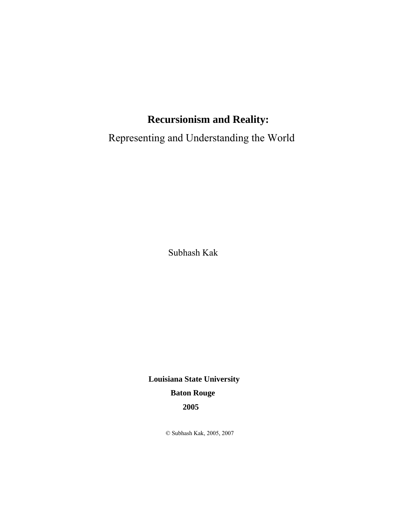Representing and Understanding the World

Subhash Kak

 **Louisiana State University Baton Rouge 2005** 

© Subhash Kak, 2005, 2007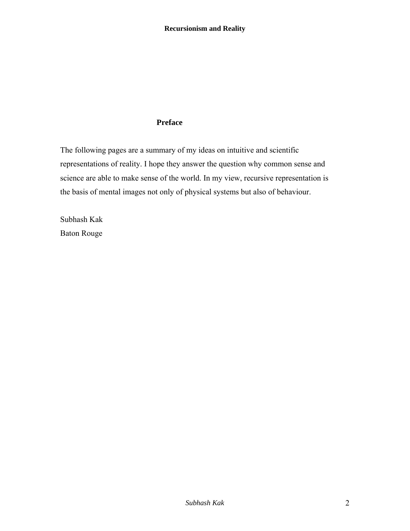### **Preface**

The following pages are a summary of my ideas on intuitive and scientific representations of reality. I hope they answer the question why common sense and science are able to make sense of the world. In my view, recursive representation is the basis of mental images not only of physical systems but also of behaviour.

Subhash Kak Baton Rouge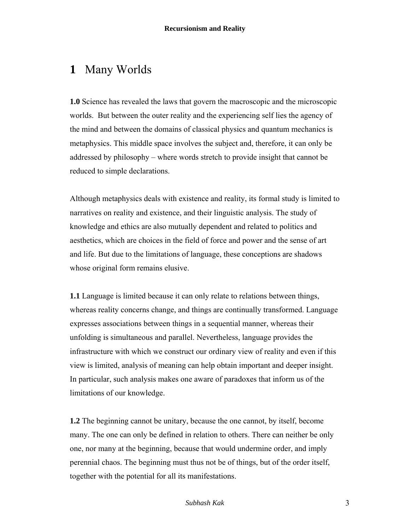## **1** Many Worlds

**1.0** Science has revealed the laws that govern the macroscopic and the microscopic worlds. But between the outer reality and the experiencing self lies the agency of the mind and between the domains of classical physics and quantum mechanics is metaphysics. This middle space involves the subject and, therefore, it can only be addressed by philosophy – where words stretch to provide insight that cannot be reduced to simple declarations.

Although metaphysics deals with existence and reality, its formal study is limited to narratives on reality and existence, and their linguistic analysis. The study of knowledge and ethics are also mutually dependent and related to politics and aesthetics, which are choices in the field of force and power and the sense of art and life. But due to the limitations of language, these conceptions are shadows whose original form remains elusive.

**1.1** Language is limited because it can only relate to relations between things, whereas reality concerns change, and things are continually transformed. Language expresses associations between things in a sequential manner, whereas their unfolding is simultaneous and parallel. Nevertheless, language provides the infrastructure with which we construct our ordinary view of reality and even if this view is limited, analysis of meaning can help obtain important and deeper insight. In particular, such analysis makes one aware of paradoxes that inform us of the limitations of our knowledge.

**1.2** The beginning cannot be unitary, because the one cannot, by itself, become many. The one can only be defined in relation to others. There can neither be only one, nor many at the beginning, because that would undermine order, and imply perennial chaos. The beginning must thus not be of things, but of the order itself, together with the potential for all its manifestations.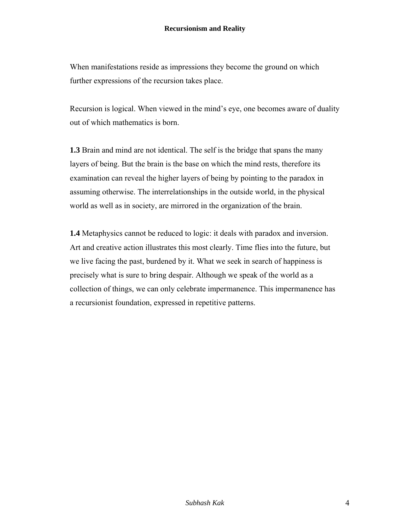When manifestations reside as impressions they become the ground on which further expressions of the recursion takes place.

Recursion is logical. When viewed in the mind's eye, one becomes aware of duality out of which mathematics is born.

**1.3** Brain and mind are not identical. The self is the bridge that spans the many layers of being. But the brain is the base on which the mind rests, therefore its examination can reveal the higher layers of being by pointing to the paradox in assuming otherwise. The interrelationships in the outside world, in the physical world as well as in society, are mirrored in the organization of the brain.

**1.4** Metaphysics cannot be reduced to logic: it deals with paradox and inversion. Art and creative action illustrates this most clearly. Time flies into the future, but we live facing the past, burdened by it. What we seek in search of happiness is precisely what is sure to bring despair. Although we speak of the world as a collection of things, we can only celebrate impermanence. This impermanence has a recursionist foundation, expressed in repetitive patterns.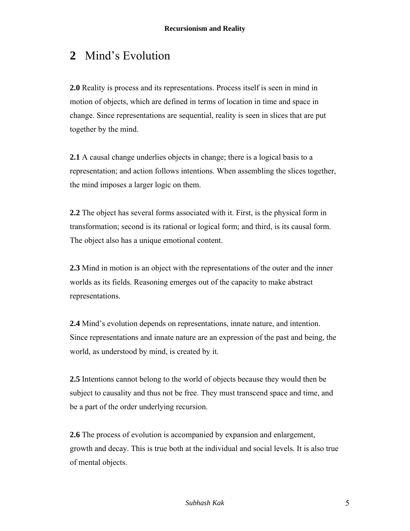# **2** Mind's Evolution

**2.0** Reality is process and its representations. Process itself is seen in mind in motion of objects, which are defined in terms of location in time and space in change. Since representations are sequential, reality is seen in slices that are put together by the mind.

**2.1** A causal change underlies objects in change; there is a logical basis to a representation; and action follows intentions. When assembling the slices together, the mind imposes a larger logic on them.

**2.2** The object has several forms associated with it. First, is the physical form in transformation; second is its rational or logical form; and third, is its causal form. The object also has a unique emotional content.

**2.3** Mind in motion is an object with the representations of the outer and the inner worlds as its fields. Reasoning emerges out of the capacity to make abstract representations.

**2.4** Mind's evolution depends on representations, innate nature, and intention. Since representations and innate nature are an expression of the past and being, the world, as understood by mind, is created by it.

**2.5** Intentions cannot belong to the world of objects because they would then be subject to causality and thus not be free. They must transcend space and time, and be a part of the order underlying recursion.

**2.6** The process of evolution is accompanied by expansion and enlargement, growth and decay. This is true both at the individual and social levels. It is also true of mental objects.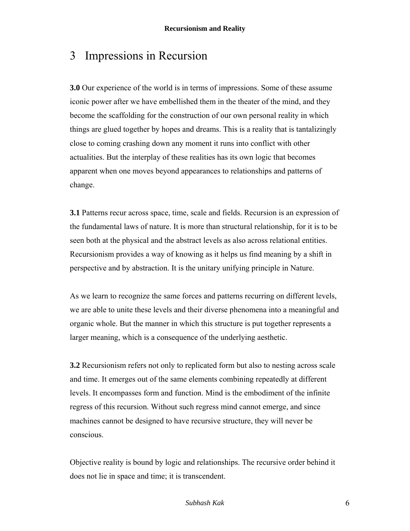### 3 Impressions in Recursion

**3.0** Our experience of the world is in terms of impressions. Some of these assume iconic power after we have embellished them in the theater of the mind, and they become the scaffolding for the construction of our own personal reality in which things are glued together by hopes and dreams. This is a reality that is tantalizingly close to coming crashing down any moment it runs into conflict with other actualities. But the interplay of these realities has its own logic that becomes apparent when one moves beyond appearances to relationships and patterns of change.

**3.1** Patterns recur across space, time, scale and fields. Recursion is an expression of the fundamental laws of nature. It is more than structural relationship, for it is to be seen both at the physical and the abstract levels as also across relational entities. Recursionism provides a way of knowing as it helps us find meaning by a shift in perspective and by abstraction. It is the unitary unifying principle in Nature.

As we learn to recognize the same forces and patterns recurring on different levels, we are able to unite these levels and their diverse phenomena into a meaningful and organic whole. But the manner in which this structure is put together represents a larger meaning, which is a consequence of the underlying aesthetic.

**3.2** Recursionism refers not only to replicated form but also to nesting across scale and time. It emerges out of the same elements combining repeatedly at different levels. It encompasses form and function. Mind is the embodiment of the infinite regress of this recursion. Without such regress mind cannot emerge, and since machines cannot be designed to have recursive structure, they will never be conscious.

Objective reality is bound by logic and relationships. The recursive order behind it does not lie in space and time; it is transcendent.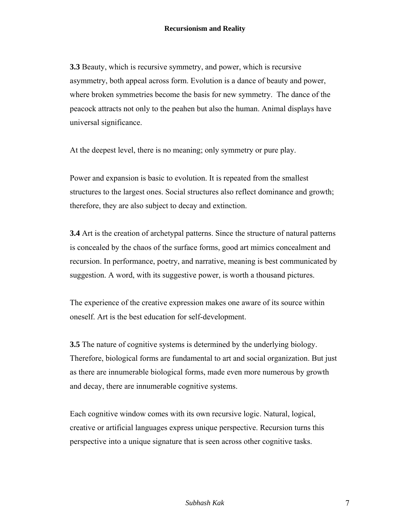**3.3** Beauty, which is recursive symmetry, and power, which is recursive asymmetry, both appeal across form. Evolution is a dance of beauty and power, where broken symmetries become the basis for new symmetry. The dance of the peacock attracts not only to the peahen but also the human. Animal displays have universal significance.

At the deepest level, there is no meaning; only symmetry or pure play.

Power and expansion is basic to evolution. It is repeated from the smallest structures to the largest ones. Social structures also reflect dominance and growth; therefore, they are also subject to decay and extinction.

**3.4** Art is the creation of archetypal patterns. Since the structure of natural patterns is concealed by the chaos of the surface forms, good art mimics concealment and recursion. In performance, poetry, and narrative, meaning is best communicated by suggestion. A word, with its suggestive power, is worth a thousand pictures.

The experience of the creative expression makes one aware of its source within oneself. Art is the best education for self-development.

**3.5** The nature of cognitive systems is determined by the underlying biology. Therefore, biological forms are fundamental to art and social organization. But just as there are innumerable biological forms, made even more numerous by growth and decay, there are innumerable cognitive systems.

Each cognitive window comes with its own recursive logic. Natural, logical, creative or artificial languages express unique perspective. Recursion turns this perspective into a unique signature that is seen across other cognitive tasks.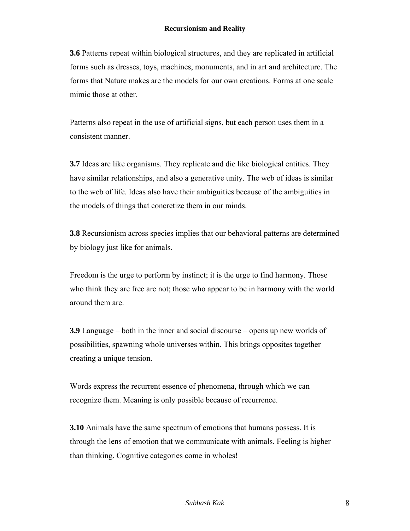**3.6** Patterns repeat within biological structures, and they are replicated in artificial forms such as dresses, toys, machines, monuments, and in art and architecture. The forms that Nature makes are the models for our own creations. Forms at one scale mimic those at other.

Patterns also repeat in the use of artificial signs, but each person uses them in a consistent manner.

**3.7** Ideas are like organisms. They replicate and die like biological entities. They have similar relationships, and also a generative unity. The web of ideas is similar to the web of life. Ideas also have their ambiguities because of the ambiguities in the models of things that concretize them in our minds.

**3.8** Recursionism across species implies that our behavioral patterns are determined by biology just like for animals.

Freedom is the urge to perform by instinct; it is the urge to find harmony. Those who think they are free are not; those who appear to be in harmony with the world around them are.

**3.9** Language – both in the inner and social discourse – opens up new worlds of possibilities, spawning whole universes within. This brings opposites together creating a unique tension.

Words express the recurrent essence of phenomena, through which we can recognize them. Meaning is only possible because of recurrence.

**3.10** Animals have the same spectrum of emotions that humans possess. It is through the lens of emotion that we communicate with animals. Feeling is higher than thinking. Cognitive categories come in wholes!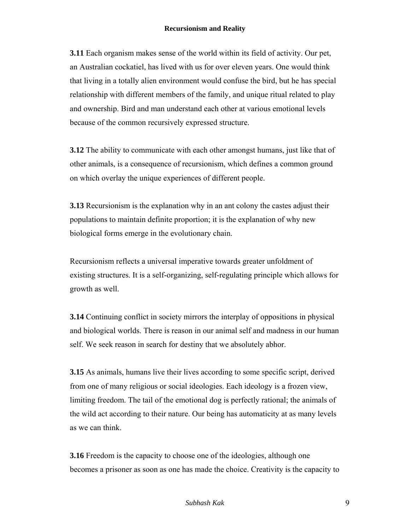**3.11** Each organism makes sense of the world within its field of activity. Our pet, an Australian cockatiel, has lived with us for over eleven years. One would think that living in a totally alien environment would confuse the bird, but he has special relationship with different members of the family, and unique ritual related to play and ownership. Bird and man understand each other at various emotional levels because of the common recursively expressed structure.

**3.12** The ability to communicate with each other amongst humans, just like that of other animals, is a consequence of recursionism, which defines a common ground on which overlay the unique experiences of different people.

**3.13** Recursionism is the explanation why in an ant colony the castes adjust their populations to maintain definite proportion; it is the explanation of why new biological forms emerge in the evolutionary chain.

Recursionism reflects a universal imperative towards greater unfoldment of existing structures. It is a self-organizing, self-regulating principle which allows for growth as well.

**3.14** Continuing conflict in society mirrors the interplay of oppositions in physical and biological worlds. There is reason in our animal self and madness in our human self. We seek reason in search for destiny that we absolutely abhor.

**3.15** As animals, humans live their lives according to some specific script, derived from one of many religious or social ideologies. Each ideology is a frozen view, limiting freedom. The tail of the emotional dog is perfectly rational; the animals of the wild act according to their nature. Our being has automaticity at as many levels as we can think.

**3.16** Freedom is the capacity to choose one of the ideologies, although one becomes a prisoner as soon as one has made the choice. Creativity is the capacity to

#### *Subhash Kak* 9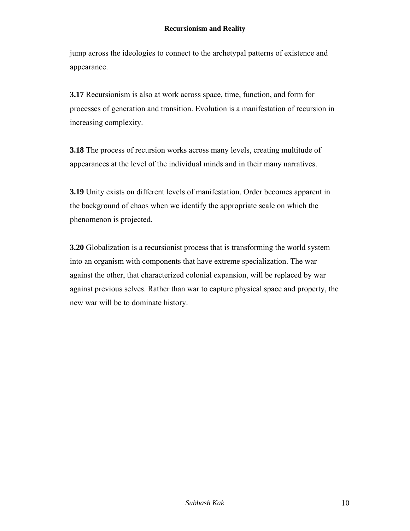jump across the ideologies to connect to the archetypal patterns of existence and appearance.

**3.17** Recursionism is also at work across space, time, function, and form for processes of generation and transition. Evolution is a manifestation of recursion in increasing complexity.

**3.18** The process of recursion works across many levels, creating multitude of appearances at the level of the individual minds and in their many narratives.

**3.19** Unity exists on different levels of manifestation. Order becomes apparent in the background of chaos when we identify the appropriate scale on which the phenomenon is projected.

**3.20** Globalization is a recursionist process that is transforming the world system into an organism with components that have extreme specialization. The war against the other, that characterized colonial expansion, will be replaced by war against previous selves. Rather than war to capture physical space and property, the new war will be to dominate history.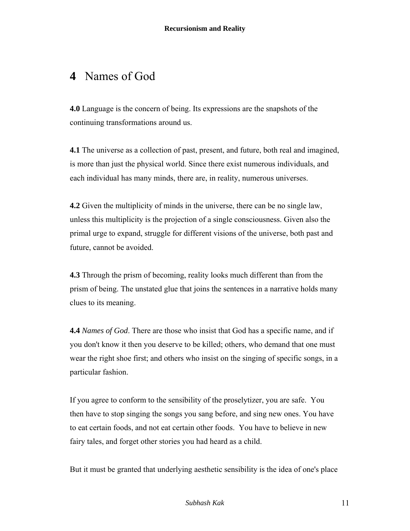## **4** Names of God

**4.0** Language is the concern of being. Its expressions are the snapshots of the continuing transformations around us.

**4.1** The universe as a collection of past, present, and future, both real and imagined, is more than just the physical world. Since there exist numerous individuals, and each individual has many minds, there are, in reality, numerous universes.

**4.2** Given the multiplicity of minds in the universe, there can be no single law, unless this multiplicity is the projection of a single consciousness. Given also the primal urge to expand, struggle for different visions of the universe, both past and future, cannot be avoided.

**4.3** Through the prism of becoming, reality looks much different than from the prism of being. The unstated glue that joins the sentences in a narrative holds many clues to its meaning.

**4.4** *Names of God*. There are those who insist that God has a specific name, and if you don't know it then you deserve to be killed; others, who demand that one must wear the right shoe first; and others who insist on the singing of specific songs, in a particular fashion.

If you agree to conform to the sensibility of the proselytizer, you are safe. You then have to stop singing the songs you sang before, and sing new ones. You have to eat certain foods, and not eat certain other foods. You have to believe in new fairy tales, and forget other stories you had heard as a child.

But it must be granted that underlying aesthetic sensibility is the idea of one's place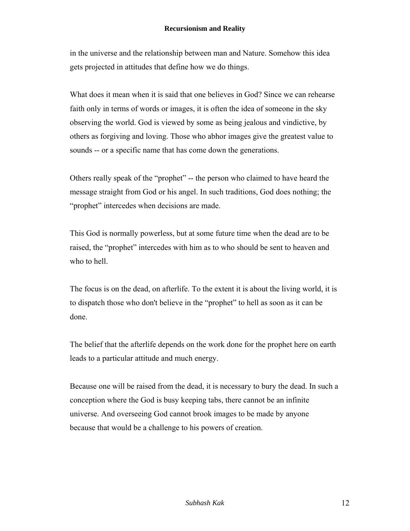in the universe and the relationship between man and Nature. Somehow this idea gets projected in attitudes that define how we do things.

What does it mean when it is said that one believes in God? Since we can rehearse faith only in terms of words or images, it is often the idea of someone in the sky observing the world. God is viewed by some as being jealous and vindictive, by others as forgiving and loving. Those who abhor images give the greatest value to sounds -- or a specific name that has come down the generations.

Others really speak of the "prophet" -- the person who claimed to have heard the message straight from God or his angel. In such traditions, God does nothing; the "prophet" intercedes when decisions are made.

This God is normally powerless, but at some future time when the dead are to be raised, the "prophet" intercedes with him as to who should be sent to heaven and who to hell.

The focus is on the dead, on afterlife. To the extent it is about the living world, it is to dispatch those who don't believe in the "prophet" to hell as soon as it can be done.

The belief that the afterlife depends on the work done for the prophet here on earth leads to a particular attitude and much energy.

Because one will be raised from the dead, it is necessary to bury the dead. In such a conception where the God is busy keeping tabs, there cannot be an infinite universe. And overseeing God cannot brook images to be made by anyone because that would be a challenge to his powers of creation.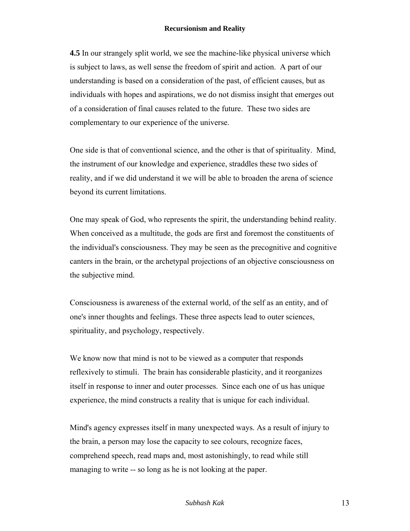**4.5** In our strangely split world, we see the machine-like physical universe which is subject to laws, as well sense the freedom of spirit and action. A part of our understanding is based on a consideration of the past, of efficient causes, but as individuals with hopes and aspirations, we do not dismiss insight that emerges out of a consideration of final causes related to the future. These two sides are complementary to our experience of the universe.

One side is that of conventional science, and the other is that of spirituality. Mind, the instrument of our knowledge and experience, straddles these two sides of reality, and if we did understand it we will be able to broaden the arena of science beyond its current limitations.

One may speak of God, who represents the spirit, the understanding behind reality. When conceived as a multitude, the gods are first and foremost the constituents of the individual's consciousness. They may be seen as the precognitive and cognitive canters in the brain, or the archetypal projections of an objective consciousness on the subjective mind.

Consciousness is awareness of the external world, of the self as an entity, and of one's inner thoughts and feelings. These three aspects lead to outer sciences, spirituality, and psychology, respectively.

We know now that mind is not to be viewed as a computer that responds reflexively to stimuli. The brain has considerable plasticity, and it reorganizes itself in response to inner and outer processes. Since each one of us has unique experience, the mind constructs a reality that is unique for each individual.

Mind's agency expresses itself in many unexpected ways. As a result of injury to the brain, a person may lose the capacity to see colours, recognize faces, comprehend speech, read maps and, most astonishingly, to read while still managing to write -- so long as he is not looking at the paper.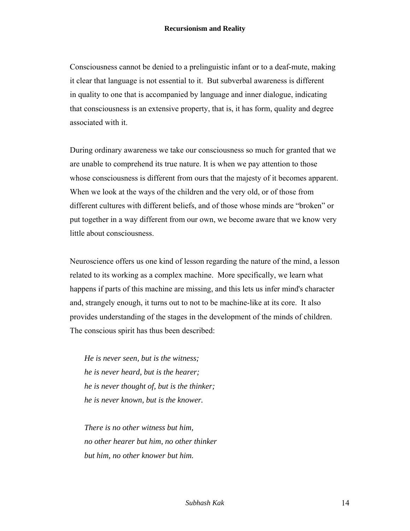Consciousness cannot be denied to a prelinguistic infant or to a deaf-mute, making it clear that language is not essential to it. But subverbal awareness is different in quality to one that is accompanied by language and inner dialogue, indicating that consciousness is an extensive property, that is, it has form, quality and degree associated with it.

During ordinary awareness we take our consciousness so much for granted that we are unable to comprehend its true nature. It is when we pay attention to those whose consciousness is different from ours that the majesty of it becomes apparent. When we look at the ways of the children and the very old, or of those from different cultures with different beliefs, and of those whose minds are "broken" or put together in a way different from our own, we become aware that we know very little about consciousness.

Neuroscience offers us one kind of lesson regarding the nature of the mind, a lesson related to its working as a complex machine. More specifically, we learn what happens if parts of this machine are missing, and this lets us infer mind's character and, strangely enough, it turns out to not to be machine-like at its core. It also provides understanding of the stages in the development of the minds of children. The conscious spirit has thus been described:

*He is never seen, but is the witness; he is never heard, but is the hearer; he is never thought of, but is the thinker; he is never known, but is the knower.* 

*There is no other witness but him, no other hearer but him, no other thinker but him, no other knower but him.*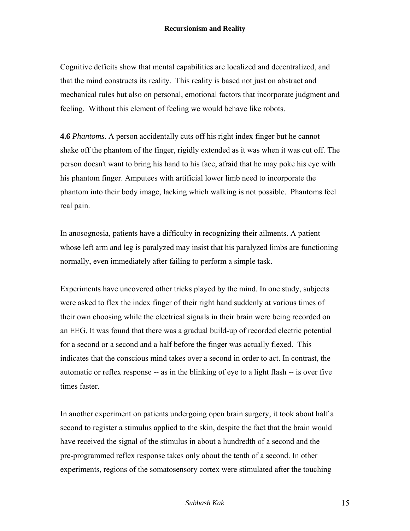Cognitive deficits show that mental capabilities are localized and decentralized, and that the mind constructs its reality. This reality is based not just on abstract and mechanical rules but also on personal, emotional factors that incorporate judgment and feeling. Without this element of feeling we would behave like robots.

**4.6** *Phantoms*. A person accidentally cuts off his right index finger but he cannot shake off the phantom of the finger, rigidly extended as it was when it was cut off. The person doesn't want to bring his hand to his face, afraid that he may poke his eye with his phantom finger. Amputees with artificial lower limb need to incorporate the phantom into their body image, lacking which walking is not possible. Phantoms feel real pain.

In anosognosia, patients have a difficulty in recognizing their ailments. A patient whose left arm and leg is paralyzed may insist that his paralyzed limbs are functioning normally, even immediately after failing to perform a simple task.

Experiments have uncovered other tricks played by the mind. In one study, subjects were asked to flex the index finger of their right hand suddenly at various times of their own choosing while the electrical signals in their brain were being recorded on an EEG. It was found that there was a gradual build-up of recorded electric potential for a second or a second and a half before the finger was actually flexed. This indicates that the conscious mind takes over a second in order to act. In contrast, the automatic or reflex response -- as in the blinking of eye to a light flash -- is over five times faster.

In another experiment on patients undergoing open brain surgery, it took about half a second to register a stimulus applied to the skin, despite the fact that the brain would have received the signal of the stimulus in about a hundredth of a second and the pre-programmed reflex response takes only about the tenth of a second. In other experiments, regions of the somatosensory cortex were stimulated after the touching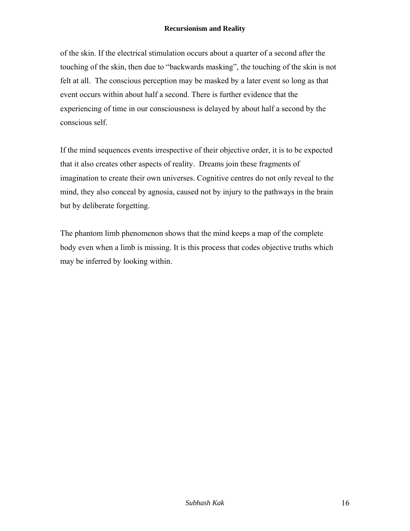of the skin. If the electrical stimulation occurs about a quarter of a second after the touching of the skin, then due to "backwards masking", the touching of the skin is not felt at all. The conscious perception may be masked by a later event so long as that event occurs within about half a second. There is further evidence that the experiencing of time in our consciousness is delayed by about half a second by the conscious self.

If the mind sequences events irrespective of their objective order, it is to be expected that it also creates other aspects of reality. Dreams join these fragments of imagination to create their own universes. Cognitive centres do not only reveal to the mind, they also conceal by agnosia, caused not by injury to the pathways in the brain but by deliberate forgetting.

The phantom limb phenomenon shows that the mind keeps a map of the complete body even when a limb is missing. It is this process that codes objective truths which may be inferred by looking within.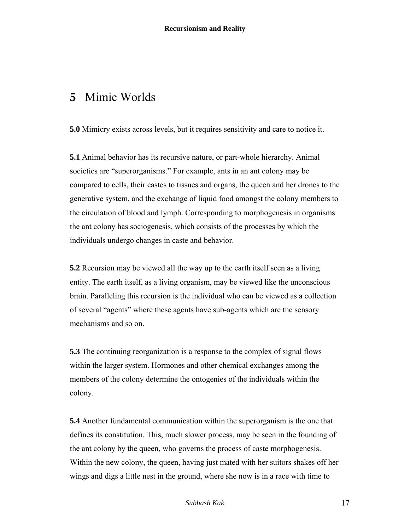### **5** Mimic Worlds

**5.0** Mimicry exists across levels, but it requires sensitivity and care to notice it.

**5.1** Animal behavior has its recursive nature, or part-whole hierarchy. Animal societies are "superorganisms." For example, ants in an ant colony may be compared to cells, their castes to tissues and organs, the queen and her drones to the generative system, and the exchange of liquid food amongst the colony members to the circulation of blood and lymph. Corresponding to morphogenesis in organisms the ant colony has sociogenesis, which consists of the processes by which the individuals undergo changes in caste and behavior.

**5.2** Recursion may be viewed all the way up to the earth itself seen as a living entity. The earth itself, as a living organism, may be viewed like the unconscious brain. Paralleling this recursion is the individual who can be viewed as a collection of several "agents" where these agents have sub-agents which are the sensory mechanisms and so on.

**5.3** The continuing reorganization is a response to the complex of signal flows within the larger system. Hormones and other chemical exchanges among the members of the colony determine the ontogenies of the individuals within the colony.

**5.4** Another fundamental communication within the superorganism is the one that defines its constitution. This, much slower process, may be seen in the founding of the ant colony by the queen, who governs the process of caste morphogenesis. Within the new colony, the queen, having just mated with her suitors shakes off her wings and digs a little nest in the ground, where she now is in a race with time to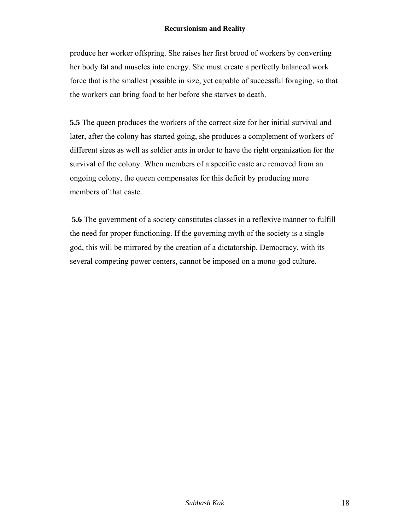produce her worker offspring. She raises her first brood of workers by converting her body fat and muscles into energy. She must create a perfectly balanced work force that is the smallest possible in size, yet capable of successful foraging, so that the workers can bring food to her before she starves to death.

**5.5** The queen produces the workers of the correct size for her initial survival and later, after the colony has started going, she produces a complement of workers of different sizes as well as soldier ants in order to have the right organization for the survival of the colony. When members of a specific caste are removed from an ongoing colony, the queen compensates for this deficit by producing more members of that caste.

 **5.6** The government of a society constitutes classes in a reflexive manner to fulfill the need for proper functioning. If the governing myth of the society is a single god, this will be mirrored by the creation of a dictatorship. Democracy, with its several competing power centers, cannot be imposed on a mono-god culture.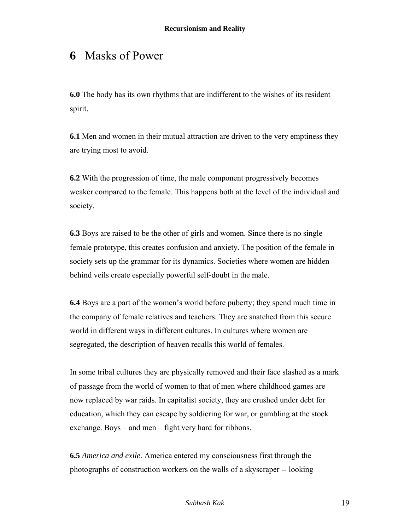## **6** Masks of Power

**6.0** The body has its own rhythms that are indifferent to the wishes of its resident spirit.

**6.1** Men and women in their mutual attraction are driven to the very emptiness they are trying most to avoid.

**6.2** With the progression of time, the male component progressively becomes weaker compared to the female. This happens both at the level of the individual and society.

**6.3** Boys are raised to be the other of girls and women. Since there is no single female prototype, this creates confusion and anxiety. The position of the female in society sets up the grammar for its dynamics. Societies where women are hidden behind veils create especially powerful self-doubt in the male.

**6.4** Boys are a part of the women's world before puberty; they spend much time in the company of female relatives and teachers. They are snatched from this secure world in different ways in different cultures. In cultures where women are segregated, the description of heaven recalls this world of females.

In some tribal cultures they are physically removed and their face slashed as a mark of passage from the world of women to that of men where childhood games are now replaced by war raids. In capitalist society, they are crushed under debt for education, which they can escape by soldiering for war, or gambling at the stock exchange. Boys – and men – fight very hard for ribbons.

**6.5** *America and exile.* America entered my consciousness first through the photographs of construction workers on the walls of a skyscraper -- looking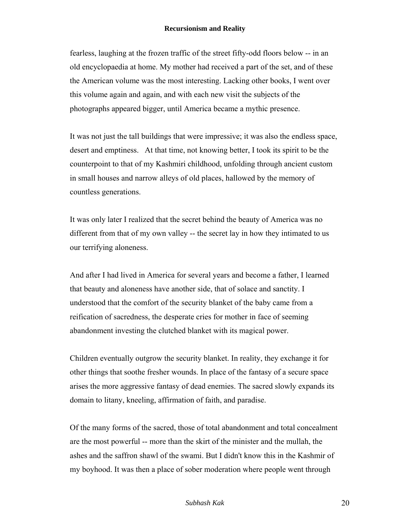fearless, laughing at the frozen traffic of the street fifty-odd floors below -- in an old encyclopaedia at home. My mother had received a part of the set, and of these the American volume was the most interesting. Lacking other books, I went over this volume again and again, and with each new visit the subjects of the photographs appeared bigger, until America became a mythic presence.

It was not just the tall buildings that were impressive; it was also the endless space, desert and emptiness. At that time, not knowing better, I took its spirit to be the counterpoint to that of my Kashmiri childhood, unfolding through ancient custom in small houses and narrow alleys of old places, hallowed by the memory of countless generations.

It was only later I realized that the secret behind the beauty of America was no different from that of my own valley -- the secret lay in how they intimated to us our terrifying aloneness.

And after I had lived in America for several years and become a father, I learned that beauty and aloneness have another side, that of solace and sanctity. I understood that the comfort of the security blanket of the baby came from a reification of sacredness, the desperate cries for mother in face of seeming abandonment investing the clutched blanket with its magical power.

Children eventually outgrow the security blanket. In reality, they exchange it for other things that soothe fresher wounds. In place of the fantasy of a secure space arises the more aggressive fantasy of dead enemies. The sacred slowly expands its domain to litany, kneeling, affirmation of faith, and paradise.

Of the many forms of the sacred, those of total abandonment and total concealment are the most powerful -- more than the skirt of the minister and the mullah, the ashes and the saffron shawl of the swami. But I didn't know this in the Kashmir of my boyhood. It was then a place of sober moderation where people went through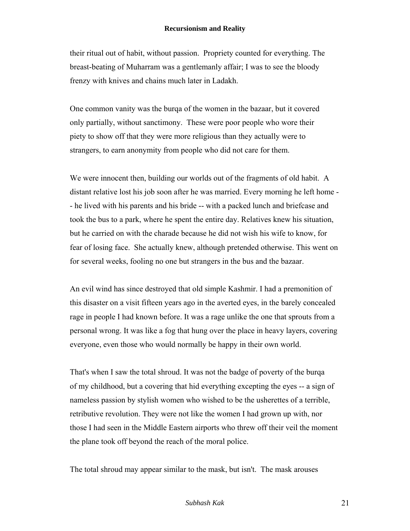their ritual out of habit, without passion. Propriety counted for everything. The breast-beating of Muharram was a gentlemanly affair; I was to see the bloody frenzy with knives and chains much later in Ladakh.

One common vanity was the burqa of the women in the bazaar, but it covered only partially, without sanctimony. These were poor people who wore their piety to show off that they were more religious than they actually were to strangers, to earn anonymity from people who did not care for them.

We were innocent then, building our worlds out of the fragments of old habit. A distant relative lost his job soon after he was married. Every morning he left home - - he lived with his parents and his bride -- with a packed lunch and briefcase and took the bus to a park, where he spent the entire day. Relatives knew his situation, but he carried on with the charade because he did not wish his wife to know, for fear of losing face. She actually knew, although pretended otherwise. This went on for several weeks, fooling no one but strangers in the bus and the bazaar.

An evil wind has since destroyed that old simple Kashmir. I had a premonition of this disaster on a visit fifteen years ago in the averted eyes, in the barely concealed rage in people I had known before. It was a rage unlike the one that sprouts from a personal wrong. It was like a fog that hung over the place in heavy layers, covering everyone, even those who would normally be happy in their own world.

That's when I saw the total shroud. It was not the badge of poverty of the burqa of my childhood, but a covering that hid everything excepting the eyes -- a sign of nameless passion by stylish women who wished to be the usherettes of a terrible, retributive revolution. They were not like the women I had grown up with, nor those I had seen in the Middle Eastern airports who threw off their veil the moment the plane took off beyond the reach of the moral police.

The total shroud may appear similar to the mask, but isn't. The mask arouses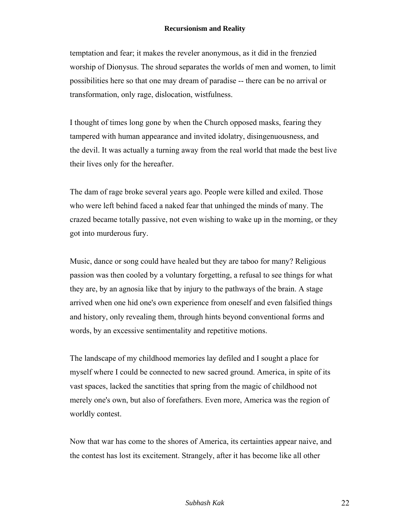temptation and fear; it makes the reveler anonymous, as it did in the frenzied worship of Dionysus. The shroud separates the worlds of men and women, to limit possibilities here so that one may dream of paradise -- there can be no arrival or transformation, only rage, dislocation, wistfulness.

I thought of times long gone by when the Church opposed masks, fearing they tampered with human appearance and invited idolatry, disingenuousness, and the devil. It was actually a turning away from the real world that made the best live their lives only for the hereafter.

The dam of rage broke several years ago. People were killed and exiled. Those who were left behind faced a naked fear that unhinged the minds of many. The crazed became totally passive, not even wishing to wake up in the morning, or they got into murderous fury.

Music, dance or song could have healed but they are taboo for many? Religious passion was then cooled by a voluntary forgetting, a refusal to see things for what they are, by an agnosia like that by injury to the pathways of the brain. A stage arrived when one hid one's own experience from oneself and even falsified things and history, only revealing them, through hints beyond conventional forms and words, by an excessive sentimentality and repetitive motions.

The landscape of my childhood memories lay defiled and I sought a place for myself where I could be connected to new sacred ground. America, in spite of its vast spaces, lacked the sanctities that spring from the magic of childhood not merely one's own, but also of forefathers. Even more, America was the region of worldly contest.

Now that war has come to the shores of America, its certainties appear naive, and the contest has lost its excitement. Strangely, after it has become like all other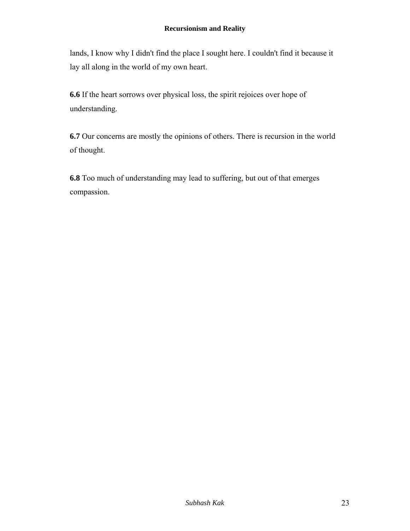lands, I know why I didn't find the place I sought here. I couldn't find it because it lay all along in the world of my own heart.

**6.6** If the heart sorrows over physical loss, the spirit rejoices over hope of understanding.

**6.7** Our concerns are mostly the opinions of others. There is recursion in the world of thought.

**6.8** Too much of understanding may lead to suffering, but out of that emerges compassion.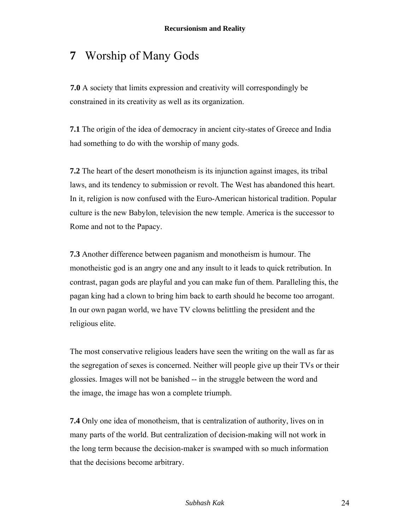## **7** Worship of Many Gods

**7.0** A society that limits expression and creativity will correspondingly be constrained in its creativity as well as its organization.

**7.1** The origin of the idea of democracy in ancient city-states of Greece and India had something to do with the worship of many gods.

**7.2** The heart of the desert monotheism is its injunction against images, its tribal laws, and its tendency to submission or revolt. The West has abandoned this heart. In it, religion is now confused with the Euro-American historical tradition. Popular culture is the new Babylon, television the new temple. America is the successor to Rome and not to the Papacy.

**7.3** Another difference between paganism and monotheism is humour. The monotheistic god is an angry one and any insult to it leads to quick retribution. In contrast, pagan gods are playful and you can make fun of them. Paralleling this, the pagan king had a clown to bring him back to earth should he become too arrogant. In our own pagan world, we have TV clowns belittling the president and the religious elite.

The most conservative religious leaders have seen the writing on the wall as far as the segregation of sexes is concerned. Neither will people give up their TVs or their glossies. Images will not be banished -- in the struggle between the word and the image, the image has won a complete triumph.

**7.4** Only one idea of monotheism, that is centralization of authority, lives on in many parts of the world. But centralization of decision-making will not work in the long term because the decision-maker is swamped with so much information that the decisions become arbitrary.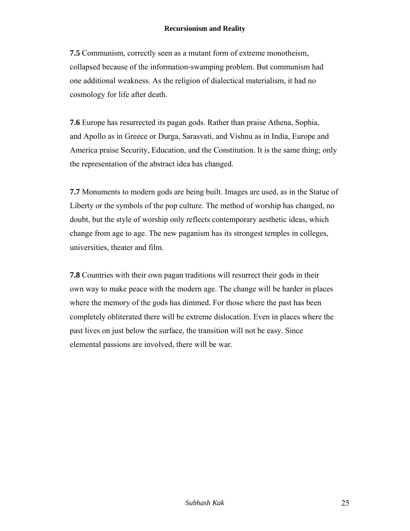**7.5** Communism, correctly seen as a mutant form of extreme monotheism, collapsed because of the information-swamping problem. But communism had one additional weakness. As the religion of dialectical materialism, it had no cosmology for life after death.

**7.6** Europe has resurrected its pagan gods. Rather than praise Athena, Sophia, and Apollo as in Greece or Durga, Sarasvati, and Vishnu as in India, Europe and America praise Security, Education, and the Constitution. It is the same thing; only the representation of the abstract idea has changed.

**7.7** Monuments to modern gods are being built. Images are used, as in the Statue of Liberty or the symbols of the pop culture. The method of worship has changed, no doubt, but the style of worship only reflects contemporary aesthetic ideas, which change from age to age. The new paganism has its strongest temples in colleges, universities, theater and film.

**7.8** Countries with their own pagan traditions will resurrect their gods in their own way to make peace with the modern age. The change will be harder in places where the memory of the gods has dimmed. For those where the past has been completely obliterated there will be extreme dislocation. Even in places where the past lives on just below the surface, the transition will not be easy. Since elemental passions are involved, there will be war.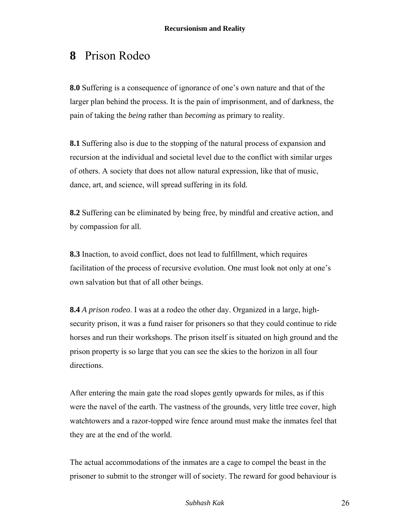## **8** Prison Rodeo

**8.0** Suffering is a consequence of ignorance of one's own nature and that of the larger plan behind the process. It is the pain of imprisonment, and of darkness, the pain of taking the *being* rather than *becoming* as primary to reality.

**8.1** Suffering also is due to the stopping of the natural process of expansion and recursion at the individual and societal level due to the conflict with similar urges of others. A society that does not allow natural expression, like that of music, dance, art, and science, will spread suffering in its fold.

**8.2** Suffering can be eliminated by being free, by mindful and creative action, and by compassion for all.

**8.3** Inaction, to avoid conflict, does not lead to fulfillment, which requires facilitation of the process of recursive evolution. One must look not only at one's own salvation but that of all other beings.

**8.4** *A prison rodeo*. I was at a rodeo the other day. Organized in a large, highsecurity prison, it was a fund raiser for prisoners so that they could continue to ride horses and run their workshops. The prison itself is situated on high ground and the prison property is so large that you can see the skies to the horizon in all four directions.

After entering the main gate the road slopes gently upwards for miles, as if this were the navel of the earth. The vastness of the grounds, very little tree cover, high watchtowers and a razor-topped wire fence around must make the inmates feel that they are at the end of the world.

The actual accommodations of the inmates are a cage to compel the beast in the prisoner to submit to the stronger will of society. The reward for good behaviour is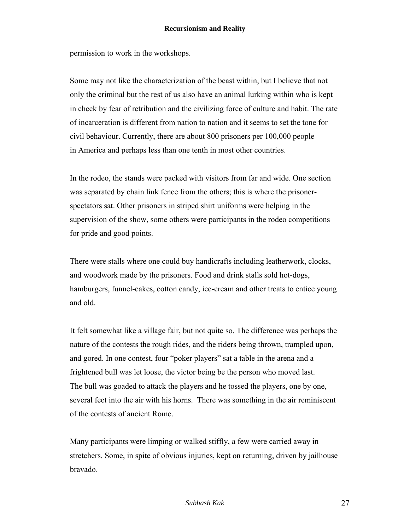permission to work in the workshops.

Some may not like the characterization of the beast within, but I believe that not only the criminal but the rest of us also have an animal lurking within who is kept in check by fear of retribution and the civilizing force of culture and habit. The rate of incarceration is different from nation to nation and it seems to set the tone for civil behaviour. Currently, there are about 800 prisoners per 100,000 people in America and perhaps less than one tenth in most other countries.

In the rodeo, the stands were packed with visitors from far and wide. One section was separated by chain link fence from the others; this is where the prisonerspectators sat. Other prisoners in striped shirt uniforms were helping in the supervision of the show, some others were participants in the rodeo competitions for pride and good points.

There were stalls where one could buy handicrafts including leatherwork, clocks, and woodwork made by the prisoners. Food and drink stalls sold hot-dogs, hamburgers, funnel-cakes, cotton candy, ice-cream and other treats to entice young and old.

It felt somewhat like a village fair, but not quite so. The difference was perhaps the nature of the contests the rough rides, and the riders being thrown, trampled upon, and gored. In one contest, four "poker players" sat a table in the arena and a frightened bull was let loose, the victor being be the person who moved last. The bull was goaded to attack the players and he tossed the players, one by one, several feet into the air with his horns. There was something in the air reminiscent of the contests of ancient Rome.

Many participants were limping or walked stiffly, a few were carried away in stretchers. Some, in spite of obvious injuries, kept on returning, driven by jailhouse bravado.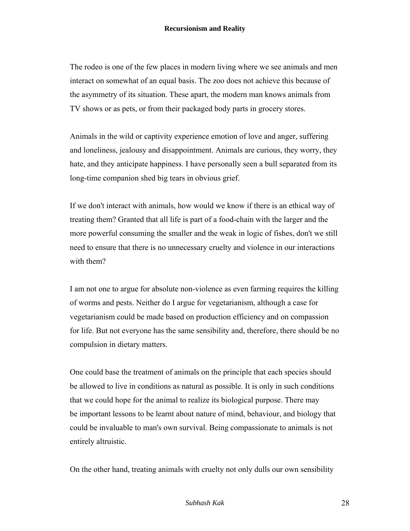The rodeo is one of the few places in modern living where we see animals and men interact on somewhat of an equal basis. The zoo does not achieve this because of the asymmetry of its situation. These apart, the modern man knows animals from TV shows or as pets, or from their packaged body parts in grocery stores.

Animals in the wild or captivity experience emotion of love and anger, suffering and loneliness, jealousy and disappointment. Animals are curious, they worry, they hate, and they anticipate happiness. I have personally seen a bull separated from its long-time companion shed big tears in obvious grief.

If we don't interact with animals, how would we know if there is an ethical way of treating them? Granted that all life is part of a food-chain with the larger and the more powerful consuming the smaller and the weak in logic of fishes, don't we still need to ensure that there is no unnecessary cruelty and violence in our interactions with them?

I am not one to argue for absolute non-violence as even farming requires the killing of worms and pests. Neither do I argue for vegetarianism, although a case for vegetarianism could be made based on production efficiency and on compassion for life. But not everyone has the same sensibility and, therefore, there should be no compulsion in dietary matters.

One could base the treatment of animals on the principle that each species should be allowed to live in conditions as natural as possible. It is only in such conditions that we could hope for the animal to realize its biological purpose. There may be important lessons to be learnt about nature of mind, behaviour, and biology that could be invaluable to man's own survival. Being compassionate to animals is not entirely altruistic.

On the other hand, treating animals with cruelty not only dulls our own sensibility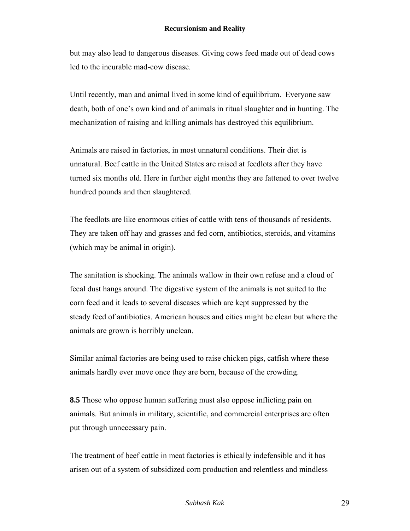but may also lead to dangerous diseases. Giving cows feed made out of dead cows led to the incurable mad-cow disease.

Until recently, man and animal lived in some kind of equilibrium. Everyone saw death, both of one's own kind and of animals in ritual slaughter and in hunting. The mechanization of raising and killing animals has destroyed this equilibrium.

Animals are raised in factories, in most unnatural conditions. Their diet is unnatural. Beef cattle in the United States are raised at feedlots after they have turned six months old. Here in further eight months they are fattened to over twelve hundred pounds and then slaughtered.

The feedlots are like enormous cities of cattle with tens of thousands of residents. They are taken off hay and grasses and fed corn, antibiotics, steroids, and vitamins (which may be animal in origin).

The sanitation is shocking. The animals wallow in their own refuse and a cloud of fecal dust hangs around. The digestive system of the animals is not suited to the corn feed and it leads to several diseases which are kept suppressed by the steady feed of antibiotics. American houses and cities might be clean but where the animals are grown is horribly unclean.

Similar animal factories are being used to raise chicken pigs, catfish where these animals hardly ever move once they are born, because of the crowding.

**8.5** Those who oppose human suffering must also oppose inflicting pain on animals. But animals in military, scientific, and commercial enterprises are often put through unnecessary pain.

The treatment of beef cattle in meat factories is ethically indefensible and it has arisen out of a system of subsidized corn production and relentless and mindless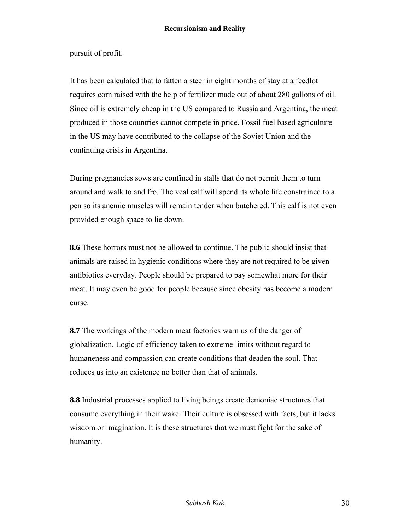pursuit of profit.

It has been calculated that to fatten a steer in eight months of stay at a feedlot requires corn raised with the help of fertilizer made out of about 280 gallons of oil. Since oil is extremely cheap in the US compared to Russia and Argentina, the meat produced in those countries cannot compete in price. Fossil fuel based agriculture in the US may have contributed to the collapse of the Soviet Union and the continuing crisis in Argentina.

During pregnancies sows are confined in stalls that do not permit them to turn around and walk to and fro. The veal calf will spend its whole life constrained to a pen so its anemic muscles will remain tender when butchered. This calf is not even provided enough space to lie down.

**8.6** These horrors must not be allowed to continue. The public should insist that animals are raised in hygienic conditions where they are not required to be given antibiotics everyday. People should be prepared to pay somewhat more for their meat. It may even be good for people because since obesity has become a modern curse.

**8.7** The workings of the modern meat factories warn us of the danger of globalization. Logic of efficiency taken to extreme limits without regard to humaneness and compassion can create conditions that deaden the soul. That reduces us into an existence no better than that of animals.

**8.8** Industrial processes applied to living beings create demoniac structures that consume everything in their wake. Their culture is obsessed with facts, but it lacks wisdom or imagination. It is these structures that we must fight for the sake of humanity.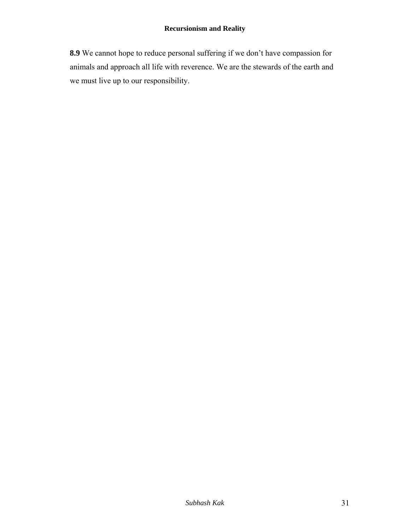**8.9** We cannot hope to reduce personal suffering if we don't have compassion for animals and approach all life with reverence. We are the stewards of the earth and we must live up to our responsibility.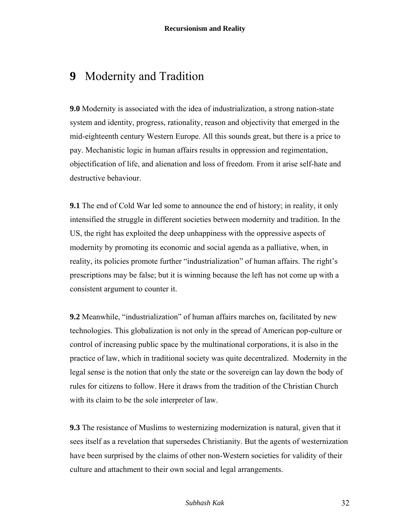### **9** Modernity and Tradition

**9.0** Modernity is associated with the idea of industrialization, a strong nation-state system and identity, progress, rationality, reason and objectivity that emerged in the mid-eighteenth century Western Europe. All this sounds great, but there is a price to pay. Mechanistic logic in human affairs results in oppression and regimentation, objectification of life, and alienation and loss of freedom. From it arise self-hate and destructive behaviour.

**9.1** The end of Cold War led some to announce the end of history; in reality, it only intensified the struggle in different societies between modernity and tradition. In the US, the right has exploited the deep unhappiness with the oppressive aspects of modernity by promoting its economic and social agenda as a palliative, when, in reality, its policies promote further "industrialization" of human affairs. The right's prescriptions may be false; but it is winning because the left has not come up with a consistent argument to counter it.

**9.2** Meanwhile, "industrialization" of human affairs marches on, facilitated by new technologies. This globalization is not only in the spread of American pop-culture or control of increasing public space by the multinational corporations, it is also in the practice of law, which in traditional society was quite decentralized. Modernity in the legal sense is the notion that only the state or the sovereign can lay down the body of rules for citizens to follow. Here it draws from the tradition of the Christian Church with its claim to be the sole interpreter of law.

**9.3** The resistance of Muslims to westernizing modernization is natural, given that it sees itself as a revelation that supersedes Christianity. But the agents of westernization have been surprised by the claims of other non-Western societies for validity of their culture and attachment to their own social and legal arrangements.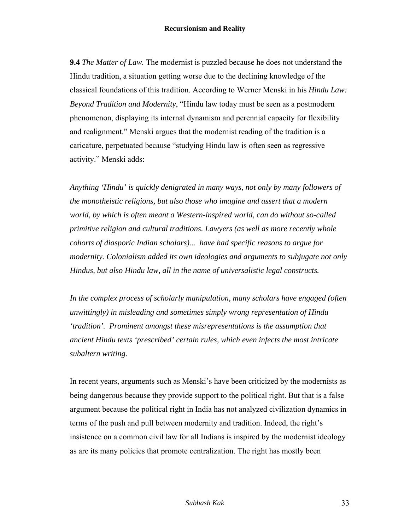**9.4** *The Matter of Law.* The modernist is puzzled because he does not understand the Hindu tradition, a situation getting worse due to the declining knowledge of the classical foundations of this tradition. According to Werner Menski in his *Hindu Law: Beyond Tradition and Modernity*, "Hindu law today must be seen as a postmodern phenomenon, displaying its internal dynamism and perennial capacity for flexibility and realignment." Menski argues that the modernist reading of the tradition is a caricature, perpetuated because "studying Hindu law is often seen as regressive activity." Menski adds:

*Anything 'Hindu' is quickly denigrated in many ways, not only by many followers of the monotheistic religions, but also those who imagine and assert that a modern world, by which is often meant a Western-inspired world, can do without so-called primitive religion and cultural traditions. Lawyers (as well as more recently whole cohorts of diasporic Indian scholars)... have had specific reasons to argue for modernity. Colonialism added its own ideologies and arguments to subjugate not only Hindus, but also Hindu law, all in the name of universalistic legal constructs.* 

*In the complex process of scholarly manipulation, many scholars have engaged (often unwittingly) in misleading and sometimes simply wrong representation of Hindu 'tradition'. Prominent amongst these misrepresentations is the assumption that ancient Hindu texts 'prescribed' certain rules, which even infects the most intricate subaltern writing.* 

In recent years, arguments such as Menski's have been criticized by the modernists as being dangerous because they provide support to the political right. But that is a false argument because the political right in India has not analyzed civilization dynamics in terms of the push and pull between modernity and tradition. Indeed, the right's insistence on a common civil law for all Indians is inspired by the modernist ideology as are its many policies that promote centralization. The right has mostly been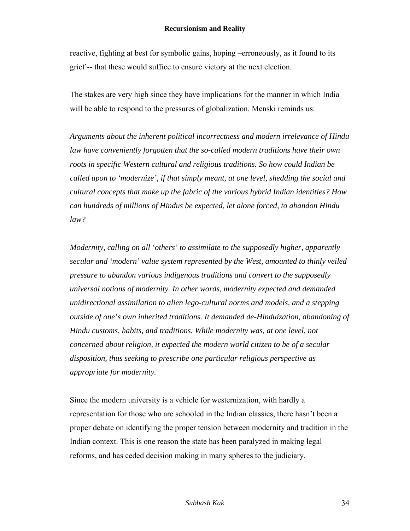reactive, fighting at best for symbolic gains, hoping –erroneously, as it found to its grief -- that these would suffice to ensure victory at the next election.

The stakes are very high since they have implications for the manner in which India will be able to respond to the pressures of globalization. Menski reminds us:

*Arguments about the inherent political incorrectness and modern irrelevance of Hindu law have conveniently forgotten that the so-called modern traditions have their own roots in specific Western cultural and religious traditions. So how could Indian be called upon to 'modernize', if that simply meant, at one level, shedding the social and cultural concepts that make up the fabric of the various hybrid Indian identities? How can hundreds of millions of Hindus be expected, let alone forced, to abandon Hindu law?* 

*Modernity, calling on all 'others' to assimilate to the supposedly higher, apparently secular and 'modern' value system represented by the West, amounted to thinly veiled pressure to abandon various indigenous traditions and convert to the supposedly universal notions of modernity. In other words, modernity expected and demanded unidirectional assimilation to alien lego-cultural norms and models, and a stepping outside of one's own inherited traditions. It demanded de-Hinduization, abandoning of Hindu customs, habits, and traditions. While modernity was, at one level, not concerned about religion, it expected the modern world citizen to be of a secular disposition, thus seeking to prescribe one particular religious perspective as appropriate for modernity.*

Since the modern university is a vehicle for westernization, with hardly a representation for those who are schooled in the Indian classics, there hasn't been a proper debate on identifying the proper tension between modernity and tradition in the Indian context. This is one reason the state has been paralyzed in making legal reforms, and has ceded decision making in many spheres to the judiciary.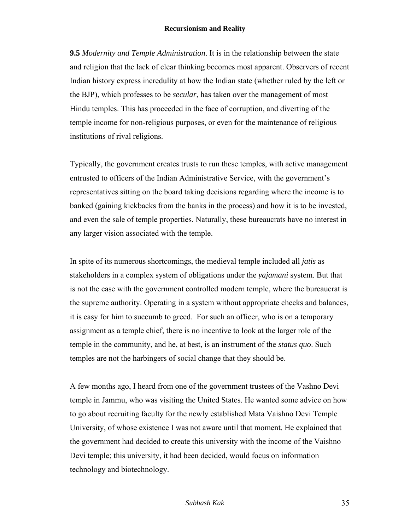**9.5** *Modernity and Temple Administration*. It is in the relationship between the state and religion that the lack of clear thinking becomes most apparent. Observers of recent Indian history express incredulity at how the Indian state (whether ruled by the left or the BJP), which professes to be *secular*, has taken over the management of most Hindu temples. This has proceeded in the face of corruption, and diverting of the temple income for non-religious purposes, or even for the maintenance of religious institutions of rival religions.

Typically, the government creates trusts to run these temples, with active management entrusted to officers of the Indian Administrative Service, with the government's representatives sitting on the board taking decisions regarding where the income is to banked (gaining kickbacks from the banks in the process) and how it is to be invested, and even the sale of temple properties. Naturally, these bureaucrats have no interest in any larger vision associated with the temple.

In spite of its numerous shortcomings, the medieval temple included all *jatis* as stakeholders in a complex system of obligations under the *yajamani* system. But that is not the case with the government controlled modern temple, where the bureaucrat is the supreme authority. Operating in a system without appropriate checks and balances, it is easy for him to succumb to greed. For such an officer, who is on a temporary assignment as a temple chief, there is no incentive to look at the larger role of the temple in the community, and he, at best, is an instrument of the *status quo*. Such temples are not the harbingers of social change that they should be.

A few months ago, I heard from one of the government trustees of the Vashno Devi temple in Jammu, who was visiting the United States. He wanted some advice on how to go about recruiting faculty for the newly established Mata Vaishno Devi Temple University, of whose existence I was not aware until that moment. He explained that the government had decided to create this university with the income of the Vaishno Devi temple; this university, it had been decided, would focus on information technology and biotechnology.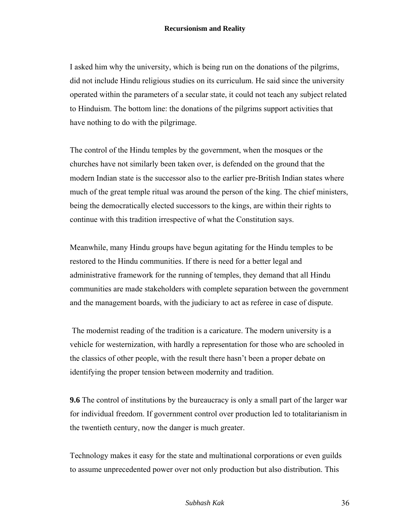I asked him why the university, which is being run on the donations of the pilgrims, did not include Hindu religious studies on its curriculum. He said since the university operated within the parameters of a secular state, it could not teach any subject related to Hinduism. The bottom line: the donations of the pilgrims support activities that have nothing to do with the pilgrimage.

The control of the Hindu temples by the government, when the mosques or the churches have not similarly been taken over, is defended on the ground that the modern Indian state is the successor also to the earlier pre-British Indian states where much of the great temple ritual was around the person of the king. The chief ministers, being the democratically elected successors to the kings, are within their rights to continue with this tradition irrespective of what the Constitution says.

Meanwhile, many Hindu groups have begun agitating for the Hindu temples to be restored to the Hindu communities. If there is need for a better legal and administrative framework for the running of temples, they demand that all Hindu communities are made stakeholders with complete separation between the government and the management boards, with the judiciary to act as referee in case of dispute.

The modernist reading of the tradition is a caricature. The modern university is a vehicle for westernization, with hardly a representation for those who are schooled in the classics of other people, with the result there hasn't been a proper debate on identifying the proper tension between modernity and tradition.

**9.6** The control of institutions by the bureaucracy is only a small part of the larger war for individual freedom. If government control over production led to totalitarianism in the twentieth century, now the danger is much greater.

Technology makes it easy for the state and multinational corporations or even guilds to assume unprecedented power over not only production but also distribution. This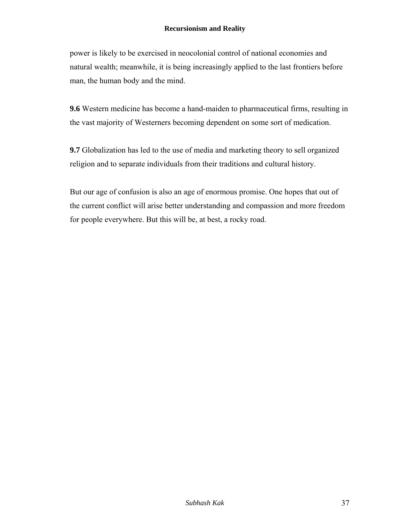power is likely to be exercised in neocolonial control of national economies and natural wealth; meanwhile, it is being increasingly applied to the last frontiers before man, the human body and the mind.

**9.6** Western medicine has become a hand-maiden to pharmaceutical firms, resulting in the vast majority of Westerners becoming dependent on some sort of medication.

**9.7** Globalization has led to the use of media and marketing theory to sell organized religion and to separate individuals from their traditions and cultural history.

But our age of confusion is also an age of enormous promise. One hopes that out of the current conflict will arise better understanding and compassion and more freedom for people everywhere. But this will be, at best, a rocky road.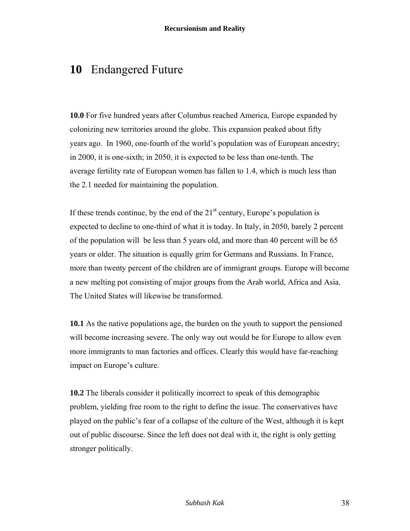## **10** Endangered Future

**10.0** For five hundred years after Columbus reached America, Europe expanded by colonizing new territories around the globe. This expansion peaked about fifty years ago. In 1960, one-fourth of the world's population was of European ancestry; in 2000, it is one-sixth; in 2050, it is expected to be less than one-tenth. The average fertility rate of European women has fallen to 1.4, which is much less than the 2.1 needed for maintaining the population.

If these trends continue, by the end of the  $21<sup>st</sup>$  century, Europe's population is expected to decline to one-third of what it is today. In Italy, in 2050, barely 2 percent of the population will be less than 5 years old, and more than 40 percent will be 65 years or older. The situation is equally grim for Germans and Russians. In France, more than twenty percent of the children are of immigrant groups. Europe will become a new melting pot consisting of major groups from the Arab world, Africa and Asia. The United States will likewise be transformed.

**10.1** As the native populations age, the burden on the youth to support the pensioned will become increasing severe. The only way out would be for Europe to allow even more immigrants to man factories and offices. Clearly this would have far-reaching impact on Europe's culture.

**10.2** The liberals consider it politically incorrect to speak of this demographic problem, yielding free room to the right to define the issue. The conservatives have played on the public's fear of a collapse of the culture of the West, although it is kept out of public discourse. Since the left does not deal with it, the right is only getting stronger politically.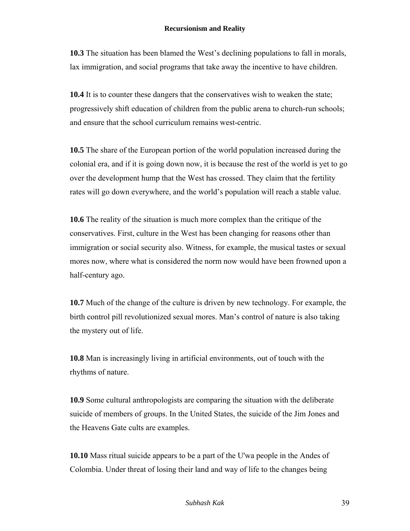**10.3** The situation has been blamed the West's declining populations to fall in morals, lax immigration, and social programs that take away the incentive to have children.

**10.4** It is to counter these dangers that the conservatives wish to weaken the state; progressively shift education of children from the public arena to church-run schools; and ensure that the school curriculum remains west-centric.

**10.5** The share of the European portion of the world population increased during the colonial era, and if it is going down now, it is because the rest of the world is yet to go over the development hump that the West has crossed. They claim that the fertility rates will go down everywhere, and the world's population will reach a stable value.

**10.6** The reality of the situation is much more complex than the critique of the conservatives. First, culture in the West has been changing for reasons other than immigration or social security also. Witness, for example, the musical tastes or sexual mores now, where what is considered the norm now would have been frowned upon a half-century ago.

**10.7** Much of the change of the culture is driven by new technology. For example, the birth control pill revolutionized sexual mores. Man's control of nature is also taking the mystery out of life.

**10.8** Man is increasingly living in artificial environments, out of touch with the rhythms of nature.

**10.9** Some cultural anthropologists are comparing the situation with the deliberate suicide of members of groups. In the United States, the suicide of the Jim Jones and the Heavens Gate cults are examples.

**10.10** Mass ritual suicide appears to be a part of the U'wa people in the Andes of Colombia. Under threat of losing their land and way of life to the changes being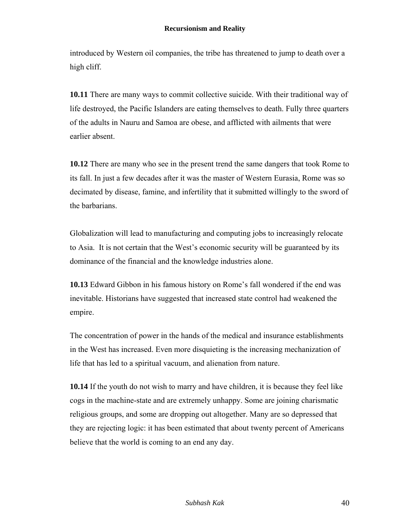introduced by Western oil companies, the tribe has threatened to jump to death over a high cliff.

**10.11** There are many ways to commit collective suicide. With their traditional way of life destroyed, the Pacific Islanders are eating themselves to death. Fully three quarters of the adults in Nauru and Samoa are obese, and afflicted with ailments that were earlier absent.

**10.12** There are many who see in the present trend the same dangers that took Rome to its fall. In just a few decades after it was the master of Western Eurasia, Rome was so decimated by disease, famine, and infertility that it submitted willingly to the sword of the barbarians.

Globalization will lead to manufacturing and computing jobs to increasingly relocate to Asia. It is not certain that the West's economic security will be guaranteed by its dominance of the financial and the knowledge industries alone.

**10.13** Edward Gibbon in his famous history on Rome's fall wondered if the end was inevitable. Historians have suggested that increased state control had weakened the empire.

The concentration of power in the hands of the medical and insurance establishments in the West has increased. Even more disquieting is the increasing mechanization of life that has led to a spiritual vacuum, and alienation from nature.

**10.14** If the youth do not wish to marry and have children, it is because they feel like cogs in the machine-state and are extremely unhappy. Some are joining charismatic religious groups, and some are dropping out altogether. Many are so depressed that they are rejecting logic: it has been estimated that about twenty percent of Americans believe that the world is coming to an end any day.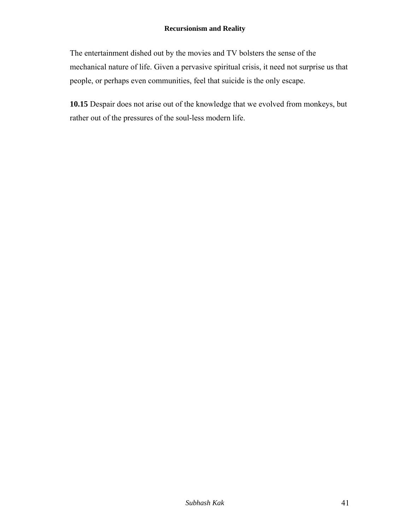The entertainment dished out by the movies and TV bolsters the sense of the mechanical nature of life. Given a pervasive spiritual crisis, it need not surprise us that people, or perhaps even communities, feel that suicide is the only escape.

**10.15** Despair does not arise out of the knowledge that we evolved from monkeys, but rather out of the pressures of the soul-less modern life.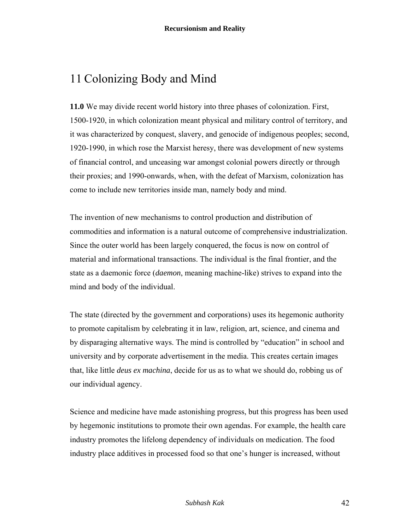# 11 Colonizing Body and Mind

**11.0** We may divide recent world history into three phases of colonization. First, 1500-1920, in which colonization meant physical and military control of territory, and it was characterized by conquest, slavery, and genocide of indigenous peoples; second, 1920-1990, in which rose the Marxist heresy, there was development of new systems of financial control, and unceasing war amongst colonial powers directly or through their proxies; and 1990-onwards, when, with the defeat of Marxism, colonization has come to include new territories inside man, namely body and mind.

The invention of new mechanisms to control production and distribution of commodities and information is a natural outcome of comprehensive industrialization. Since the outer world has been largely conquered, the focus is now on control of material and informational transactions. The individual is the final frontier, and the state as a daemonic force (*daemon*, meaning machine-like) strives to expand into the mind and body of the individual.

The state (directed by the government and corporations) uses its hegemonic authority to promote capitalism by celebrating it in law, religion, art, science, and cinema and by disparaging alternative ways. The mind is controlled by "education" in school and university and by corporate advertisement in the media. This creates certain images that, like little *deus ex machina*, decide for us as to what we should do, robbing us of our individual agency.

Science and medicine have made astonishing progress, but this progress has been used by hegemonic institutions to promote their own agendas. For example, the health care industry promotes the lifelong dependency of individuals on medication. The food industry place additives in processed food so that one's hunger is increased, without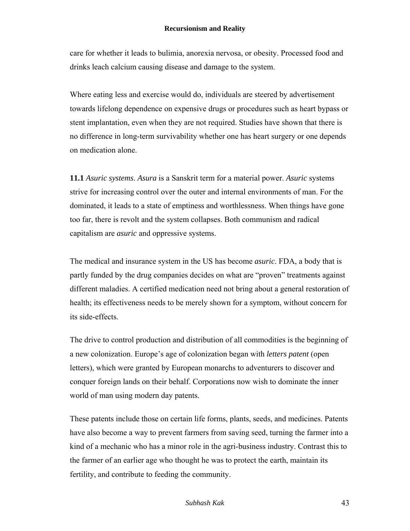care for whether it leads to bulimia, anorexia nervosa, or obesity. Processed food and drinks leach calcium causing disease and damage to the system.

Where eating less and exercise would do, individuals are steered by advertisement towards lifelong dependence on expensive drugs or procedures such as heart bypass or stent implantation, even when they are not required. Studies have shown that there is no difference in long-term survivability whether one has heart surgery or one depends on medication alone.

**11.1** *Asuric systems*. *Asura* is a Sanskrit term for a material power. *Asuric* systems strive for increasing control over the outer and internal environments of man. For the dominated, it leads to a state of emptiness and worthlessness. When things have gone too far, there is revolt and the system collapses. Both communism and radical capitalism are *asuric* and oppressive systems.

The medical and insurance system in the US has become *asuric*. FDA, a body that is partly funded by the drug companies decides on what are "proven" treatments against different maladies. A certified medication need not bring about a general restoration of health; its effectiveness needs to be merely shown for a symptom, without concern for its side-effects.

The drive to control production and distribution of all commodities is the beginning of a new colonization. Europe's age of colonization began with *letters patent* (open letters), which were granted by European monarchs to adventurers to discover and conquer foreign lands on their behalf. Corporations now wish to dominate the inner world of man using modern day patents.

These patents include those on certain life forms, plants, seeds, and medicines. Patents have also become a way to prevent farmers from saving seed, turning the farmer into a kind of a mechanic who has a minor role in the agri-business industry. Contrast this to the farmer of an earlier age who thought he was to protect the earth, maintain its fertility, and contribute to feeding the community.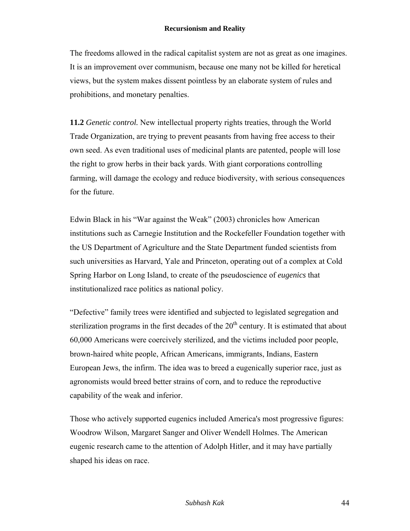The freedoms allowed in the radical capitalist system are not as great as one imagines. It is an improvement over communism, because one many not be killed for heretical views, but the system makes dissent pointless by an elaborate system of rules and prohibitions, and monetary penalties.

**11.2** *Genetic control.* New intellectual property rights treaties, through the World Trade Organization, are trying to prevent peasants from having free access to their own seed. As even traditional uses of medicinal plants are patented, people will lose the right to grow herbs in their back yards. With giant corporations controlling farming, will damage the ecology and reduce biodiversity, with serious consequences for the future.

Edwin Black in his "War against the Weak" (2003) chronicles how American institutions such as Carnegie Institution and the Rockefeller Foundation together with the US Department of Agriculture and the State Department funded scientists from such universities as Harvard, Yale and Princeton, operating out of a complex at Cold Spring Harbor on Long Island, to create of the pseudoscience of *eugenics* that institutionalized race politics as national policy.

"Defective" family trees were identified and subjected to legislated segregation and sterilization programs in the first decades of the  $20<sup>th</sup>$  century. It is estimated that about 60,000 Americans were coercively sterilized, and the victims included poor people, brown-haired white people, African Americans, immigrants, Indians, Eastern European Jews, the infirm. The idea was to breed a eugenically superior race, just as agronomists would breed better strains of corn, and to reduce the reproductive capability of the weak and inferior.

Those who actively supported eugenics included America's most progressive figures: Woodrow Wilson, Margaret Sanger and Oliver Wendell Holmes. The American eugenic research came to the attention of Adolph Hitler, and it may have partially shaped his ideas on race.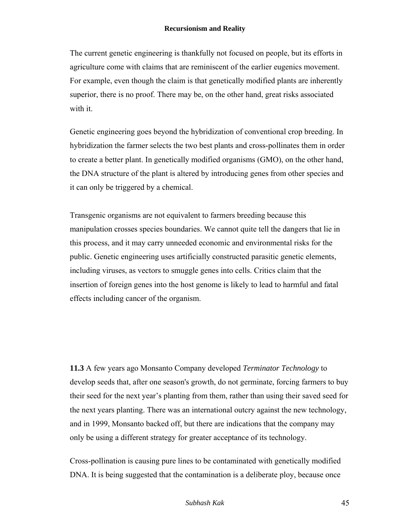The current genetic engineering is thankfully not focused on people, but its efforts in agriculture come with claims that are reminiscent of the earlier eugenics movement. For example, even though the claim is that genetically modified plants are inherently superior, there is no proof. There may be, on the other hand, great risks associated with it.

Genetic engineering goes beyond the hybridization of conventional crop breeding. In hybridization the farmer selects the two best plants and cross-pollinates them in order to create a better plant. In genetically modified organisms (GMO), on the other hand, the DNA structure of the plant is altered by introducing genes from other species and it can only be triggered by a chemical.

Transgenic organisms are not equivalent to farmers breeding because this manipulation crosses species boundaries. We cannot quite tell the dangers that lie in this process, and it may carry unneeded economic and environmental risks for the public. Genetic engineering uses artificially constructed parasitic genetic elements, including viruses, as vectors to smuggle genes into cells. Critics claim that the insertion of foreign genes into the host genome is likely to lead to harmful and fatal effects including cancer of the organism.

**11.3** A few years ago Monsanto Company developed *Terminator Technology* to develop seeds that, after one season's growth, do not germinate, forcing farmers to buy their seed for the next year's planting from them, rather than using their saved seed for the next years planting. There was an international outcry against the new technology, and in 1999, Monsanto backed off, but there are indications that the company may only be using a different strategy for greater acceptance of its technology.

Cross-pollination is causing pure lines to be contaminated with genetically modified DNA. It is being suggested that the contamination is a deliberate ploy, because once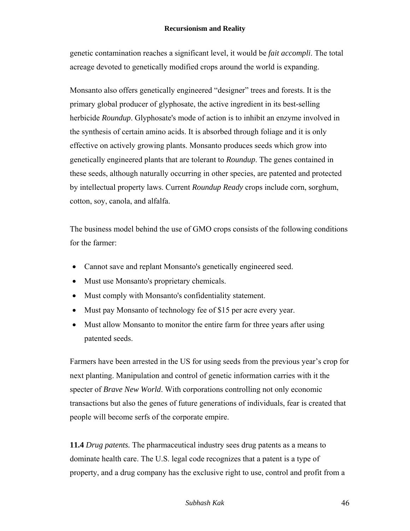genetic contamination reaches a significant level, it would be *fait accompli*. The total acreage devoted to genetically modified crops around the world is expanding.

Monsanto also offers genetically engineered "designer" trees and forests. It is the primary global producer of glyphosate, the active ingredient in its best-selling herbicide *Roundup*. Glyphosate's mode of action is to inhibit an enzyme involved in the synthesis of certain amino acids. It is absorbed through foliage and it is only effective on actively growing plants. Monsanto produces seeds which grow into genetically engineered plants that are tolerant to *Roundup*. The genes contained in these seeds, although naturally occurring in other species, are patented and protected by intellectual property laws. Current *Roundup Ready* crops include corn, sorghum, cotton, soy, canola, and alfalfa.

The business model behind the use of GMO crops consists of the following conditions for the farmer:

- Cannot save and replant Monsanto's genetically engineered seed.
- Must use Monsanto's proprietary chemicals.
- Must comply with Monsanto's confidentiality statement.
- Must pay Monsanto of technology fee of \$15 per acre every year.
- Must allow Monsanto to monitor the entire farm for three years after using patented seeds.

Farmers have been arrested in the US for using seeds from the previous year's crop for next planting. Manipulation and control of genetic information carries with it the specter of *Brave New World*. With corporations controlling not only economic transactions but also the genes of future generations of individuals, fear is created that people will become serfs of the corporate empire.

**11.4** *Drug patents.* The pharmaceutical industry sees drug patents as a means to dominate health care. The U.S. legal code recognizes that a patent is a type of property, and a drug company has the exclusive right to use, control and profit from a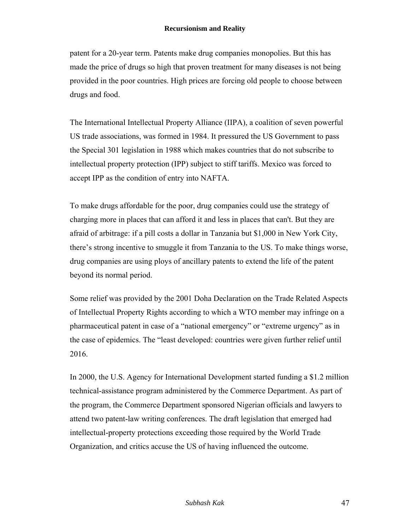patent for a 20-year term. Patents make drug companies monopolies. But this has made the price of drugs so high that proven treatment for many diseases is not being provided in the poor countries. High prices are forcing old people to choose between drugs and food.

The International Intellectual Property Alliance (IIPA), a coalition of seven powerful US trade associations, was formed in 1984. It pressured the US Government to pass the Special 301 legislation in 1988 which makes countries that do not subscribe to intellectual property protection (IPP) subject to stiff tariffs. Mexico was forced to accept IPP as the condition of entry into NAFTA.

To make drugs affordable for the poor, drug companies could use the strategy of charging more in places that can afford it and less in places that can't. But they are afraid of arbitrage: if a pill costs a dollar in Tanzania but \$1,000 in New York City, there's strong incentive to smuggle it from Tanzania to the US. To make things worse, drug companies are using ploys of ancillary patents to extend the life of the patent beyond its normal period.

Some relief was provided by the 2001 Doha Declaration on the Trade Related Aspects of Intellectual Property Rights according to which a WTO member may infringe on a pharmaceutical patent in case of a "national emergency" or "extreme urgency" as in the case of epidemics. The "least developed: countries were given further relief until 2016.

In 2000, the U.S. Agency for International Development started funding a \$1.2 million technical-assistance program administered by the Commerce Department. As part of the program, the Commerce Department sponsored Nigerian officials and lawyers to attend two patent-law writing conferences. The draft legislation that emerged had intellectual-property protections exceeding those required by the World Trade Organization, and critics accuse the US of having influenced the outcome.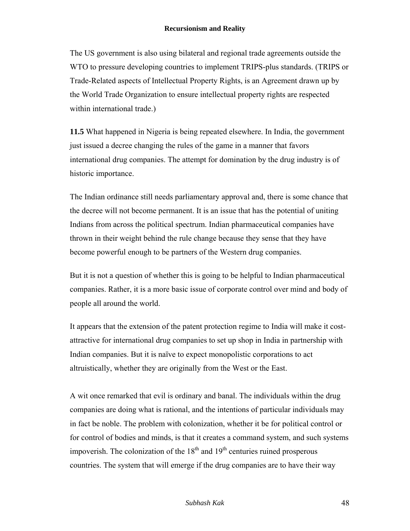The US government is also using bilateral and regional trade agreements outside the WTO to pressure developing countries to implement TRIPS-plus standards. (TRIPS or Trade-Related aspects of Intellectual Property Rights, is an Agreement drawn up by the World Trade Organization to ensure intellectual property rights are respected within international trade.)

**11.5** What happened in Nigeria is being repeated elsewhere. In India, the government just issued a decree changing the rules of the game in a manner that favors international drug companies. The attempt for domination by the drug industry is of historic importance.

The Indian ordinance still needs parliamentary approval and, there is some chance that the decree will not become permanent. It is an issue that has the potential of uniting Indians from across the political spectrum. Indian pharmaceutical companies have thrown in their weight behind the rule change because they sense that they have become powerful enough to be partners of the Western drug companies.

But it is not a question of whether this is going to be helpful to Indian pharmaceutical companies. Rather, it is a more basic issue of corporate control over mind and body of people all around the world.

It appears that the extension of the patent protection regime to India will make it costattractive for international drug companies to set up shop in India in partnership with Indian companies. But it is naïve to expect monopolistic corporations to act altruistically, whether they are originally from the West or the East.

A wit once remarked that evil is ordinary and banal. The individuals within the drug companies are doing what is rational, and the intentions of particular individuals may in fact be noble. The problem with colonization, whether it be for political control or for control of bodies and minds, is that it creates a command system, and such systems impoverish. The colonization of the  $18<sup>th</sup>$  and  $19<sup>th</sup>$  centuries ruined prosperous countries. The system that will emerge if the drug companies are to have their way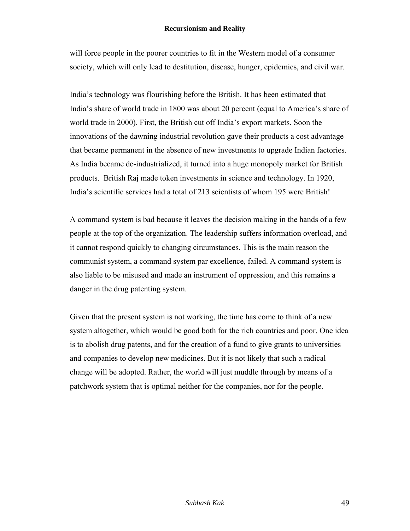will force people in the poorer countries to fit in the Western model of a consumer society, which will only lead to destitution, disease, hunger, epidemics, and civil war.

India's technology was flourishing before the British. It has been estimated that India's share of world trade in 1800 was about 20 percent (equal to America's share of world trade in 2000). First, the British cut off India's export markets. Soon the innovations of the dawning industrial revolution gave their products a cost advantage that became permanent in the absence of new investments to upgrade Indian factories. As India became de-industrialized, it turned into a huge monopoly market for British products. British Raj made token investments in science and technology. In 1920, India's scientific services had a total of 213 scientists of whom 195 were British!

A command system is bad because it leaves the decision making in the hands of a few people at the top of the organization. The leadership suffers information overload, and it cannot respond quickly to changing circumstances. This is the main reason the communist system, a command system par excellence, failed. A command system is also liable to be misused and made an instrument of oppression, and this remains a danger in the drug patenting system.

Given that the present system is not working, the time has come to think of a new system altogether, which would be good both for the rich countries and poor. One idea is to abolish drug patents, and for the creation of a fund to give grants to universities and companies to develop new medicines. But it is not likely that such a radical change will be adopted. Rather, the world will just muddle through by means of a patchwork system that is optimal neither for the companies, nor for the people.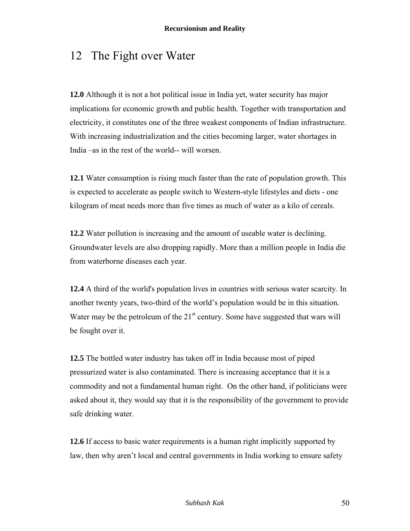# 12 The Fight over Water

**12.0** Although it is not a hot political issue in India yet, water security has major implications for economic growth and public health. Together with transportation and electricity, it constitutes one of the three weakest components of Indian infrastructure. With increasing industrialization and the cities becoming larger, water shortages in India –as in the rest of the world-- will worsen.

**12.1** Water consumption is rising much faster than the rate of population growth. This is expected to accelerate as people switch to Western-style lifestyles and diets - one kilogram of meat needs more than five times as much of water as a kilo of cereals.

**12.2** Water pollution is increasing and the amount of useable water is declining. Groundwater levels are also dropping rapidly. More than a million people in India die from waterborne diseases each year.

**12.4** A third of the world's population lives in countries with serious water scarcity. In another twenty years, two-third of the world's population would be in this situation. Water may be the petroleum of the  $21<sup>st</sup>$  century. Some have suggested that wars will be fought over it.

**12.5** The bottled water industry has taken off in India because most of piped pressurized water is also contaminated. There is increasing acceptance that it is a commodity and not a fundamental human right. On the other hand, if politicians were asked about it, they would say that it is the responsibility of the government to provide safe drinking water.

**12.6** If access to basic water requirements is a human right implicitly supported by law, then why aren't local and central governments in India working to ensure safety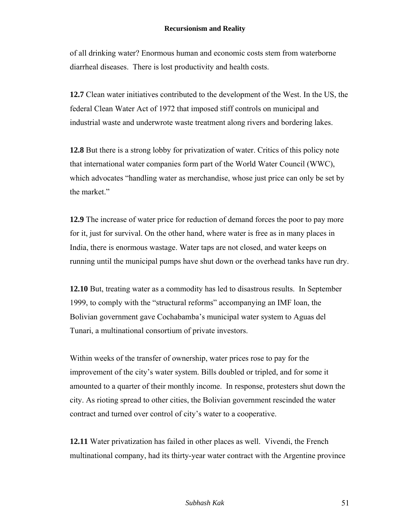of all drinking water? Enormous human and economic costs stem from waterborne diarrheal diseases. There is lost productivity and health costs.

**12.7** Clean water initiatives contributed to the development of the West. In the US, the federal Clean Water Act of 1972 that imposed stiff controls on municipal and industrial waste and underwrote waste treatment along rivers and bordering lakes.

**12.8** But there is a strong lobby for privatization of water. Critics of this policy note that international water companies form part of the World Water Council (WWC), which advocates "handling water as merchandise, whose just price can only be set by the market."

**12.9** The increase of water price for reduction of demand forces the poor to pay more for it, just for survival. On the other hand, where water is free as in many places in India, there is enormous wastage. Water taps are not closed, and water keeps on running until the municipal pumps have shut down or the overhead tanks have run dry.

**12.10** But, treating water as a commodity has led to disastrous results. In September 1999, to comply with the "structural reforms" accompanying an IMF loan, the Bolivian government gave Cochabamba's municipal water system to Aguas del Tunari, a multinational consortium of private investors.

Within weeks of the transfer of ownership, water prices rose to pay for the improvement of the city's water system. Bills doubled or tripled, and for some it amounted to a quarter of their monthly income. In response, protesters shut down the city. As rioting spread to other cities, the Bolivian government rescinded the water contract and turned over control of city's water to a cooperative.

**12.11** Water privatization has failed in other places as well. Vivendi, the French multinational company, had its thirty-year water contract with the Argentine province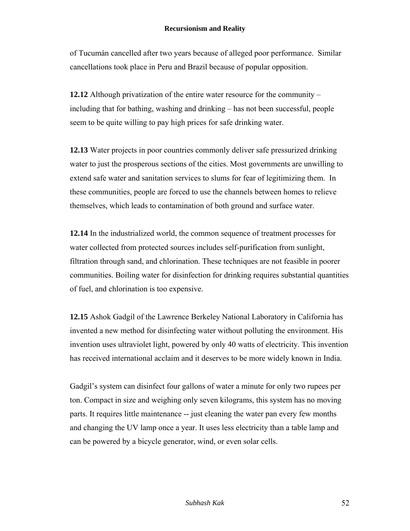of Tucumán cancelled after two years because of alleged poor performance. Similar cancellations took place in Peru and Brazil because of popular opposition.

**12.12** Although privatization of the entire water resource for the community – including that for bathing, washing and drinking – has not been successful, people seem to be quite willing to pay high prices for safe drinking water.

**12.13** Water projects in poor countries commonly deliver safe pressurized drinking water to just the prosperous sections of the cities. Most governments are unwilling to extend safe water and sanitation services to slums for fear of legitimizing them. In these communities, people are forced to use the channels between homes to relieve themselves, which leads to contamination of both ground and surface water.

**12.14** In the industrialized world, the common sequence of treatment processes for water collected from protected sources includes self-purification from sunlight, filtration through sand, and chlorination. These techniques are not feasible in poorer communities. Boiling water for disinfection for drinking requires substantial quantities of fuel, and chlorination is too expensive.

**12.15** Ashok Gadgil of the Lawrence Berkeley National Laboratory in California has invented a new method for disinfecting water without polluting the environment. His invention uses ultraviolet light, powered by only 40 watts of electricity. This invention has received international acclaim and it deserves to be more widely known in India.

Gadgil's system can disinfect four gallons of water a minute for only two rupees per ton. Compact in size and weighing only seven kilograms, this system has no moving parts. It requires little maintenance -- just cleaning the water pan every few months and changing the UV lamp once a year. It uses less electricity than a table lamp and can be powered by a bicycle generator, wind, or even solar cells.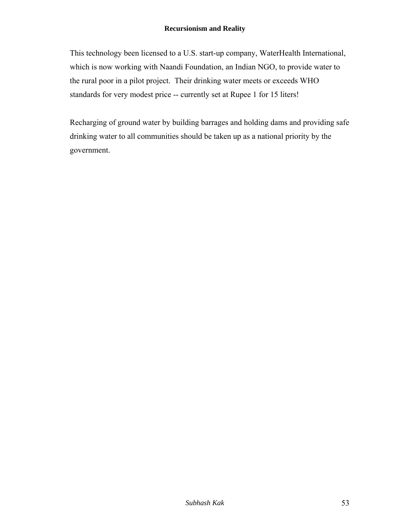This technology been licensed to a U.S. start-up company, WaterHealth International, which is now working with Naandi Foundation, an Indian NGO, to provide water to the rural poor in a pilot project. Their drinking water meets or exceeds WHO standards for very modest price -- currently set at Rupee 1 for 15 liters!

Recharging of ground water by building barrages and holding dams and providing safe drinking water to all communities should be taken up as a national priority by the government.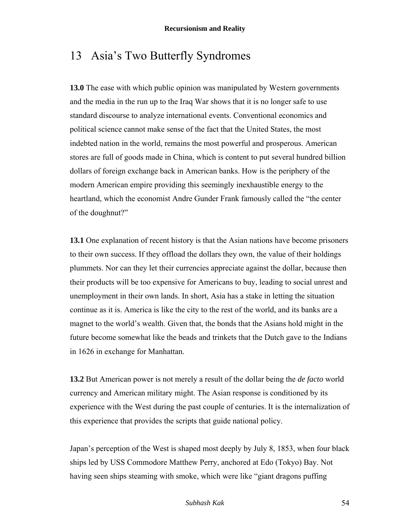# 13 Asia's Two Butterfly Syndromes

**13.0** The ease with which public opinion was manipulated by Western governments and the media in the run up to the Iraq War shows that it is no longer safe to use standard discourse to analyze international events. Conventional economics and political science cannot make sense of the fact that the United States, the most indebted nation in the world, remains the most powerful and prosperous. American stores are full of goods made in China, which is content to put several hundred billion dollars of foreign exchange back in American banks. How is the periphery of the modern American empire providing this seemingly inexhaustible energy to the heartland, which the economist Andre Gunder Frank famously called the "the center of the doughnut?"

**13.1** One explanation of recent history is that the Asian nations have become prisoners to their own success. If they offload the dollars they own, the value of their holdings plummets. Nor can they let their currencies appreciate against the dollar, because then their products will be too expensive for Americans to buy, leading to social unrest and unemployment in their own lands. In short, Asia has a stake in letting the situation continue as it is. America is like the city to the rest of the world, and its banks are a magnet to the world's wealth. Given that, the bonds that the Asians hold might in the future become somewhat like the beads and trinkets that the Dutch gave to the Indians in 1626 in exchange for Manhattan.

**13.2** But American power is not merely a result of the dollar being the *de facto* world currency and American military might. The Asian response is conditioned by its experience with the West during the past couple of centuries. It is the internalization of this experience that provides the scripts that guide national policy.

Japan's perception of the West is shaped most deeply by July 8, 1853, when four black ships led by USS Commodore Matthew Perry, anchored at Edo (Tokyo) Bay. Not having seen ships steaming with smoke, which were like "giant dragons puffing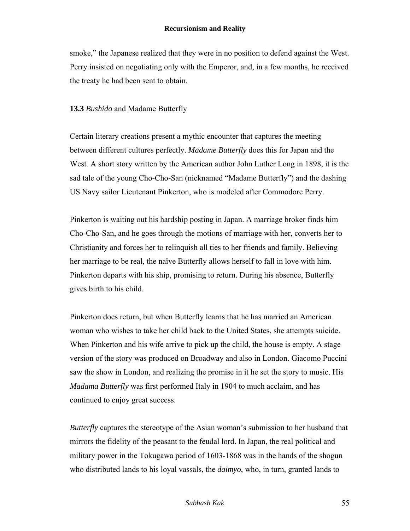smoke," the Japanese realized that they were in no position to defend against the West. Perry insisted on negotiating only with the Emperor, and, in a few months, he received the treaty he had been sent to obtain.

### **13.3** *Bushido* and Madame Butterfly

Certain literary creations present a mythic encounter that captures the meeting between different cultures perfectly. *Madame Butterfly* does this for Japan and the West. A short story written by the American author John Luther Long in 1898, it is the sad tale of the young Cho-Cho-San (nicknamed "Madame Butterfly") and the dashing US Navy sailor Lieutenant Pinkerton, who is modeled after Commodore Perry.

Pinkerton is waiting out his hardship posting in Japan. A marriage broker finds him Cho-Cho-San, and he goes through the motions of marriage with her, converts her to Christianity and forces her to relinquish all ties to her friends and family. Believing her marriage to be real, the naïve Butterfly allows herself to fall in love with him. Pinkerton departs with his ship, promising to return. During his absence, Butterfly gives birth to his child.

Pinkerton does return, but when Butterfly learns that he has married an American woman who wishes to take her child back to the United States, she attempts suicide. When Pinkerton and his wife arrive to pick up the child, the house is empty. A stage version of the story was produced on Broadway and also in London. Giacomo Puccini saw the show in London, and realizing the promise in it he set the story to music. His *Madama Butterfly* was first performed Italy in 1904 to much acclaim, and has continued to enjoy great success.

*Butterfly* captures the stereotype of the Asian woman's submission to her husband that mirrors the fidelity of the peasant to the feudal lord. In Japan, the real political and military power in the Tokugawa period of 1603-1868 was in the hands of the shogun who distributed lands to his loyal vassals, the *daimyo*, who, in turn, granted lands to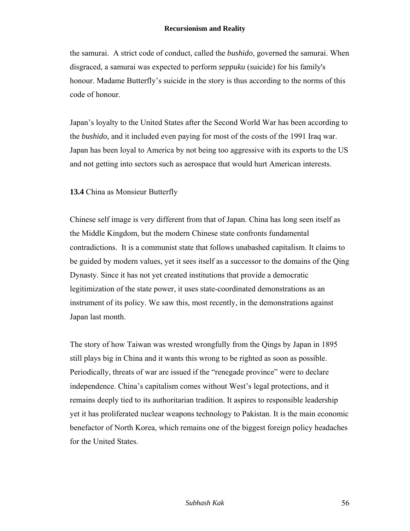the samurai. A strict code of conduct, called the *bushido*, governed the samurai. When disgraced, a samurai was expected to perform *seppuku* (suicide) for his family's honour. Madame Butterfly's suicide in the story is thus according to the norms of this code of honour.

Japan's loyalty to the United States after the Second World War has been according to the *bushido,* and it included even paying for most of the costs of the 1991 Iraq war. Japan has been loyal to America by not being too aggressive with its exports to the US and not getting into sectors such as aerospace that would hurt American interests.

### **13.4** China as Monsieur Butterfly

Chinese self image is very different from that of Japan. China has long seen itself as the Middle Kingdom, but the modern Chinese state confronts fundamental contradictions. It is a communist state that follows unabashed capitalism. It claims to be guided by modern values, yet it sees itself as a successor to the domains of the Qing Dynasty. Since it has not yet created institutions that provide a democratic legitimization of the state power, it uses state-coordinated demonstrations as an instrument of its policy. We saw this, most recently, in the demonstrations against Japan last month.

The story of how Taiwan was wrested wrongfully from the Qings by Japan in 1895 still plays big in China and it wants this wrong to be righted as soon as possible. Periodically, threats of war are issued if the "renegade province" were to declare independence. China's capitalism comes without West's legal protections, and it remains deeply tied to its authoritarian tradition. It aspires to responsible leadership yet it has proliferated nuclear weapons technology to Pakistan. It is the main economic benefactor of North Korea, which remains one of the biggest foreign policy headaches for the United States.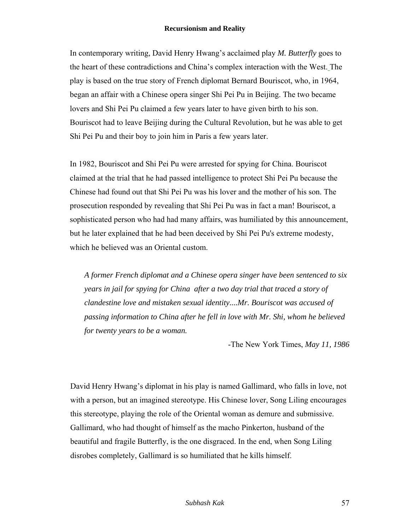In contemporary writing, David Henry Hwang's acclaimed play *M. Butterfly* goes to the heart of these contradictions and China's complex interaction with the West. The play is based on the true story of French diplomat Bernard Bouriscot, who, in 1964, began an affair with a Chinese opera singer Shi Pei Pu in Beijing. The two became lovers and Shi Pei Pu claimed a few years later to have given birth to his son. Bouriscot had to leave Beijing during the Cultural Revolution, but he was able to get Shi Pei Pu and their boy to join him in Paris a few years later.

In 1982, Bouriscot and Shi Pei Pu were arrested for spying for China. Bouriscot claimed at the trial that he had passed intelligence to protect Shi Pei Pu because the Chinese had found out that Shi Pei Pu was his lover and the mother of his son. The prosecution responded by revealing that Shi Pei Pu was in fact a man! Bouriscot, a sophisticated person who had had many affairs, was humiliated by this announcement, but he later explained that he had been deceived by Shi Pei Pu's extreme modesty, which he believed was an Oriental custom.

*A former French diplomat and a Chinese opera singer have been sentenced to six years in jail for spying for China after a two day trial that traced a story of clandestine love and mistaken sexual identity....Mr. Bouriscot was accused of passing information to China after he fell in love with Mr. Shi, whom he believed for twenty years to be a woman.* 

-The New York Times, *May 11, 1986*

David Henry Hwang's diplomat in his play is named Gallimard, who falls in love, not with a person, but an imagined stereotype. His Chinese lover, Song Liling encourages this stereotype, playing the role of the Oriental woman as demure and submissive. Gallimard, who had thought of himself as the macho Pinkerton, husband of the beautiful and fragile Butterfly, is the one disgraced. In the end, when Song Liling disrobes completely, Gallimard is so humiliated that he kills himself.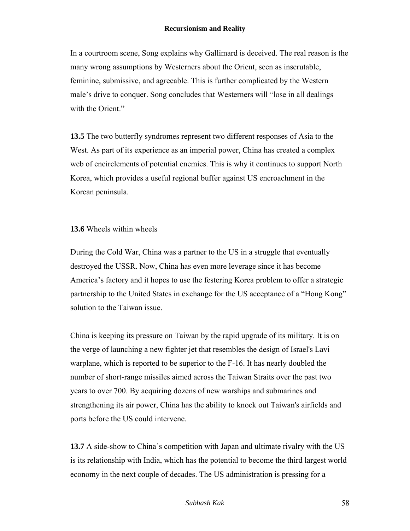In a courtroom scene, Song explains why Gallimard is deceived. The real reason is the many wrong assumptions by Westerners about the Orient, seen as inscrutable, feminine, submissive, and agreeable. This is further complicated by the Western male's drive to conquer. Song concludes that Westerners will "lose in all dealings with the Orient."

**13.5** The two butterfly syndromes represent two different responses of Asia to the West. As part of its experience as an imperial power, China has created a complex web of encirclements of potential enemies. This is why it continues to support North Korea, which provides a useful regional buffer against US encroachment in the Korean peninsula.

### **13.6** Wheels within wheels

 During the Cold War, China was a partner to the US in a struggle that eventually destroyed the USSR. Now, China has even more leverage since it has become America's factory and it hopes to use the festering Korea problem to offer a strategic partnership to the United States in exchange for the US acceptance of a "Hong Kong" solution to the Taiwan issue.

China is keeping its pressure on Taiwan by the rapid upgrade of its military. It is on the verge of launching a new fighter jet that resembles the design of Israel's Lavi warplane, which is reported to be superior to the F-16. It has nearly doubled the number of short-range missiles aimed across the Taiwan Straits over the past two years to over 700. By acquiring dozens of new warships and submarines and strengthening its air power, China has the ability to knock out Taiwan's airfields and ports before the US could intervene.

**13.7** A side-show to China's competition with Japan and ultimate rivalry with the US is its relationship with India, which has the potential to become the third largest world economy in the next couple of decades. The US administration is pressing for a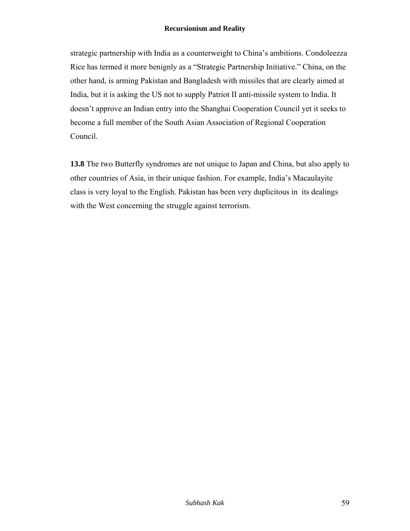strategic partnership with India as a counterweight to China's ambitions. Condoleezza Rice has termed it more benignly as a "Strategic Partnership Initiative." China, on the other hand, is arming Pakistan and Bangladesh with missiles that are clearly aimed at India, but it is asking the US not to supply Patriot II anti-missile system to India. It doesn't approve an Indian entry into the Shanghai Cooperation Council yet it seeks to become a full member of the South Asian Association of Regional Cooperation Council.

**13.8** The two Butterfly syndromes are not unique to Japan and China, but also apply to other countries of Asia, in their unique fashion. For example, India's Macaulayite class is very loyal to the English. Pakistan has been very duplicitous in its dealings with the West concerning the struggle against terrorism.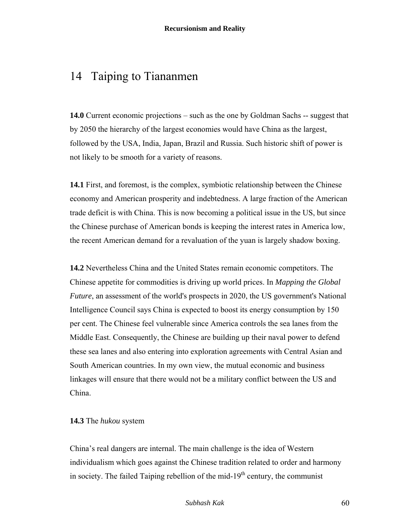## 14 Taiping to Tiananmen

**14.0** Current economic projections – such as the one by Goldman Sachs -- suggest that by 2050 the hierarchy of the largest economies would have China as the largest, followed by the USA, India, Japan, Brazil and Russia. Such historic shift of power is not likely to be smooth for a variety of reasons.

**14.1** First, and foremost, is the complex, symbiotic relationship between the Chinese economy and American prosperity and indebtedness. A large fraction of the American trade deficit is with China. This is now becoming a political issue in the US, but since the Chinese purchase of American bonds is keeping the interest rates in America low, the recent American demand for a revaluation of the yuan is largely shadow boxing.

**14.2** Nevertheless China and the United States remain economic competitors. The Chinese appetite for commodities is driving up world prices. In *Mapping the Global Future*, an assessment of the world's prospects in 2020, the US government's National Intelligence Council says China is expected to boost its energy consumption by 150 per cent. The Chinese feel vulnerable since America controls the sea lanes from the Middle East. Consequently, the Chinese are building up their naval power to defend these sea lanes and also entering into exploration agreements with Central Asian and South American countries. In my own view, the mutual economic and business linkages will ensure that there would not be a military conflict between the US and China.

#### **14.3** The *hukou* system

China's real dangers are internal. The main challenge is the idea of Western individualism which goes against the Chinese tradition related to order and harmony in society. The failed Taiping rebellion of the mid- $19<sup>th</sup>$  century, the communist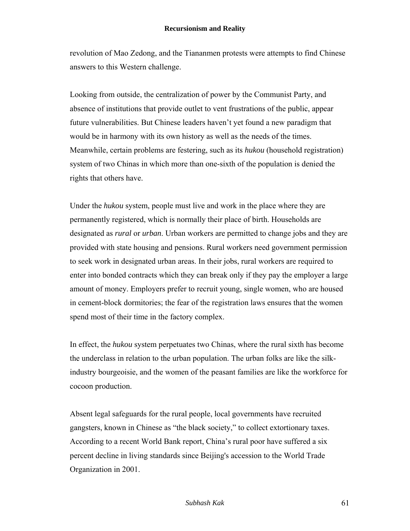revolution of Mao Zedong, and the Tiananmen protests were attempts to find Chinese answers to this Western challenge.

Looking from outside, the centralization of power by the Communist Party, and absence of institutions that provide outlet to vent frustrations of the public, appear future vulnerabilities. But Chinese leaders haven't yet found a new paradigm that would be in harmony with its own history as well as the needs of the times. Meanwhile, certain problems are festering, such as its *hukou* (household registration) system of two Chinas in which more than one-sixth of the population is denied the rights that others have.

Under the *hukou* system, people must live and work in the place where they are permanently registered, which is normally their place of birth. Households are designated as *rural* or *urban*. Urban workers are permitted to change jobs and they are provided with state housing and pensions. Rural workers need government permission to seek work in designated urban areas. In their jobs, rural workers are required to enter into bonded contracts which they can break only if they pay the employer a large amount of money. Employers prefer to recruit young, single women, who are housed in cement-block dormitories; the fear of the registration laws ensures that the women spend most of their time in the factory complex.

In effect, the *hukou* system perpetuates two Chinas, where the rural sixth has become the underclass in relation to the urban population. The urban folks are like the silkindustry bourgeoisie, and the women of the peasant families are like the workforce for cocoon production.

Absent legal safeguards for the rural people, local governments have recruited gangsters, known in Chinese as "the black society," to collect extortionary taxes. According to a recent World Bank report, China's rural poor have suffered a six percent decline in living standards since Beijing's accession to the World Trade Organization in 2001.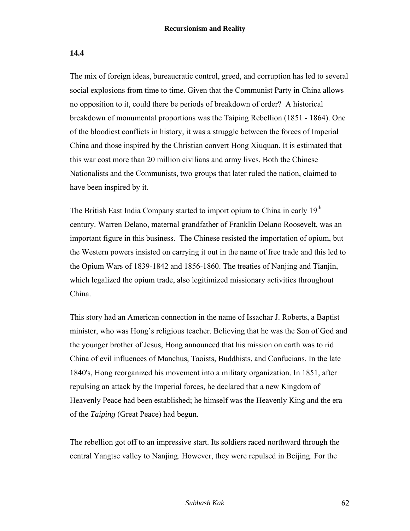#### **14.4**

The mix of foreign ideas, bureaucratic control, greed, and corruption has led to several social explosions from time to time. Given that the Communist Party in China allows no opposition to it, could there be periods of breakdown of order? A historical breakdown of monumental proportions was the Taiping Rebellion (1851 - 1864). One of the bloodiest conflicts in history, it was a struggle between the forces of Imperial China and those inspired by the Christian convert Hong Xiuquan. It is estimated that this war cost more than 20 million civilians and army lives. Both the Chinese Nationalists and the Communists, two groups that later ruled the nation, claimed to have been inspired by it.

The British East India Company started to import opium to China in early 19<sup>th</sup> century. Warren Delano, maternal grandfather of Franklin Delano Roosevelt, was an important figure in this business. The Chinese resisted the importation of opium, but the Western powers insisted on carrying it out in the name of free trade and this led to the Opium Wars of 1839-1842 and 1856-1860. The treaties of Nanjing and Tianjin, which legalized the opium trade, also legitimized missionary activities throughout China.

This story had an American connection in the name of Issachar J. Roberts, a Baptist minister, who was Hong's religious teacher. Believing that he was the Son of God and the younger brother of Jesus, Hong announced that his mission on earth was to rid China of evil influences of Manchus, Taoists, Buddhists, and Confucians. In the late 1840's, Hong reorganized his movement into a military organization. In 1851, after repulsing an attack by the Imperial forces, he declared that a new Kingdom of Heavenly Peace had been established; he himself was the Heavenly King and the era of the *Taiping* (Great Peace) had begun.

The rebellion got off to an impressive start. Its soldiers raced northward through the central Yangtse valley to Nanjing. However, they were repulsed in Beijing. For the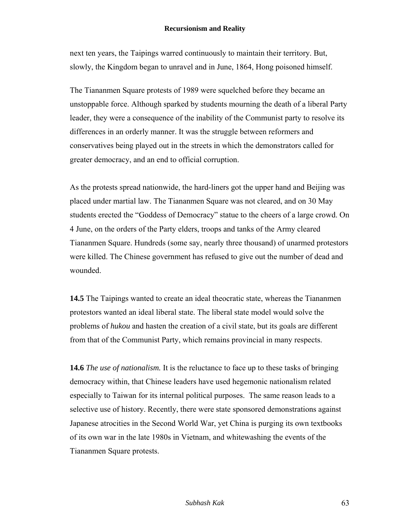next ten years, the Taipings warred continuously to maintain their territory. But, slowly, the Kingdom began to unravel and in June, 1864, Hong poisoned himself.

The Tiananmen Square protests of 1989 were squelched before they became an unstoppable force. Although sparked by students mourning the death of a liberal Party leader, they were a consequence of the inability of the Communist party to resolve its differences in an orderly manner. It was the struggle between reformers and conservatives being played out in the streets in which the demonstrators called for greater democracy, and an end to official corruption.

As the protests spread nationwide, the hard-liners got the upper hand and Beijing was placed under martial law. The Tiananmen Square was not cleared, and on 30 May students erected the "Goddess of Democracy" statue to the cheers of a large crowd. On 4 June, on the orders of the Party elders, troops and tanks of the Army cleared Tiananmen Square. Hundreds (some say, nearly three thousand) of unarmed protestors were killed. The Chinese government has refused to give out the number of dead and wounded.

**14.5** The Taipings wanted to create an ideal theocratic state, whereas the Tiananmen protestors wanted an ideal liberal state. The liberal state model would solve the problems of *hukou* and hasten the creation of a civil state, but its goals are different from that of the Communist Party, which remains provincial in many respects.

**14.6** *The use of nationalism.* It is the reluctance to face up to these tasks of bringing democracy within, that Chinese leaders have used hegemonic nationalism related especially to Taiwan for its internal political purposes. The same reason leads to a selective use of history. Recently, there were state sponsored demonstrations against Japanese atrocities in the Second World War, yet China is purging its own textbooks of its own war in the late 1980s in Vietnam, and whitewashing the events of the Tiananmen Square protests.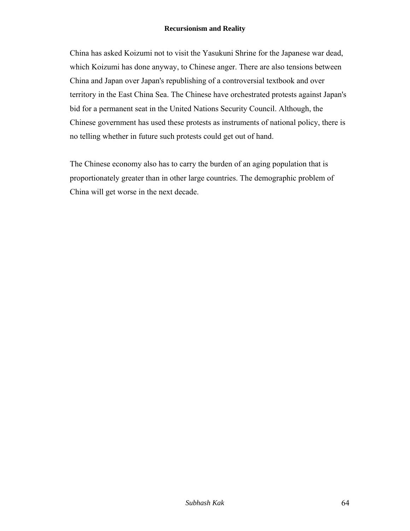China has asked Koizumi not to visit the Yasukuni Shrine for the Japanese war dead, which Koizumi has done anyway, to Chinese anger. There are also tensions between China and Japan over Japan's republishing of a controversial textbook and over territory in the East China Sea. The Chinese have orchestrated protests against Japan's bid for a permanent seat in the United Nations Security Council. Although, the Chinese government has used these protests as instruments of national policy, there is no telling whether in future such protests could get out of hand.

The Chinese economy also has to carry the burden of an aging population that is proportionately greater than in other large countries. The demographic problem of China will get worse in the next decade.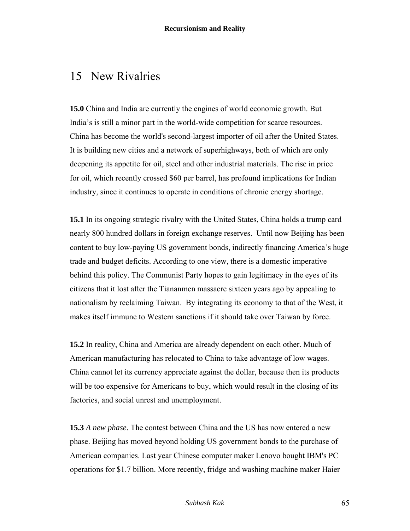## 15 New Rivalries

**15.0** China and India are currently the engines of world economic growth. But India's is still a minor part in the world-wide competition for scarce resources. China has become the world's second-largest importer of oil after the United States. It is building new cities and a network of superhighways, both of which are only deepening its appetite for oil, steel and other industrial materials. The rise in price for oil, which recently crossed \$60 per barrel, has profound implications for Indian industry, since it continues to operate in conditions of chronic energy shortage.

**15.1** In its ongoing strategic rivalry with the United States, China holds a trump card – nearly 800 hundred dollars in foreign exchange reserves. Until now Beijing has been content to buy low-paying US government bonds, indirectly financing America's huge trade and budget deficits. According to one view, there is a domestic imperative behind this policy. The Communist Party hopes to gain legitimacy in the eyes of its citizens that it lost after the Tiananmen massacre sixteen years ago by appealing to nationalism by reclaiming Taiwan. By integrating its economy to that of the West, it makes itself immune to Western sanctions if it should take over Taiwan by force.

**15.2** In reality, China and America are already dependent on each other. Much of American manufacturing has relocated to China to take advantage of low wages. China cannot let its currency appreciate against the dollar, because then its products will be too expensive for Americans to buy, which would result in the closing of its factories, and social unrest and unemployment.

**15.3** *A new phase.* The contest between China and the US has now entered a new phase. Beijing has moved beyond holding US government bonds to the purchase of American companies. Last year Chinese computer maker Lenovo bought IBM's PC operations for \$1.7 billion. More recently, fridge and washing machine maker Haier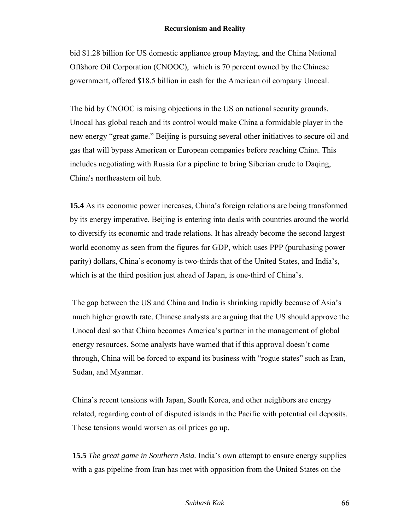bid \$1.28 billion for US domestic appliance group Maytag, and the China National Offshore Oil Corporation (CNOOC), which is 70 percent owned by the Chinese government, offered \$18.5 billion in cash for the American oil company Unocal.

The bid by CNOOC is raising objections in the US on national security grounds. Unocal has global reach and its control would make China a formidable player in the new energy "great game." Beijing is pursuing several other initiatives to secure oil and gas that will bypass American or European companies before reaching China. This includes negotiating with Russia for a pipeline to bring Siberian crude to Daqing, China's northeastern oil hub.

**15.4** As its economic power increases, China's foreign relations are being transformed by its energy imperative. Beijing is entering into deals with countries around the world to diversify its economic and trade relations. It has already become the second largest world economy as seen from the figures for GDP, which uses PPP (purchasing power parity) dollars, China's economy is two-thirds that of the United States, and India's, which is at the third position just ahead of Japan, is one-third of China's.

The gap between the US and China and India is shrinking rapidly because of Asia's much higher growth rate. Chinese analysts are arguing that the US should approve the Unocal deal so that China becomes America's partner in the management of global energy resources. Some analysts have warned that if this approval doesn't come through, China will be forced to expand its business with "rogue states" such as Iran, Sudan, and Myanmar.

China's recent tensions with Japan, South Korea, and other neighbors are energy related, regarding control of disputed islands in the Pacific with potential oil deposits. These tensions would worsen as oil prices go up.

**15.5** *The great game in Southern Asia.* India's own attempt to ensure energy supplies with a gas pipeline from Iran has met with opposition from the United States on the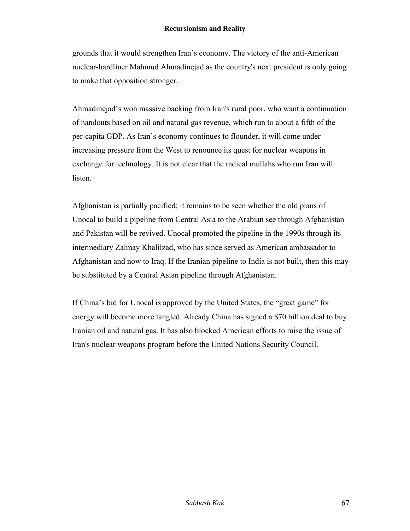grounds that it would strengthen Iran's economy. The victory of the anti-American nuclear-hardliner Mahmud Ahmadinejad as the country's next president is only going to make that opposition stronger.

Ahmadinejad's won massive backing from Iran's rural poor, who want a continuation of handouts based on oil and natural gas revenue, which run to about a fifth of the per-capita GDP. As Iran's economy continues to flounder, it will come under increasing pressure from the West to renounce its quest for nuclear weapons in exchange for technology. It is not clear that the radical mullahs who run Iran will listen.

Afghanistan is partially pacified; it remains to be seen whether the old plans of Unocal to build a pipeline from Central Asia to the Arabian see through Afghanistan and Pakistan will be revived. Unocal promoted the pipeline in the 1990s through its intermediary Zalmay Khalilzad, who has since served as American ambassador to Afghanistan and now to Iraq. If the Iranian pipeline to India is not built, then this may be substituted by a Central Asian pipeline through Afghanistan.

If China's bid for Unocal is approved by the United States, the "great game" for energy will become more tangled. Already China has signed a \$70 billion deal to buy Iranian oil and natural gas. It has also blocked American efforts to raise the issue of Iran's nuclear weapons program before the United Nations Security Council.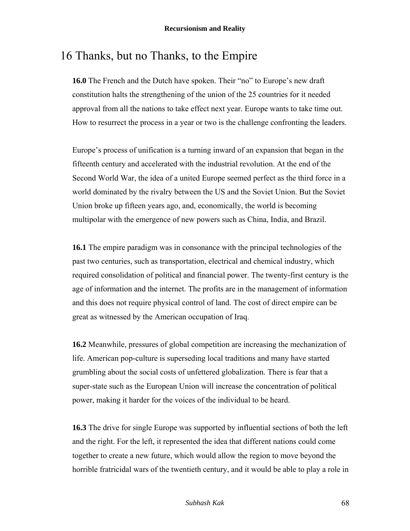## 16 Thanks, but no Thanks, to the Empire

**16.0** The French and the Dutch have spoken. Their "no" to Europe's new draft constitution halts the strengthening of the union of the 25 countries for it needed approval from all the nations to take effect next year. Europe wants to take time out. How to resurrect the process in a year or two is the challenge confronting the leaders.

Europe's process of unification is a turning inward of an expansion that began in the fifteenth century and accelerated with the industrial revolution. At the end of the Second World War, the idea of a united Europe seemed perfect as the third force in a world dominated by the rivalry between the US and the Soviet Union. But the Soviet Union broke up fifteen years ago, and, economically, the world is becoming multipolar with the emergence of new powers such as China, India, and Brazil.

**16.1** The empire paradigm was in consonance with the principal technologies of the past two centuries, such as transportation, electrical and chemical industry, which required consolidation of political and financial power. The twenty-first century is the age of information and the internet. The profits are in the management of information and this does not require physical control of land. The cost of direct empire can be great as witnessed by the American occupation of Iraq.

**16.2** Meanwhile, pressures of global competition are increasing the mechanization of life. American pop-culture is superseding local traditions and many have started grumbling about the social costs of unfettered globalization. There is fear that a super-state such as the European Union will increase the concentration of political power, making it harder for the voices of the individual to be heard.

**16.3** The drive for single Europe was supported by influential sections of both the left and the right. For the left, it represented the idea that different nations could come together to create a new future, which would allow the region to move beyond the horrible fratricidal wars of the twentieth century, and it would be able to play a role in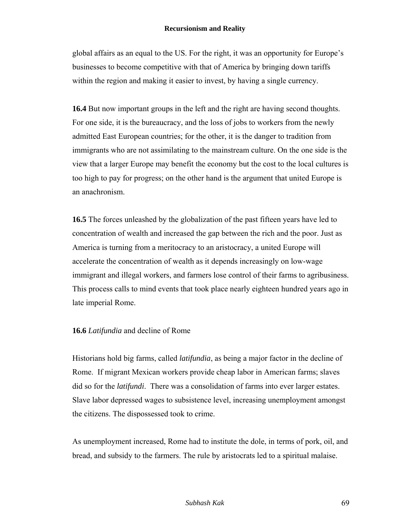global affairs as an equal to the US. For the right, it was an opportunity for Europe's businesses to become competitive with that of America by bringing down tariffs within the region and making it easier to invest, by having a single currency.

**16.4** But now important groups in the left and the right are having second thoughts. For one side, it is the bureaucracy, and the loss of jobs to workers from the newly admitted East European countries; for the other, it is the danger to tradition from immigrants who are not assimilating to the mainstream culture. On the one side is the view that a larger Europe may benefit the economy but the cost to the local cultures is too high to pay for progress; on the other hand is the argument that united Europe is an anachronism.

**16.5** The forces unleashed by the globalization of the past fifteen years have led to concentration of wealth and increased the gap between the rich and the poor. Just as America is turning from a meritocracy to an aristocracy, a united Europe will accelerate the concentration of wealth as it depends increasingly on low-wage immigrant and illegal workers, and farmers lose control of their farms to agribusiness. This process calls to mind events that took place nearly eighteen hundred years ago in late imperial Rome.

### **16.6** *Latifundia* and decline of Rome

Historians hold big farms, called *latifundia*, as being a major factor in the decline of Rome. If migrant Mexican workers provide cheap labor in American farms; slaves did so for the *latifundi*. There was a consolidation of farms into ever larger estates. Slave labor depressed wages to subsistence level, increasing unemployment amongst the citizens. The dispossessed took to crime.

As unemployment increased, Rome had to institute the dole, in terms of pork, oil, and bread, and subsidy to the farmers. The rule by aristocrats led to a spiritual malaise.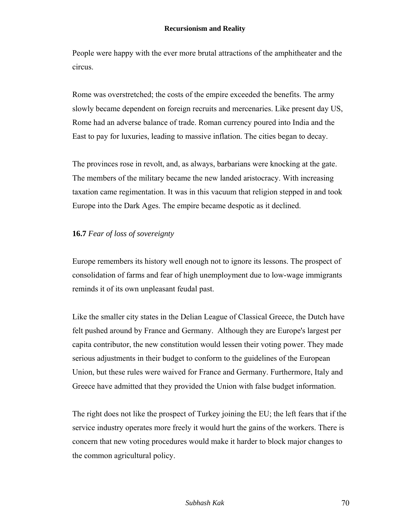People were happy with the ever more brutal attractions of the amphitheater and the circus.

Rome was overstretched; the costs of the empire exceeded the benefits. The army slowly became dependent on foreign recruits and mercenaries. Like present day US, Rome had an adverse balance of trade. Roman currency poured into India and the East to pay for luxuries, leading to massive inflation. The cities began to decay.

The provinces rose in revolt, and, as always, barbarians were knocking at the gate. The members of the military became the new landed aristocracy. With increasing taxation came regimentation. It was in this vacuum that religion stepped in and took Europe into the Dark Ages. The empire became despotic as it declined.

## **16.7** *Fear of loss of sovereignty*

Europe remembers its history well enough not to ignore its lessons. The prospect of consolidation of farms and fear of high unemployment due to low-wage immigrants reminds it of its own unpleasant feudal past.

Like the smaller city states in the Delian League of Classical Greece, the Dutch have felt pushed around by France and Germany. Although they are Europe's largest per capita contributor, the new constitution would lessen their voting power. They made serious adjustments in their budget to conform to the guidelines of the European Union, but these rules were waived for France and Germany. Furthermore, Italy and Greece have admitted that they provided the Union with false budget information.

The right does not like the prospect of Turkey joining the EU; the left fears that if the service industry operates more freely it would hurt the gains of the workers. There is concern that new voting procedures would make it harder to block major changes to the common agricultural policy.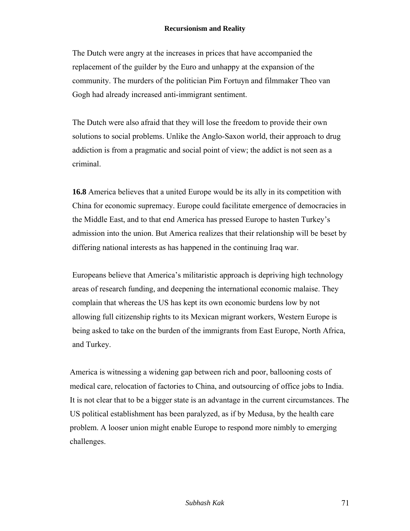The Dutch were angry at the increases in prices that have accompanied the replacement of the guilder by the Euro and unhappy at the expansion of the community. The murders of the politician Pim Fortuyn and filmmaker Theo van Gogh had already increased anti-immigrant sentiment.

The Dutch were also afraid that they will lose the freedom to provide their own solutions to social problems. Unlike the Anglo-Saxon world, their approach to drug addiction is from a pragmatic and social point of view; the addict is not seen as a criminal.

**16.8** America believes that a united Europe would be its ally in its competition with China for economic supremacy. Europe could facilitate emergence of democracies in the Middle East, and to that end America has pressed Europe to hasten Turkey's admission into the union. But America realizes that their relationship will be beset by differing national interests as has happened in the continuing Iraq war.

Europeans believe that America's militaristic approach is depriving high technology areas of research funding, and deepening the international economic malaise. They complain that whereas the US has kept its own economic burdens low by not allowing full citizenship rights to its Mexican migrant workers, Western Europe is being asked to take on the burden of the immigrants from East Europe, North Africa, and Turkey.

America is witnessing a widening gap between rich and poor, ballooning costs of medical care, relocation of factories to China, and outsourcing of office jobs to India. It is not clear that to be a bigger state is an advantage in the current circumstances. The US political establishment has been paralyzed, as if by Medusa, by the health care problem. A looser union might enable Europe to respond more nimbly to emerging challenges.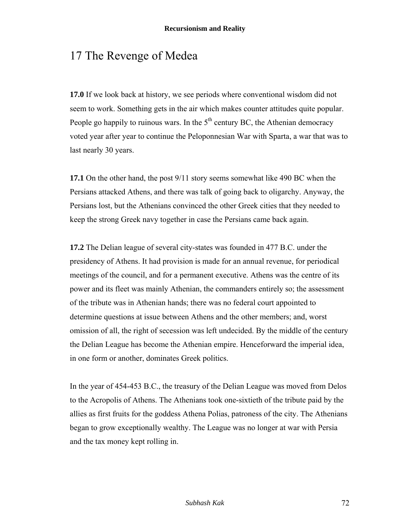# 17 The Revenge of Medea

**17.0** If we look back at history, we see periods where conventional wisdom did not seem to work. Something gets in the air which makes counter attitudes quite popular. People go happily to ruinous wars. In the  $5<sup>th</sup>$  century BC, the Athenian democracy voted year after year to continue the Peloponnesian War with Sparta, a war that was to last nearly 30 years.

**17.1** On the other hand, the post 9/11 story seems somewhat like 490 BC when the Persians attacked Athens, and there was talk of going back to oligarchy. Anyway, the Persians lost, but the Athenians convinced the other Greek cities that they needed to keep the strong Greek navy together in case the Persians came back again.

**17.2** The Delian league of several city-states was founded in 477 B.C. under the presidency of Athens. It had provision is made for an annual revenue, for periodical meetings of the council, and for a permanent executive. Athens was the centre of its power and its fleet was mainly Athenian, the commanders entirely so; the assessment of the tribute was in Athenian hands; there was no federal court appointed to determine questions at issue between Athens and the other members; and, worst omission of all, the right of secession was left undecided. By the middle of the century the Delian League has become the Athenian empire. Henceforward the imperial idea, in one form or another, dominates Greek politics.

In the year of 454-453 B.C., the treasury of the Delian League was moved from Delos to the Acropolis of Athens. The Athenians took one-sixtieth of the tribute paid by the allies as first fruits for the goddess Athena Polias, patroness of the city. The Athenians began to grow exceptionally wealthy. The League was no longer at war with Persia and the tax money kept rolling in.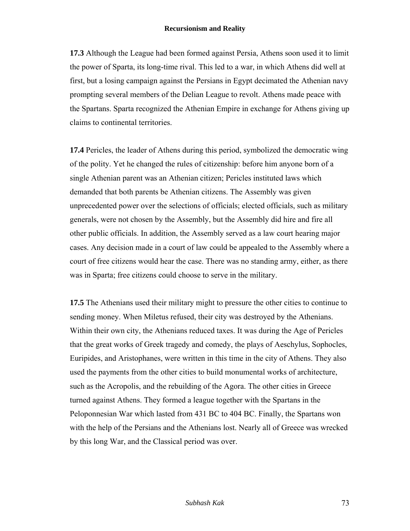**17.3** Although the League had been formed against Persia, Athens soon used it to limit the power of Sparta, its long-time rival. This led to a war, in which Athens did well at first, but a losing campaign against the Persians in Egypt decimated the Athenian navy prompting several members of the Delian League to revolt. Athens made peace with the Spartans. Sparta recognized the Athenian Empire in exchange for Athens giving up claims to continental territories.

**17.4** Pericles, the leader of Athens during this period, symbolized the democratic wing of the polity. Yet he changed the rules of citizenship: before him anyone born of a single Athenian parent was an Athenian citizen; Pericles instituted laws which demanded that both parents be Athenian citizens. The Assembly was given unprecedented power over the selections of officials; elected officials, such as military generals, were not chosen by the Assembly, but the Assembly did hire and fire all other public officials. In addition, the Assembly served as a law court hearing major cases. Any decision made in a court of law could be appealed to the Assembly where a court of free citizens would hear the case. There was no standing army, either, as there was in Sparta; free citizens could choose to serve in the military.

**17.5** The Athenians used their military might to pressure the other cities to continue to sending money. When Miletus refused, their city was destroyed by the Athenians. Within their own city, the Athenians reduced taxes. It was during the Age of Pericles that the great works of Greek tragedy and comedy, the plays of Aeschylus, Sophocles, Euripides, and Aristophanes, were written in this time in the city of Athens. They also used the payments from the other cities to build monumental works of architecture, such as the Acropolis, and the rebuilding of the Agora. The other cities in Greece turned against Athens. They formed a league together with the Spartans in the Peloponnesian War which lasted from 431 BC to 404 BC. Finally, the Spartans won with the help of the Persians and the Athenians lost. Nearly all of Greece was wrecked by this long War, and the Classical period was over.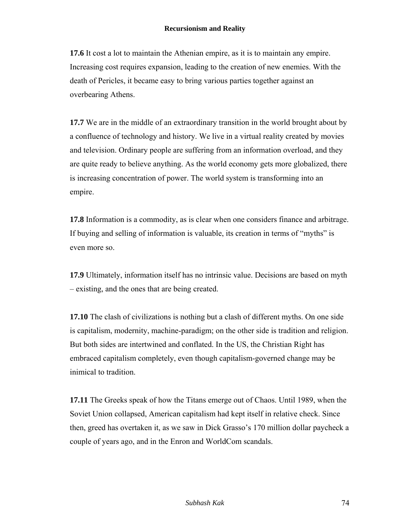**17.6** It cost a lot to maintain the Athenian empire, as it is to maintain any empire. Increasing cost requires expansion, leading to the creation of new enemies. With the death of Pericles, it became easy to bring various parties together against an overbearing Athens.

**17.7** We are in the middle of an extraordinary transition in the world brought about by a confluence of technology and history. We live in a virtual reality created by movies and television. Ordinary people are suffering from an information overload, and they are quite ready to believe anything. As the world economy gets more globalized, there is increasing concentration of power. The world system is transforming into an empire.

**17.8** Information is a commodity, as is clear when one considers finance and arbitrage. If buying and selling of information is valuable, its creation in terms of "myths" is even more so.

**17.9** Ultimately, information itself has no intrinsic value. Decisions are based on myth – existing, and the ones that are being created.

**17.10** The clash of civilizations is nothing but a clash of different myths. On one side is capitalism, modernity, machine-paradigm; on the other side is tradition and religion. But both sides are intertwined and conflated. In the US, the Christian Right has embraced capitalism completely, even though capitalism-governed change may be inimical to tradition.

**17.11** The Greeks speak of how the Titans emerge out of Chaos. Until 1989, when the Soviet Union collapsed, American capitalism had kept itself in relative check. Since then, greed has overtaken it, as we saw in Dick Grasso's 170 million dollar paycheck a couple of years ago, and in the Enron and WorldCom scandals.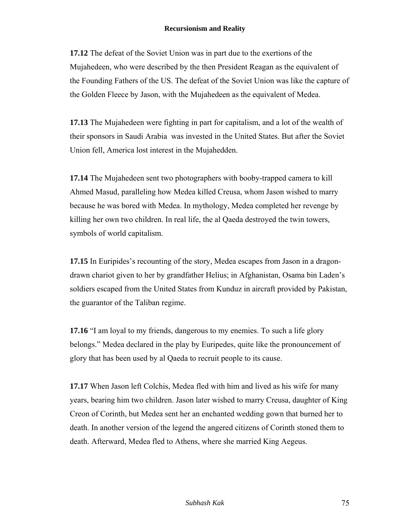**17.12** The defeat of the Soviet Union was in part due to the exertions of the Mujahedeen, who were described by the then President Reagan as the equivalent of the Founding Fathers of the US. The defeat of the Soviet Union was like the capture of the Golden Fleece by Jason, with the Mujahedeen as the equivalent of Medea.

**17.13** The Mujahedeen were fighting in part for capitalism, and a lot of the wealth of their sponsors in Saudi Arabia was invested in the United States. But after the Soviet Union fell, America lost interest in the Mujahedden.

**17.14** The Mujahedeen sent two photographers with booby-trapped camera to kill Ahmed Masud, paralleling how Medea killed Creusa, whom Jason wished to marry because he was bored with Medea. In mythology, Medea completed her revenge by killing her own two children. In real life, the al Qaeda destroyed the twin towers, symbols of world capitalism.

**17.15** In Euripides's recounting of the story, Medea escapes from Jason in a dragondrawn chariot given to her by grandfather Helius; in Afghanistan, Osama bin Laden's soldiers escaped from the United States from Kunduz in aircraft provided by Pakistan, the guarantor of the Taliban regime.

**17.16** "I am loyal to my friends, dangerous to my enemies. To such a life glory belongs." Medea declared in the play by Euripedes, quite like the pronouncement of glory that has been used by al Qaeda to recruit people to its cause.

**17.17** When Jason left Colchis, Medea fled with him and lived as his wife for many years, bearing him two children. Jason later wished to marry Creusa, daughter of King Creon of Corinth, but Medea sent her an enchanted wedding gown that burned her to death. In another version of the legend the angered citizens of Corinth stoned them to death. Afterward, Medea fled to Athens, where she married King Aegeus.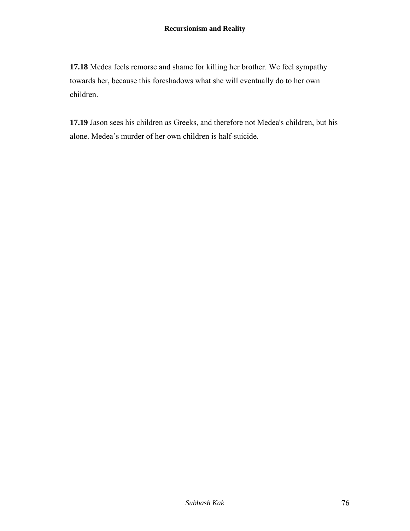**17.18** Medea feels remorse and shame for killing her brother. We feel sympathy towards her, because this foreshadows what she will eventually do to her own children.

**17.19** Jason sees his children as Greeks, and therefore not Medea's children, but his alone. Medea's murder of her own children is half-suicide.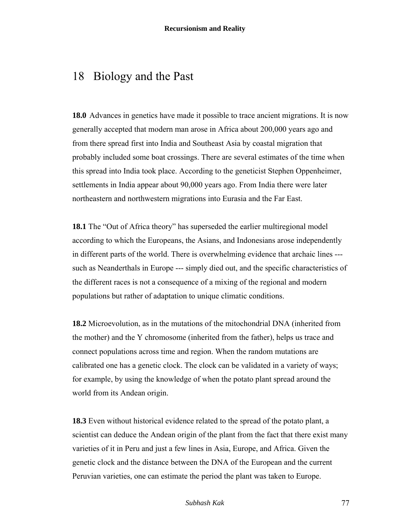## 18 Biology and the Past

**18.0** Advances in genetics have made it possible to trace ancient migrations. It is now generally accepted that modern man arose in Africa about 200,000 years ago and from there spread first into India and Southeast Asia by coastal migration that probably included some boat crossings. There are several estimates of the time when this spread into India took place. According to the geneticist Stephen Oppenheimer, settlements in India appear about 90,000 years ago. From India there were later northeastern and northwestern migrations into Eurasia and the Far East.

**18.1** The "Out of Africa theory" has superseded the earlier multiregional model according to which the Europeans, the Asians, and Indonesians arose independently in different parts of the world. There is overwhelming evidence that archaic lines -- such as Neanderthals in Europe --- simply died out, and the specific characteristics of the different races is not a consequence of a mixing of the regional and modern populations but rather of adaptation to unique climatic conditions.

**18.2** Microevolution, as in the mutations of the mitochondrial DNA (inherited from the mother) and the Y chromosome (inherited from the father), helps us trace and connect populations across time and region. When the random mutations are calibrated one has a genetic clock. The clock can be validated in a variety of ways; for example, by using the knowledge of when the potato plant spread around the world from its Andean origin.

**18.3** Even without historical evidence related to the spread of the potato plant, a scientist can deduce the Andean origin of the plant from the fact that there exist many varieties of it in Peru and just a few lines in Asia, Europe, and Africa. Given the genetic clock and the distance between the DNA of the European and the current Peruvian varieties, one can estimate the period the plant was taken to Europe.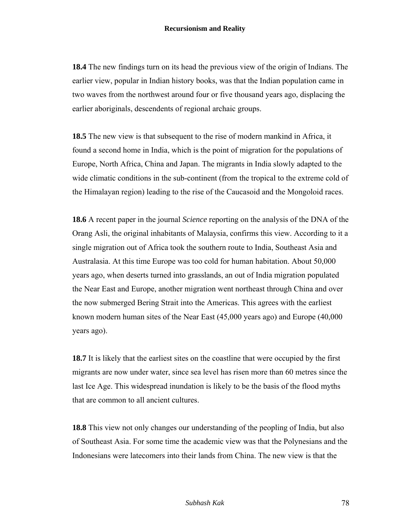**18.4** The new findings turn on its head the previous view of the origin of Indians. The earlier view, popular in Indian history books, was that the Indian population came in two waves from the northwest around four or five thousand years ago, displacing the earlier aboriginals, descendents of regional archaic groups.

**18.5** The new view is that subsequent to the rise of modern mankind in Africa, it found a second home in India, which is the point of migration for the populations of Europe, North Africa, China and Japan. The migrants in India slowly adapted to the wide climatic conditions in the sub-continent (from the tropical to the extreme cold of the Himalayan region) leading to the rise of the Caucasoid and the Mongoloid races.

**18.6** A recent paper in the journal *Science* reporting on the analysis of the DNA of the Orang Asli, the original inhabitants of Malaysia, confirms this view. According to it a single migration out of Africa took the southern route to India, Southeast Asia and Australasia. At this time Europe was too cold for human habitation. About 50,000 years ago, when deserts turned into grasslands, an out of India migration populated the Near East and Europe, another migration went northeast through China and over the now submerged Bering Strait into the Americas. This agrees with the earliest known modern human sites of the Near East (45,000 years ago) and Europe (40,000 years ago).

**18.7** It is likely that the earliest sites on the coastline that were occupied by the first migrants are now under water, since sea level has risen more than 60 metres since the last Ice Age. This widespread inundation is likely to be the basis of the flood myths that are common to all ancient cultures.

**18.8** This view not only changes our understanding of the peopling of India, but also of Southeast Asia. For some time the academic view was that the Polynesians and the Indonesians were latecomers into their lands from China. The new view is that the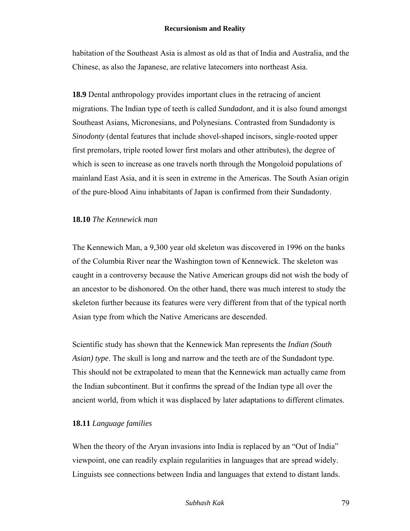habitation of the Southeast Asia is almost as old as that of India and Australia, and the Chinese, as also the Japanese, are relative latecomers into northeast Asia.

**18.9** Dental anthropology provides important clues in the retracing of ancient migrations. The Indian type of teeth is called *Sundadont*, and it is also found amongst Southeast Asians, Micronesians, and Polynesians. Contrasted from Sundadonty is *Sinodonty* (dental features that include shovel-shaped incisors, single-rooted upper first premolars, triple rooted lower first molars and other attributes), the degree of which is seen to increase as one travels north through the Mongoloid populations of mainland East Asia, and it is seen in extreme in the Americas. The South Asian origin of the pure-blood Ainu inhabitants of Japan is confirmed from their Sundadonty.

### **18.10** *The Kennewick man*

The Kennewich Man, a 9,300 year old skeleton was discovered in 1996 on the banks of the Columbia River near the Washington town of Kennewick. The skeleton was caught in a controversy because the Native American groups did not wish the body of an ancestor to be dishonored. On the other hand, there was much interest to study the skeleton further because its features were very different from that of the typical north Asian type from which the Native Americans are descended.

Scientific study has shown that the Kennewick Man represents the *Indian (South Asian) type*. The skull is long and narrow and the teeth are of the Sundadont type. This should not be extrapolated to mean that the Kennewick man actually came from the Indian subcontinent. But it confirms the spread of the Indian type all over the ancient world, from which it was displaced by later adaptations to different climates.

## **18.11** *Language families*

When the theory of the Aryan invasions into India is replaced by an "Out of India" viewpoint, one can readily explain regularities in languages that are spread widely. Linguists see connections between India and languages that extend to distant lands.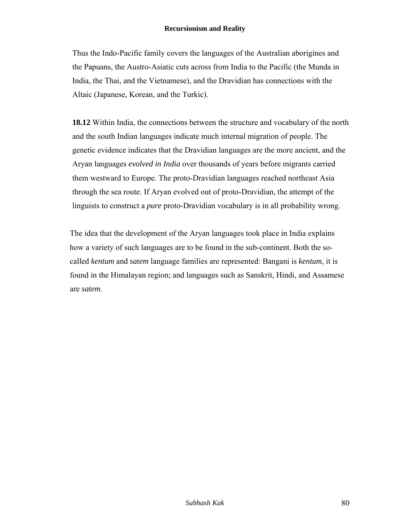Thus the Indo-Pacific family covers the languages of the Australian aborigines and the Papuans, the Austro-Asiatic cuts across from India to the Pacific (the Munda in India, the Thai, and the Vietnamese), and the Dravidian has connections with the Altaic (Japanese, Korean, and the Turkic).

**18.12** Within India, the connections between the structure and vocabulary of the north and the south Indian languages indicate much internal migration of people. The genetic evidence indicates that the Dravidian languages are the more ancient, and the Aryan languages *evolved in India* over thousands of years before migrants carried them westward to Europe. The proto-Dravidian languages reached northeast Asia through the sea route. If Aryan evolved out of proto-Dravidian, the attempt of the linguists to construct a *pure* proto-Dravidian vocabulary is in all probability wrong.

The idea that the development of the Aryan languages took place in India explains how a variety of such languages are to be found in the sub-continent. Both the socalled *kentum* and *satem* language families are represented: Bangani is *kentum*, it is found in the Himalayan region; and languages such as Sanskrit, Hindi, and Assamese are *satem*.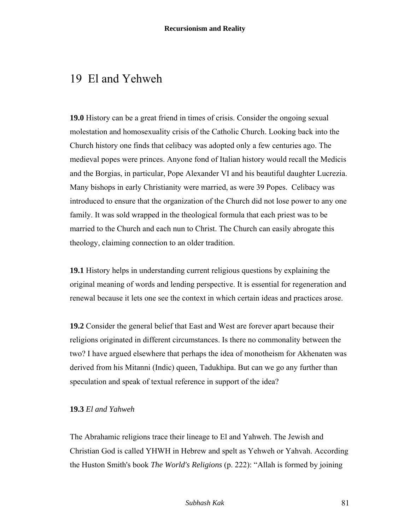## 19 El and Yehweh

**19.0** History can be a great friend in times of crisis. Consider the ongoing sexual molestation and homosexuality crisis of the Catholic Church. Looking back into the Church history one finds that celibacy was adopted only a few centuries ago. The medieval popes were princes. Anyone fond of Italian history would recall the Medicis and the Borgias, in particular, Pope Alexander VI and his beautiful daughter Lucrezia. Many bishops in early Christianity were married, as were 39 Popes. Celibacy was introduced to ensure that the organization of the Church did not lose power to any one family. It was sold wrapped in the theological formula that each priest was to be married to the Church and each nun to Christ. The Church can easily abrogate this theology, claiming connection to an older tradition.

**19.1** History helps in understanding current religious questions by explaining the original meaning of words and lending perspective. It is essential for regeneration and renewal because it lets one see the context in which certain ideas and practices arose.

**19.2** Consider the general belief that East and West are forever apart because their religions originated in different circumstances. Is there no commonality between the two? I have argued elsewhere that perhaps the idea of monotheism for Akhenaten was derived from his Mitanni (Indic) queen, Tadukhipa. But can we go any further than speculation and speak of textual reference in support of the idea?

## **19.3** *El and Yahweh*

The Abrahamic religions trace their lineage to El and Yahweh. The Jewish and Christian God is called YHWH in Hebrew and spelt as Yehweh or Yahvah. According the Huston Smith's book *The World's Religions* (p. 222): "Allah is formed by joining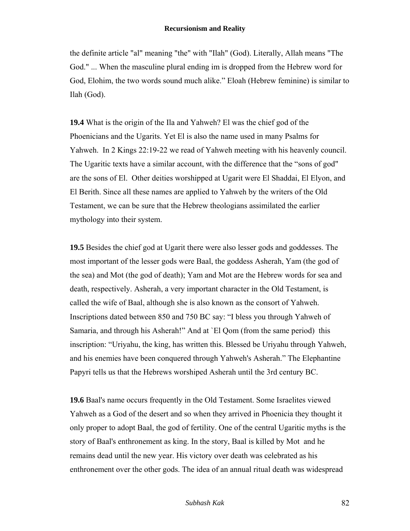the definite article "al" meaning "the" with "Ilah" (God). Literally, Allah means "The God." ... When the masculine plural ending im is dropped from the Hebrew word for God, Elohim, the two words sound much alike." Eloah (Hebrew feminine) is similar to Ilah (God).

**19.4** What is the origin of the Ila and Yahweh? El was the chief god of the Phoenicians and the Ugarits. Yet El is also the name used in many Psalms for Yahweh. In 2 Kings 22:19-22 we read of Yahweh meeting with his heavenly council. The Ugaritic texts have a similar account, with the difference that the "sons of god" are the sons of El. Other deities worshipped at Ugarit were El Shaddai, El Elyon, and El Berith. Since all these names are applied to Yahweh by the writers of the Old Testament, we can be sure that the Hebrew theologians assimilated the earlier mythology into their system.

**19.5** Besides the chief god at Ugarit there were also lesser gods and goddesses. The most important of the lesser gods were Baal, the goddess Asherah, Yam (the god of the sea) and Mot (the god of death); Yam and Mot are the Hebrew words for sea and death, respectively. Asherah, a very important character in the Old Testament, is called the wife of Baal, although she is also known as the consort of Yahweh. Inscriptions dated between 850 and 750 BC say: "I bless you through Yahweh of Samaria, and through his Asherah!" And at `El Qom (from the same period) this inscription: "Uriyahu, the king, has written this. Blessed be Uriyahu through Yahweh, and his enemies have been conquered through Yahweh's Asherah." The Elephantine Papyri tells us that the Hebrews worshiped Asherah until the 3rd century BC.

**19.6** Baal's name occurs frequently in the Old Testament. Some Israelites viewed Yahweh as a God of the desert and so when they arrived in Phoenicia they thought it only proper to adopt Baal, the god of fertility. One of the central Ugaritic myths is the story of Baal's enthronement as king. In the story, Baal is killed by Mot and he remains dead until the new year. His victory over death was celebrated as his enthronement over the other gods. The idea of an annual ritual death was widespread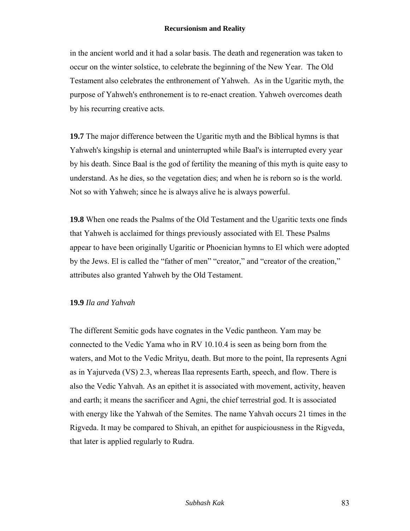in the ancient world and it had a solar basis. The death and regeneration was taken to occur on the winter solstice, to celebrate the beginning of the New Year. The Old Testament also celebrates the enthronement of Yahweh. As in the Ugaritic myth, the purpose of Yahweh's enthronement is to re-enact creation. Yahweh overcomes death by his recurring creative acts.

**19.7** The major difference between the Ugaritic myth and the Biblical hymns is that Yahweh's kingship is eternal and uninterrupted while Baal's is interrupted every year by his death. Since Baal is the god of fertility the meaning of this myth is quite easy to understand. As he dies, so the vegetation dies; and when he is reborn so is the world. Not so with Yahweh; since he is always alive he is always powerful.

**19.8** When one reads the Psalms of the Old Testament and the Ugaritic texts one finds that Yahweh is acclaimed for things previously associated with El. These Psalms appear to have been originally Ugaritic or Phoenician hymns to El which were adopted by the Jews. El is called the "father of men" "creator," and "creator of the creation," attributes also granted Yahweh by the Old Testament.

### **19.9** *Ila and Yahvah*

The different Semitic gods have cognates in the Vedic pantheon. Yam may be connected to the Vedic Yama who in RV 10.10.4 is seen as being born from the waters, and Mot to the Vedic Mrityu, death. But more to the point, Ila represents Agni as in Yajurveda (VS) 2.3, whereas Ilaa represents Earth, speech, and flow. There is also the Vedic Yahvah. As an epithet it is associated with movement, activity, heaven and earth; it means the sacrificer and Agni, the chief terrestrial god. It is associated with energy like the Yahwah of the Semites. The name Yahvah occurs 21 times in the Rigveda. It may be compared to Shivah, an epithet for auspiciousness in the Rigveda, that later is applied regularly to Rudra.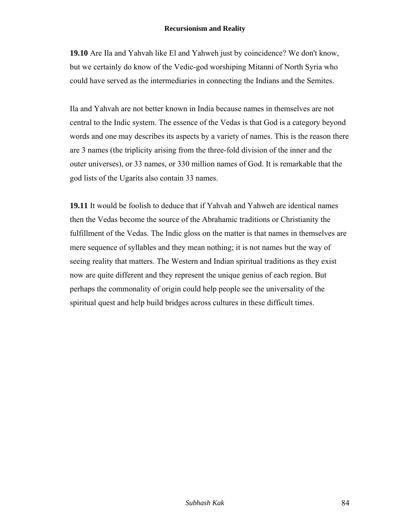**19.10** Are Ila and Yahvah like El and Yahweh just by coincidence? We don't know, but we certainly do know of the Vedic-god worshiping Mitanni of North Syria who could have served as the intermediaries in connecting the Indians and the Semites.

Ila and Yahvah are not better known in India because names in themselves are not central to the Indic system. The essence of the Vedas is that God is a category beyond words and one may describes its aspects by a variety of names. This is the reason there are 3 names (the triplicity arising from the three-fold division of the inner and the outer universes), or 33 names, or 330 million names of God. It is remarkable that the god lists of the Ugarits also contain 33 names.

**19.11** It would be foolish to deduce that if Yahvah and Yahweh are identical names then the Vedas become the source of the Abrahamic traditions or Christianity the fulfillment of the Vedas. The Indic gloss on the matter is that names in themselves are mere sequence of syllables and they mean nothing; it is not names but the way of seeing reality that matters. The Western and Indian spiritual traditions as they exist now are quite different and they represent the unique genius of each region. But perhaps the commonality of origin could help people see the universality of the spiritual quest and help build bridges across cultures in these difficult times.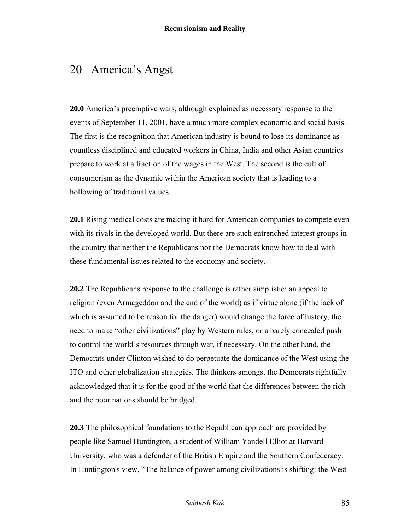## 20 America's Angst

**20.0** America's preemptive wars, although explained as necessary response to the events of September 11, 2001, have a much more complex economic and social basis. The first is the recognition that American industry is bound to lose its dominance as countless disciplined and educated workers in China, India and other Asian countries prepare to work at a fraction of the wages in the West. The second is the cult of consumerism as the dynamic within the American society that is leading to a hollowing of traditional values.

**20.1** Rising medical costs are making it hard for American companies to compete even with its rivals in the developed world. But there are such entrenched interest groups in the country that neither the Republicans nor the Democrats know how to deal with these fundamental issues related to the economy and society.

**20.2** The Republicans response to the challenge is rather simplistic: an appeal to religion (even Armageddon and the end of the world) as if virtue alone (if the lack of which is assumed to be reason for the danger) would change the force of history, the need to make "other civilizations" play by Western rules, or a barely concealed push to control the world's resources through war, if necessary. On the other hand, the Democrats under Clinton wished to do perpetuate the dominance of the West using the ITO and other globalization strategies. The thinkers amongst the Democrats rightfully acknowledged that it is for the good of the world that the differences between the rich and the poor nations should be bridged.

**20.3** The philosophical foundations to the Republican approach are provided by people like Samuel Huntington, a student of William Yandell Elliot at Harvard University, who was a defender of the British Empire and the Southern Confederacy. In Huntington's view, "The balance of power among civilizations is shifting: the West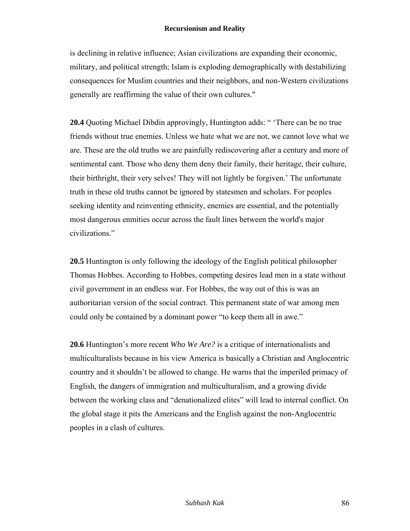is declining in relative influence; Asian civilizations are expanding their economic, military, and political strength; Islam is exploding demographically with destabilizing consequences for Muslim countries and their neighbors, and non-Western civilizations generally are reaffirming the value of their own cultures."

**20.4** Quoting Michael Dibdin approvingly, Huntington adds: " 'There can be no true friends without true enemies. Unless we hate what we are not, we cannot love what we are. These are the old truths we are painfully rediscovering after a century and more of sentimental cant. Those who deny them deny their family, their heritage, their culture, their birthright, their very selves! They will not lightly be forgiven.' The unfortunate truth in these old truths cannot be ignored by statesmen and scholars. For peoples seeking identity and reinventing ethnicity, enemies are essential, and the potentially most dangerous enmities occur across the fault lines between the world's major civilizations."

**20.5** Huntington is only following the ideology of the English political philosopher Thomas Hobbes. According to Hobbes, competing desires lead men in a state without civil government in an endless war. For Hobbes, the way out of this is was an authoritarian version of the social contract. This permanent state of war among men could only be contained by a dominant power "to keep them all in awe."

**20.6** Huntington's more recent *Who We Are?* is a critique of internationalists and multiculturalists because in his view America is basically a Christian and Anglocentric country and it shouldn't be allowed to change. He warns that the imperiled primacy of English, the dangers of immigration and multiculturalism, and a growing divide between the working class and "denationalized elites" will lead to internal conflict. On the global stage it pits the Americans and the English against the non-Anglocentric peoples in a clash of cultures.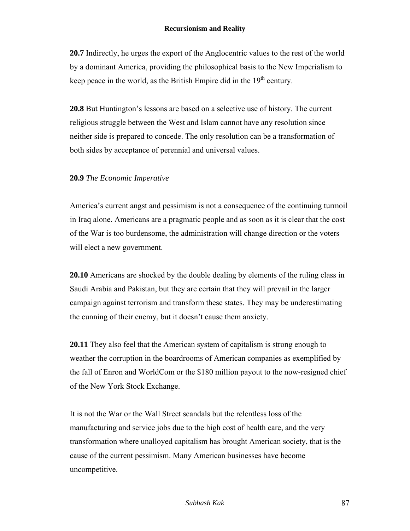**20.7** Indirectly, he urges the export of the Anglocentric values to the rest of the world by a dominant America, providing the philosophical basis to the New Imperialism to keep peace in the world, as the British Empire did in the  $19<sup>th</sup>$  century.

**20.8** But Huntington's lessons are based on a selective use of history. The current religious struggle between the West and Islam cannot have any resolution since neither side is prepared to concede. The only resolution can be a transformation of both sides by acceptance of perennial and universal values.

## **20.9** *The Economic Imperative*

America's current angst and pessimism is not a consequence of the continuing turmoil in Iraq alone. Americans are a pragmatic people and as soon as it is clear that the cost of the War is too burdensome, the administration will change direction or the voters will elect a new government.

**20.10** Americans are shocked by the double dealing by elements of the ruling class in Saudi Arabia and Pakistan, but they are certain that they will prevail in the larger campaign against terrorism and transform these states. They may be underestimating the cunning of their enemy, but it doesn't cause them anxiety.

**20.11** They also feel that the American system of capitalism is strong enough to weather the corruption in the boardrooms of American companies as exemplified by the fall of Enron and WorldCom or the \$180 million payout to the now-resigned chief of the New York Stock Exchange.

It is not the War or the Wall Street scandals but the relentless loss of the manufacturing and service jobs due to the high cost of health care, and the very transformation where unalloyed capitalism has brought American society, that is the cause of the current pessimism. Many American businesses have become uncompetitive.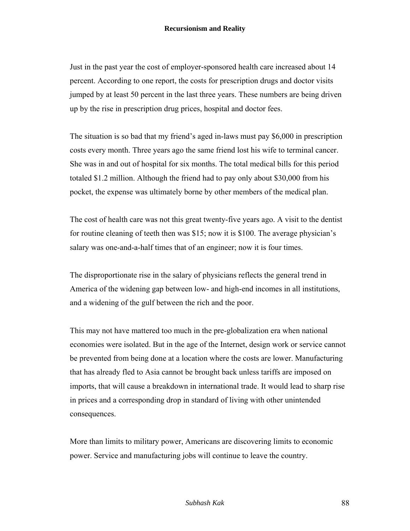Just in the past year the cost of employer-sponsored health care increased about 14 percent. According to one report, the costs for prescription drugs and doctor visits jumped by at least 50 percent in the last three years. These numbers are being driven up by the rise in prescription drug prices, hospital and doctor fees.

The situation is so bad that my friend's aged in-laws must pay \$6,000 in prescription costs every month. Three years ago the same friend lost his wife to terminal cancer. She was in and out of hospital for six months. The total medical bills for this period totaled \$1.2 million. Although the friend had to pay only about \$30,000 from his pocket, the expense was ultimately borne by other members of the medical plan.

The cost of health care was not this great twenty-five years ago. A visit to the dentist for routine cleaning of teeth then was \$15; now it is \$100. The average physician's salary was one-and-a-half times that of an engineer; now it is four times.

The disproportionate rise in the salary of physicians reflects the general trend in America of the widening gap between low- and high-end incomes in all institutions, and a widening of the gulf between the rich and the poor.

This may not have mattered too much in the pre-globalization era when national economies were isolated. But in the age of the Internet, design work or service cannot be prevented from being done at a location where the costs are lower. Manufacturing that has already fled to Asia cannot be brought back unless tariffs are imposed on imports, that will cause a breakdown in international trade. It would lead to sharp rise in prices and a corresponding drop in standard of living with other unintended consequences.

More than limits to military power, Americans are discovering limits to economic power. Service and manufacturing jobs will continue to leave the country.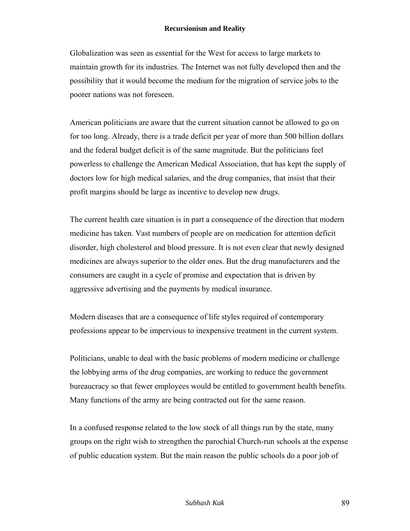Globalization was seen as essential for the West for access to large markets to maintain growth for its industries. The Internet was not fully developed then and the possibility that it would become the medium for the migration of service jobs to the poorer nations was not foreseen.

American politicians are aware that the current situation cannot be allowed to go on for too long. Already, there is a trade deficit per year of more than 500 billion dollars and the federal budget deficit is of the same magnitude. But the politicians feel powerless to challenge the American Medical Association, that has kept the supply of doctors low for high medical salaries, and the drug companies, that insist that their profit margins should be large as incentive to develop new drugs.

The current health care situation is in part a consequence of the direction that modern medicine has taken. Vast numbers of people are on medication for attention deficit disorder, high cholesterol and blood pressure. It is not even clear that newly designed medicines are always superior to the older ones. But the drug manufacturers and the consumers are caught in a cycle of promise and expectation that is driven by aggressive advertising and the payments by medical insurance.

Modern diseases that are a consequence of life styles required of contemporary professions appear to be impervious to inexpensive treatment in the current system.

Politicians, unable to deal with the basic problems of modern medicine or challenge the lobbying arms of the drug companies, are working to reduce the government bureaucracy so that fewer employees would be entitled to government health benefits. Many functions of the army are being contracted out for the same reason.

In a confused response related to the low stock of all things run by the state, many groups on the right wish to strengthen the parochial Church-run schools at the expense of public education system. But the main reason the public schools do a poor job of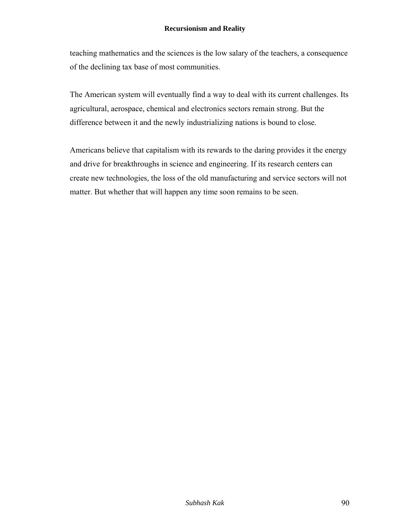teaching mathematics and the sciences is the low salary of the teachers, a consequence of the declining tax base of most communities.

The American system will eventually find a way to deal with its current challenges. Its agricultural, aerospace, chemical and electronics sectors remain strong. But the difference between it and the newly industrializing nations is bound to close.

Americans believe that capitalism with its rewards to the daring provides it the energy and drive for breakthroughs in science and engineering. If its research centers can create new technologies, the loss of the old manufacturing and service sectors will not matter. But whether that will happen any time soon remains to be seen.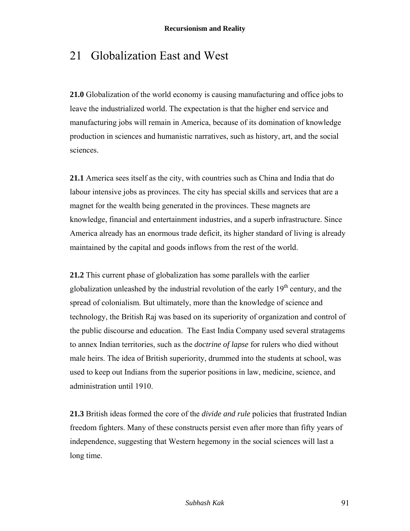## 21 Globalization East and West

**21.0** Globalization of the world economy is causing manufacturing and office jobs to leave the industrialized world. The expectation is that the higher end service and manufacturing jobs will remain in America, because of its domination of knowledge production in sciences and humanistic narratives, such as history, art, and the social sciences.

**21.1** America sees itself as the city, with countries such as China and India that do labour intensive jobs as provinces. The city has special skills and services that are a magnet for the wealth being generated in the provinces. These magnets are knowledge, financial and entertainment industries, and a superb infrastructure. Since America already has an enormous trade deficit, its higher standard of living is already maintained by the capital and goods inflows from the rest of the world.

**21.2** This current phase of globalization has some parallels with the earlier globalization unleashed by the industrial revolution of the early  $19<sup>th</sup>$  century, and the spread of colonialism. But ultimately, more than the knowledge of science and technology, the British Raj was based on its superiority of organization and control of the public discourse and education. The East India Company used several stratagems to annex Indian territories, such as the *doctrine of lapse* for rulers who died without male heirs. The idea of British superiority, drummed into the students at school, was used to keep out Indians from the superior positions in law, medicine, science, and administration until 1910.

**21.3** British ideas formed the core of the *divide and rule* policies that frustrated Indian freedom fighters. Many of these constructs persist even after more than fifty years of independence, suggesting that Western hegemony in the social sciences will last a long time.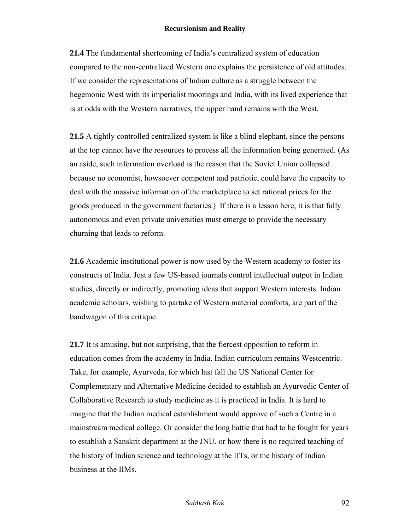**21.4** The fundamental shortcoming of India's centralized system of education compared to the non-centralized Western one explains the persistence of old attitudes. If we consider the representations of Indian culture as a struggle between the hegemonic West with its imperialist moorings and India, with its lived experience that is at odds with the Western narratives, the upper hand remains with the West.

**21.5** A tightly controlled centralized system is like a blind elephant, since the persons at the top cannot have the resources to process all the information being generated. (As an aside, such information overload is the reason that the Soviet Union collapsed because no economist, howsoever competent and patriotic, could have the capacity to deal with the massive information of the marketplace to set rational prices for the goods produced in the government factories.) If there is a lesson here, it is that fully autonomous and even private universities must emerge to provide the necessary churning that leads to reform.

**21.6** Academic institutional power is now used by the Western academy to foster its constructs of India. Just a few US-based journals control intellectual output in Indian studies, directly or indirectly, promoting ideas that support Western interests. Indian academic scholars, wishing to partake of Western material comforts, are part of the bandwagon of this critique.

**21.7** It is amusing, but not surprising, that the fiercest opposition to reform in education comes from the academy in India. Indian curriculum remains Westcentric. Take, for example, Ayurveda, for which last fall the US National Center for Complementary and Alternative Medicine decided to establish an Ayurvedic Center of Collaborative Research to study medicine as it is practiced in India. It is hard to imagine that the Indian medical establishment would approve of such a Centre in a mainstream medical college. Or consider the long battle that had to be fought for years to establish a Sanskrit department at the JNU, or how there is no required teaching of the history of Indian science and technology at the IITs, or the history of Indian business at the IIMs.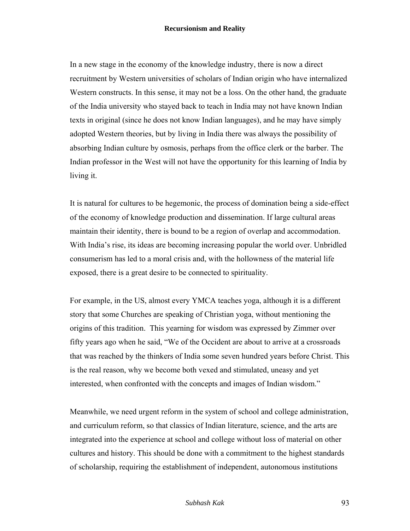In a new stage in the economy of the knowledge industry, there is now a direct recruitment by Western universities of scholars of Indian origin who have internalized Western constructs. In this sense, it may not be a loss. On the other hand, the graduate of the India university who stayed back to teach in India may not have known Indian texts in original (since he does not know Indian languages), and he may have simply adopted Western theories, but by living in India there was always the possibility of absorbing Indian culture by osmosis, perhaps from the office clerk or the barber. The Indian professor in the West will not have the opportunity for this learning of India by living it.

It is natural for cultures to be hegemonic, the process of domination being a side-effect of the economy of knowledge production and dissemination. If large cultural areas maintain their identity, there is bound to be a region of overlap and accommodation. With India's rise, its ideas are becoming increasing popular the world over. Unbridled consumerism has led to a moral crisis and, with the hollowness of the material life exposed, there is a great desire to be connected to spirituality.

For example, in the US, almost every YMCA teaches yoga, although it is a different story that some Churches are speaking of Christian yoga, without mentioning the origins of this tradition. This yearning for wisdom was expressed by Zimmer over fifty years ago when he said, "We of the Occident are about to arrive at a crossroads that was reached by the thinkers of India some seven hundred years before Christ. This is the real reason, why we become both vexed and stimulated, uneasy and yet interested, when confronted with the concepts and images of Indian wisdom."

Meanwhile, we need urgent reform in the system of school and college administration, and curriculum reform, so that classics of Indian literature, science, and the arts are integrated into the experience at school and college without loss of material on other cultures and history. This should be done with a commitment to the highest standards of scholarship, requiring the establishment of independent, autonomous institutions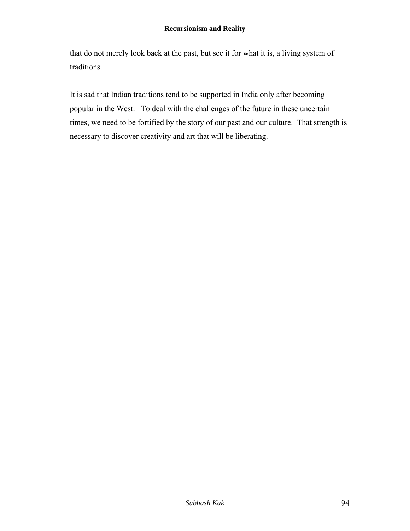that do not merely look back at the past, but see it for what it is, a living system of traditions.

It is sad that Indian traditions tend to be supported in India only after becoming popular in the West. To deal with the challenges of the future in these uncertain times, we need to be fortified by the story of our past and our culture. That strength is necessary to discover creativity and art that will be liberating.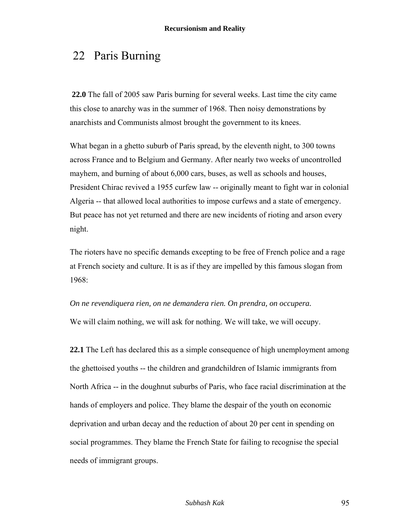# 22 Paris Burning

 **22.0** The fall of 2005 saw Paris burning for several weeks. Last time the city came this close to anarchy was in the summer of 1968. Then noisy demonstrations by anarchists and Communists almost brought the government to its knees.

What began in a ghetto suburb of Paris spread, by the eleventh night, to 300 towns across France and to Belgium and Germany. After nearly two weeks of uncontrolled mayhem, and burning of about 6,000 cars, buses, as well as schools and houses, President Chirac revived a 1955 curfew law -- originally meant to fight war in colonial Algeria -- that allowed local authorities to impose curfews and a state of emergency. But peace has not yet returned and there are new incidents of rioting and arson every night.

The rioters have no specific demands excepting to be free of French police and a rage at French society and culture. It is as if they are impelled by this famous slogan from 1968:

*On ne revendiquera rien, on ne demandera rien. On prendra, on occupera.*

We will claim nothing, we will ask for nothing. We will take, we will occupy.

**22.1** The Left has declared this as a simple consequence of high unemployment among the ghettoised youths -- the children and grandchildren of Islamic immigrants from North Africa -- in the doughnut suburbs of Paris, who face racial discrimination at the hands of employers and police. They blame the despair of the youth on economic deprivation and urban decay and the reduction of about 20 per cent in spending on social programmes. They blame the French State for failing to recognise the special needs of immigrant groups.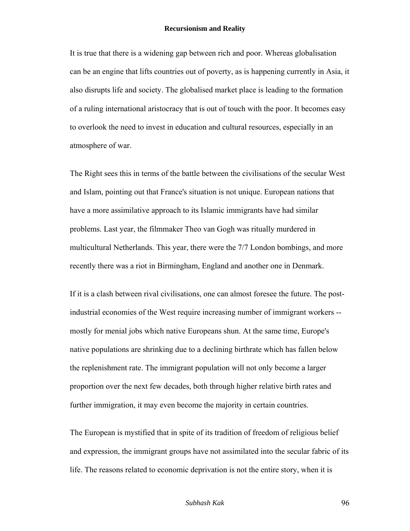It is true that there is a widening gap between rich and poor. Whereas globalisation can be an engine that lifts countries out of poverty, as is happening currently in Asia, it also disrupts life and society. The globalised market place is leading to the formation of a ruling international aristocracy that is out of touch with the poor. It becomes easy to overlook the need to invest in education and cultural resources, especially in an atmosphere of war.

The Right sees this in terms of the battle between the civilisations of the secular West and Islam, pointing out that France's situation is not unique. European nations that have a more assimilative approach to its Islamic immigrants have had similar problems. Last year, the filmmaker Theo van Gogh was ritually murdered in multicultural Netherlands. This year, there were the 7/7 London bombings, and more recently there was a riot in Birmingham, England and another one in Denmark.

If it is a clash between rival civilisations, one can almost foresee the future. The postindustrial economies of the West require increasing number of immigrant workers - mostly for menial jobs which native Europeans shun. At the same time, Europe's native populations are shrinking due to a declining birthrate which has fallen below the replenishment rate. The immigrant population will not only become a larger proportion over the next few decades, both through higher relative birth rates and further immigration, it may even become the majority in certain countries.

The European is mystified that in spite of its tradition of freedom of religious belief and expression, the immigrant groups have not assimilated into the secular fabric of its life. The reasons related to economic deprivation is not the entire story, when it is

#### *Subhash Kak* 96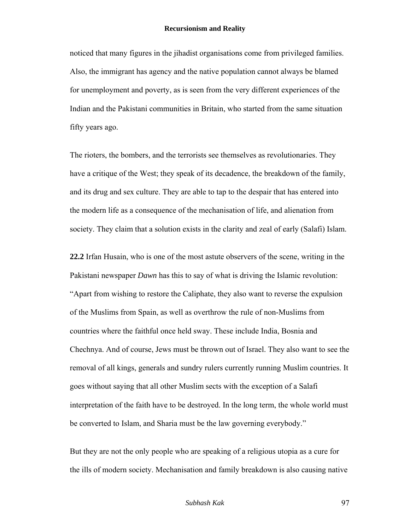noticed that many figures in the jihadist organisations come from privileged families. Also, the immigrant has agency and the native population cannot always be blamed for unemployment and poverty, as is seen from the very different experiences of the Indian and the Pakistani communities in Britain, who started from the same situation fifty years ago.

The rioters, the bombers, and the terrorists see themselves as revolutionaries. They have a critique of the West; they speak of its decadence, the breakdown of the family, and its drug and sex culture. They are able to tap to the despair that has entered into the modern life as a consequence of the mechanisation of life, and alienation from society. They claim that a solution exists in the clarity and zeal of early (Salafi) Islam.

**22.2** Irfan Husain, who is one of the most astute observers of the scene, writing in the Pakistani newspaper *Dawn* has this to say of what is driving the Islamic revolution: "Apart from wishing to restore the Caliphate, they also want to reverse the expulsion of the Muslims from Spain, as well as overthrow the rule of non-Muslims from countries where the faithful once held sway. These include India, Bosnia and Chechnya. And of course, Jews must be thrown out of Israel. They also want to see the removal of all kings, generals and sundry rulers currently running Muslim countries. It goes without saying that all other Muslim sects with the exception of a Salafi interpretation of the faith have to be destroyed. In the long term, the whole world must be converted to Islam, and Sharia must be the law governing everybody."

But they are not the only people who are speaking of a religious utopia as a cure for the ills of modern society. Mechanisation and family breakdown is also causing native

#### *Subhash Kak* 97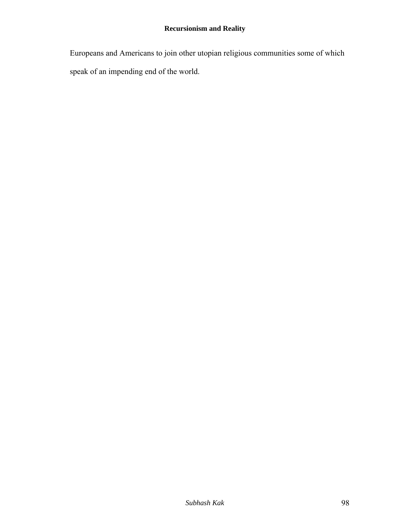Europeans and Americans to join other utopian religious communities some of which speak of an impending end of the world.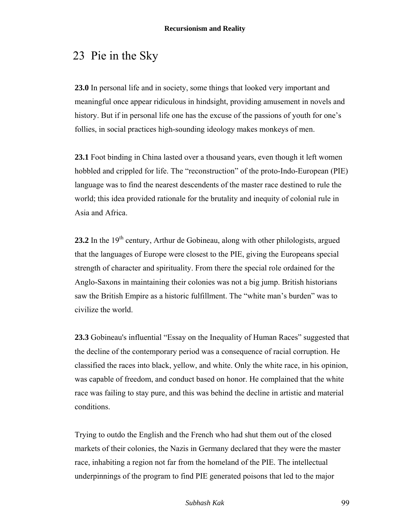# 23 Pie in the Sky

**23.0** In personal life and in society, some things that looked very important and meaningful once appear ridiculous in hindsight, providing amusement in novels and history. But if in personal life one has the excuse of the passions of youth for one's follies, in social practices high-sounding ideology makes monkeys of men.

**23.1** Foot binding in China lasted over a thousand years, even though it left women hobbled and crippled for life. The "reconstruction" of the proto-Indo-European (PIE) language was to find the nearest descendents of the master race destined to rule the world; this idea provided rationale for the brutality and inequity of colonial rule in Asia and Africa.

**23.2** In the  $19<sup>th</sup>$  century, Arthur de Gobineau, along with other philologists, argued that the languages of Europe were closest to the PIE, giving the Europeans special strength of character and spirituality. From there the special role ordained for the Anglo-Saxons in maintaining their colonies was not a big jump. British historians saw the British Empire as a historic fulfillment. The "white man's burden" was to civilize the world.

**23.3** Gobineau's influential "Essay on the Inequality of Human Races" suggested that the decline of the contemporary period was a consequence of racial corruption. He classified the races into black, yellow, and white. Only the white race, in his opinion, was capable of freedom, and conduct based on honor. He complained that the white race was failing to stay pure, and this was behind the decline in artistic and material conditions.

Trying to outdo the English and the French who had shut them out of the closed markets of their colonies, the Nazis in Germany declared that they were the master race, inhabiting a region not far from the homeland of the PIE. The intellectual underpinnings of the program to find PIE generated poisons that led to the major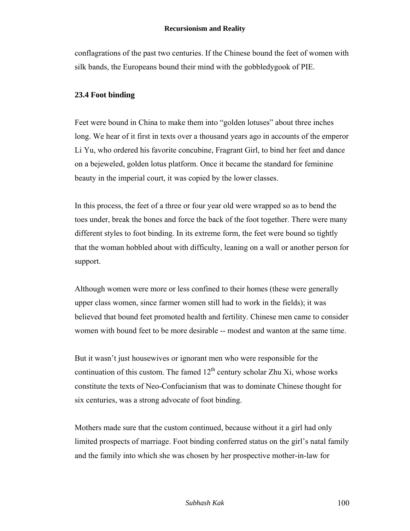conflagrations of the past two centuries. If the Chinese bound the feet of women with silk bands, the Europeans bound their mind with the gobbledygook of PIE.

## **23.4 Foot binding**

Feet were bound in China to make them into "golden lotuses" about three inches long. We hear of it first in texts over a thousand years ago in accounts of the emperor Li Yu, who ordered his favorite concubine, Fragrant Girl, to bind her feet and dance on a bejeweled, golden lotus platform. Once it became the standard for feminine beauty in the imperial court, it was copied by the lower classes.

In this process, the feet of a three or four year old were wrapped so as to bend the toes under, break the bones and force the back of the foot together. There were many different styles to foot binding. In its extreme form, the feet were bound so tightly that the woman hobbled about with difficulty, leaning on a wall or another person for support.

Although women were more or less confined to their homes (these were generally upper class women, since farmer women still had to work in the fields); it was believed that bound feet promoted health and fertility. Chinese men came to consider women with bound feet to be more desirable -- modest and wanton at the same time.

But it wasn't just housewives or ignorant men who were responsible for the continuation of this custom. The famed  $12<sup>th</sup>$  century scholar Zhu Xi, whose works constitute the texts of Neo-Confucianism that was to dominate Chinese thought for six centuries, was a strong advocate of foot binding.

Mothers made sure that the custom continued, because without it a girl had only limited prospects of marriage. Foot binding conferred status on the girl's natal family and the family into which she was chosen by her prospective mother-in-law for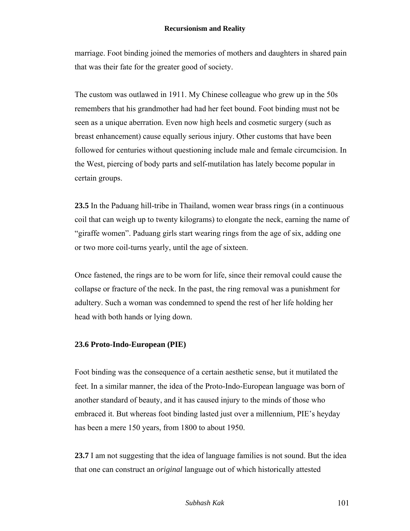marriage. Foot binding joined the memories of mothers and daughters in shared pain that was their fate for the greater good of society.

The custom was outlawed in 1911. My Chinese colleague who grew up in the 50s remembers that his grandmother had had her feet bound. Foot binding must not be seen as a unique aberration. Even now high heels and cosmetic surgery (such as breast enhancement) cause equally serious injury. Other customs that have been followed for centuries without questioning include male and female circumcision. In the West, piercing of body parts and self-mutilation has lately become popular in certain groups.

**23.5** In the Paduang hill-tribe in Thailand, women wear brass rings (in a continuous coil that can weigh up to twenty kilograms) to elongate the neck, earning the name of "giraffe women". Paduang girls start wearing rings from the age of six, adding one or two more coil-turns yearly, until the age of sixteen.

Once fastened, the rings are to be worn for life, since their removal could cause the collapse or fracture of the neck. In the past, the ring removal was a punishment for adultery. Such a woman was condemned to spend the rest of her life holding her head with both hands or lying down.

### **23.6 Proto-Indo-European (PIE)**

Foot binding was the consequence of a certain aesthetic sense, but it mutilated the feet. In a similar manner, the idea of the Proto-Indo-European language was born of another standard of beauty, and it has caused injury to the minds of those who embraced it. But whereas foot binding lasted just over a millennium, PIE's heyday has been a mere 150 years, from 1800 to about 1950.

**23.7** I am not suggesting that the idea of language families is not sound. But the idea that one can construct an *original* language out of which historically attested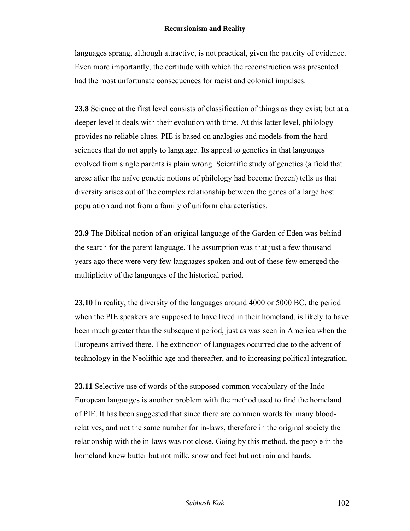languages sprang, although attractive, is not practical, given the paucity of evidence. Even more importantly, the certitude with which the reconstruction was presented had the most unfortunate consequences for racist and colonial impulses.

**23.8** Science at the first level consists of classification of things as they exist; but at a deeper level it deals with their evolution with time. At this latter level, philology provides no reliable clues. PIE is based on analogies and models from the hard sciences that do not apply to language. Its appeal to genetics in that languages evolved from single parents is plain wrong. Scientific study of genetics (a field that arose after the naïve genetic notions of philology had become frozen) tells us that diversity arises out of the complex relationship between the genes of a large host population and not from a family of uniform characteristics.

**23.9** The Biblical notion of an original language of the Garden of Eden was behind the search for the parent language. The assumption was that just a few thousand years ago there were very few languages spoken and out of these few emerged the multiplicity of the languages of the historical period.

**23.10** In reality, the diversity of the languages around 4000 or 5000 BC, the period when the PIE speakers are supposed to have lived in their homeland, is likely to have been much greater than the subsequent period, just as was seen in America when the Europeans arrived there. The extinction of languages occurred due to the advent of technology in the Neolithic age and thereafter, and to increasing political integration.

**23.11** Selective use of words of the supposed common vocabulary of the Indo-European languages is another problem with the method used to find the homeland of PIE. It has been suggested that since there are common words for many bloodrelatives, and not the same number for in-laws, therefore in the original society the relationship with the in-laws was not close. Going by this method, the people in the homeland knew butter but not milk, snow and feet but not rain and hands.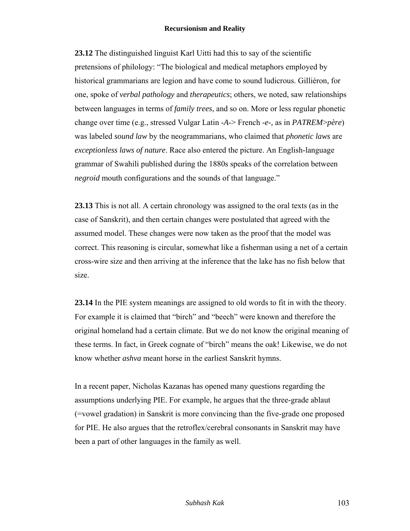**23.12** The distinguished linguist Karl Uitti had this to say of the scientific pretensions of philology: "The biological and medical metaphors employed by historical grammarians are legion and have come to sound ludicrous. Gilliéron, for one, spoke of *verbal pathology* and *therapeutics*; others, we noted, saw relationships between languages in terms of *family trees*, and so on. More or less regular phonetic change over time (e.g., stressed Vulgar Latin *-A-*> French *-e-,* as in *PATREM*>*père*) was labeled *sound law* by the neogrammarians, who claimed that *phonetic laws* are *exceptionless laws of nature*. Race also entered the picture. An English-language grammar of Swahili published during the 1880s speaks of the correlation between *negroid* mouth configurations and the sounds of that language."

**23.13** This is not all. A certain chronology was assigned to the oral texts (as in the case of Sanskrit), and then certain changes were postulated that agreed with the assumed model. These changes were now taken as the proof that the model was correct. This reasoning is circular, somewhat like a fisherman using a net of a certain cross-wire size and then arriving at the inference that the lake has no fish below that size.

**23.14** In the PIE system meanings are assigned to old words to fit in with the theory. For example it is claimed that "birch" and "beech" were known and therefore the original homeland had a certain climate. But we do not know the original meaning of these terms. In fact, in Greek cognate of "birch" means the oak! Likewise, we do not know whether *ashva* meant horse in the earliest Sanskrit hymns.

In a recent paper, Nicholas Kazanas has opened many questions regarding the assumptions underlying PIE. For example, he argues that the three-grade ablaut (=vowel gradation) in Sanskrit is more convincing than the five-grade one proposed for PIE. He also argues that the retroflex/cerebral consonants in Sanskrit may have been a part of other languages in the family as well.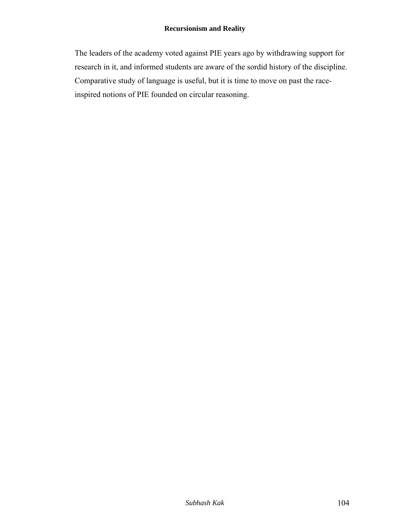The leaders of the academy voted against PIE years ago by withdrawing support for research in it, and informed students are aware of the sordid history of the discipline. Comparative study of language is useful, but it is time to move on past the raceinspired notions of PIE founded on circular reasoning.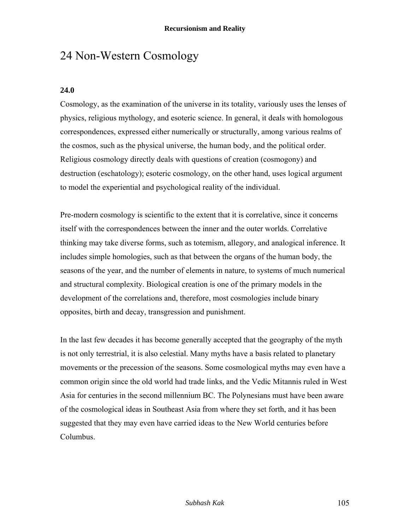# 24 Non-Western Cosmology

## **24.0**

Cosmology, as the examination of the universe in its totality, variously uses the lenses of physics, religious mythology, and esoteric science. In general, it deals with homologous correspondences, expressed either numerically or structurally, among various realms of the cosmos, such as the physical universe, the human body, and the political order. Religious cosmology directly deals with questions of creation (cosmogony) and destruction (eschatology); esoteric cosmology, on the other hand, uses logical argument to model the experiential and psychological reality of the individual.

Pre-modern cosmology is scientific to the extent that it is correlative, since it concerns itself with the correspondences between the inner and the outer worlds. Correlative thinking may take diverse forms, such as totemism, allegory, and analogical inference. It includes simple homologies, such as that between the organs of the human body, the seasons of the year, and the number of elements in nature, to systems of much numerical and structural complexity. Biological creation is one of the primary models in the development of the correlations and, therefore, most cosmologies include binary opposites, birth and decay, transgression and punishment.

In the last few decades it has become generally accepted that the geography of the myth is not only terrestrial, it is also celestial. Many myths have a basis related to planetary movements or the precession of the seasons. Some cosmological myths may even have a common origin since the old world had trade links, and the Vedic Mitannis ruled in West Asia for centuries in the second millennium BC. The Polynesians must have been aware of the cosmological ideas in Southeast Asia from where they set forth, and it has been suggested that they may even have carried ideas to the New World centuries before Columbus.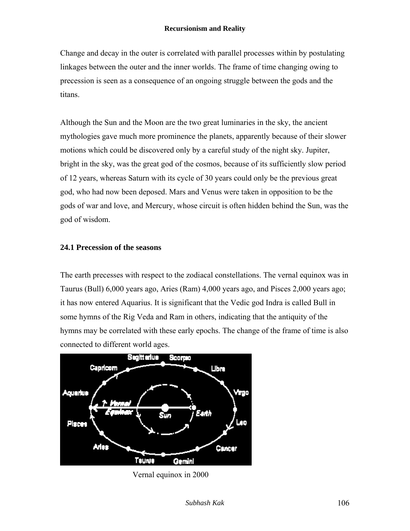Change and decay in the outer is correlated with parallel processes within by postulating linkages between the outer and the inner worlds. The frame of time changing owing to precession is seen as a consequence of an ongoing struggle between the gods and the titans.

Although the Sun and the Moon are the two great luminaries in the sky, the ancient mythologies gave much more prominence the planets, apparently because of their slower motions which could be discovered only by a careful study of the night sky. Jupiter, bright in the sky, was the great god of the cosmos, because of its sufficiently slow period of 12 years, whereas Saturn with its cycle of 30 years could only be the previous great god, who had now been deposed. Mars and Venus were taken in opposition to be the gods of war and love, and Mercury, whose circuit is often hidden behind the Sun, was the god of wisdom.

### **24.1 Precession of the seasons**

The earth precesses with respect to the zodiacal constellations. The vernal equinox was in Taurus (Bull) 6,000 years ago, Aries (Ram) 4,000 years ago, and Pisces 2,000 years ago; it has now entered Aquarius. It is significant that the Vedic god Indra is called Bull in some hymns of the Rig Veda and Ram in others, indicating that the antiquity of the hymns may be correlated with these early epochs. The change of the frame of time is also connected to different world ages.



Vernal equinox in 2000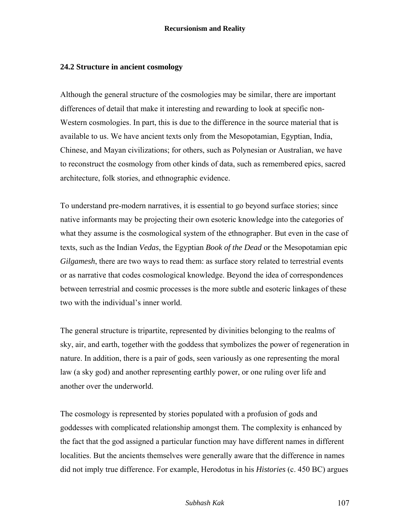### **24.2 Structure in ancient cosmology**

Although the general structure of the cosmologies may be similar, there are important differences of detail that make it interesting and rewarding to look at specific non-Western cosmologies. In part, this is due to the difference in the source material that is available to us. We have ancient texts only from the Mesopotamian, Egyptian, India, Chinese, and Mayan civilizations; for others, such as Polynesian or Australian, we have to reconstruct the cosmology from other kinds of data, such as remembered epics, sacred architecture, folk stories, and ethnographic evidence.

To understand pre-modern narratives, it is essential to go beyond surface stories; since native informants may be projecting their own esoteric knowledge into the categories of what they assume is the cosmological system of the ethnographer. But even in the case of texts, such as the Indian *Vedas*, the Egyptian *Book of the Dead* or the Mesopotamian epic *Gilgamesh*, there are two ways to read them: as surface story related to terrestrial events or as narrative that codes cosmological knowledge. Beyond the idea of correspondences between terrestrial and cosmic processes is the more subtle and esoteric linkages of these two with the individual's inner world.

The general structure is tripartite, represented by divinities belonging to the realms of sky, air, and earth, together with the goddess that symbolizes the power of regeneration in nature. In addition, there is a pair of gods, seen variously as one representing the moral law (a sky god) and another representing earthly power, or one ruling over life and another over the underworld.

The cosmology is represented by stories populated with a profusion of gods and goddesses with complicated relationship amongst them. The complexity is enhanced by the fact that the god assigned a particular function may have different names in different localities. But the ancients themselves were generally aware that the difference in names did not imply true difference. For example, Herodotus in his *Histories* (c. 450 BC) argues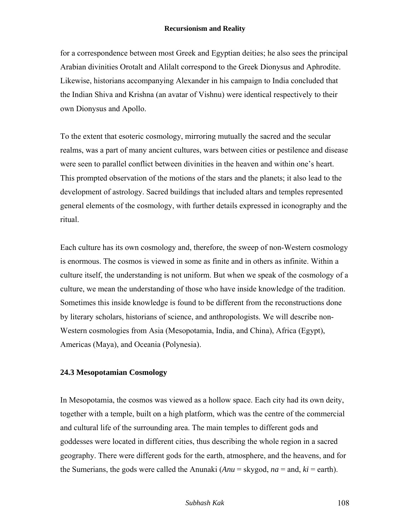for a correspondence between most Greek and Egyptian deities; he also sees the principal Arabian divinities Orotalt and Alilalt correspond to the Greek Dionysus and Aphrodite. Likewise, historians accompanying Alexander in his campaign to India concluded that the Indian Shiva and Krishna (an avatar of Vishnu) were identical respectively to their own Dionysus and Apollo.

To the extent that esoteric cosmology, mirroring mutually the sacred and the secular realms, was a part of many ancient cultures, wars between cities or pestilence and disease were seen to parallel conflict between divinities in the heaven and within one's heart. This prompted observation of the motions of the stars and the planets; it also lead to the development of astrology. Sacred buildings that included altars and temples represented general elements of the cosmology, with further details expressed in iconography and the ritual.

Each culture has its own cosmology and, therefore, the sweep of non-Western cosmology is enormous. The cosmos is viewed in some as finite and in others as infinite. Within a culture itself, the understanding is not uniform. But when we speak of the cosmology of a culture, we mean the understanding of those who have inside knowledge of the tradition. Sometimes this inside knowledge is found to be different from the reconstructions done by literary scholars, historians of science, and anthropologists. We will describe non-Western cosmologies from Asia (Mesopotamia, India, and China), Africa (Egypt), Americas (Maya), and Oceania (Polynesia).

## **24.3 Mesopotamian Cosmology**

In Mesopotamia, the cosmos was viewed as a hollow space. Each city had its own deity, together with a temple, built on a high platform, which was the centre of the commercial and cultural life of the surrounding area. The main temples to different gods and goddesses were located in different cities, thus describing the whole region in a sacred geography. There were different gods for the earth, atmosphere, and the heavens, and for the Sumerians, the gods were called the Anunaki  $(Anu = \text{skygod}, na = \text{and}, ki = \text{earth})$ .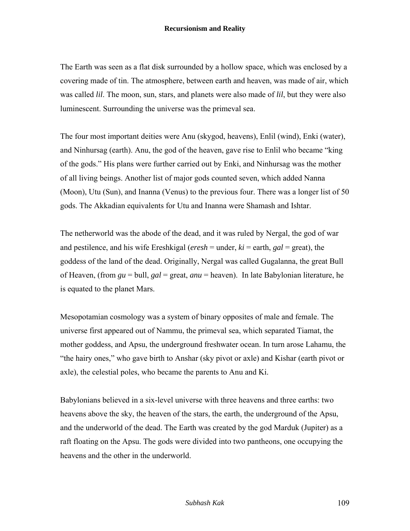The Earth was seen as a flat disk surrounded by a hollow space, which was enclosed by a covering made of tin. The atmosphere, between earth and heaven, was made of air, which was called *lil*. The moon, sun, stars, and planets were also made of *lil*, but they were also luminescent. Surrounding the universe was the primeval sea.

The four most important deities were Anu (skygod, heavens), Enlil (wind), Enki (water), and Ninhursag (earth). Anu, the god of the heaven, gave rise to Enlil who became "king of the gods." His plans were further carried out by Enki, and Ninhursag was the mother of all living beings. Another list of major gods counted seven, which added Nanna (Moon), Utu (Sun), and Inanna (Venus) to the previous four. There was a longer list of 50 gods. The Akkadian equivalents for Utu and Inanna were Shamash and Ishtar.

The netherworld was the abode of the dead, and it was ruled by Nergal, the god of war and pestilence, and his wife Ereshkigal (*eresh* = under, *ki* = earth, *gal* = great), the goddess of the land of the dead. Originally, Nergal was called Gugalanna, the great Bull of Heaven, (from *gu* = bull, *gal* = great, *anu* = heaven). In late Babylonian literature, he is equated to the planet Mars.

Mesopotamian cosmology was a system of binary opposites of male and female. The universe first appeared out of Nammu, the primeval sea, which separated Tiamat, the mother goddess, and Apsu, the underground freshwater ocean. In turn arose Lahamu, the "the hairy ones," who gave birth to Anshar (sky pivot or axle) and Kishar (earth pivot or axle), the celestial poles, who became the parents to Anu and Ki.

Babylonians believed in a six-level universe with three heavens and three earths: two heavens above the sky, the heaven of the stars, the earth, the underground of the Apsu, and the underworld of the dead. The Earth was created by the god Marduk (Jupiter) as a raft floating on the Apsu. The gods were divided into two pantheons, one occupying the heavens and the other in the underworld.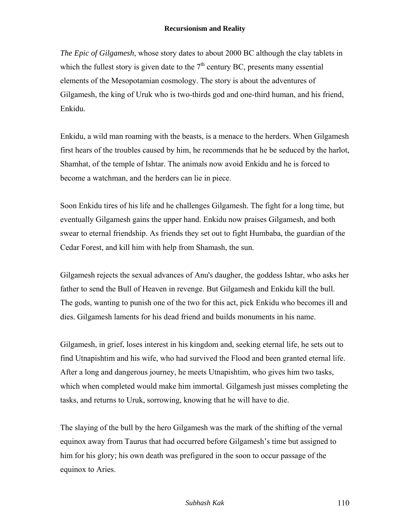*The Epic of Gilgamesh*, whose story dates to about 2000 BC although the clay tablets in which the fullest story is given date to the  $7<sup>th</sup>$  century BC, presents many essential elements of the Mesopotamian cosmology. The story is about the adventures of Gilgamesh, the king of Uruk who is two-thirds god and one-third human, and his friend, Enkidu.

Enkidu, a wild man roaming with the beasts, is a menace to the herders. When Gilgamesh first hears of the troubles caused by him, he recommends that he be seduced by the harlot, Shamhat, of the temple of Ishtar. The animals now avoid Enkidu and he is forced to become a watchman, and the herders can lie in piece.

Soon Enkidu tires of his life and he challenges Gilgamesh. The fight for a long time, but eventually Gilgamesh gains the upper hand. Enkidu now praises Gilgamesh, and both swear to eternal friendship. As friends they set out to fight Humbaba, the guardian of the Cedar Forest, and kill him with help from Shamash, the sun.

Gilgamesh rejects the sexual advances of Anu's daugher, the goddess Ishtar, who asks her father to send the Bull of Heaven in revenge. But Gilgamesh and Enkidu kill the bull. The gods, wanting to punish one of the two for this act, pick Enkidu who becomes ill and dies. Gilgamesh laments for his dead friend and builds monuments in his name.

Gilgamesh, in grief, loses interest in his kingdom and, seeking eternal life, he sets out to find Utnapishtim and his wife, who had survived the Flood and been granted eternal life. After a long and dangerous journey, he meets Utnapishtim, who gives him two tasks, which when completed would make him immortal. Gilgamesh just misses completing the tasks, and returns to Uruk, sorrowing, knowing that he will have to die.

The slaying of the bull by the hero Gilgamesh was the mark of the shifting of the vernal equinox away from Taurus that had occurred before Gilgamesh's time but assigned to him for his glory; his own death was prefigured in the soon to occur passage of the equinox to Aries.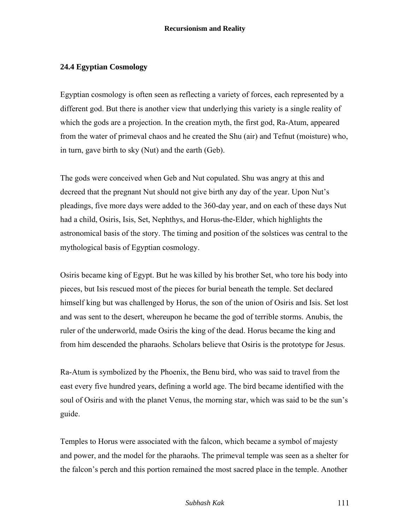# **24.4 Egyptian Cosmology**

Egyptian cosmology is often seen as reflecting a variety of forces, each represented by a different god. But there is another view that underlying this variety is a single reality of which the gods are a projection. In the creation myth, the first god, Ra-Atum, appeared from the water of primeval chaos and he created the Shu (air) and Tefnut (moisture) who, in turn, gave birth to sky (Nut) and the earth (Geb).

The gods were conceived when Geb and Nut copulated. Shu was angry at this and decreed that the pregnant Nut should not give birth any day of the year. Upon Nut's pleadings, five more days were added to the 360-day year, and on each of these days Nut had a child, Osiris, Isis, Set, Nephthys, and Horus-the-Elder, which highlights the astronomical basis of the story. The timing and position of the solstices was central to the mythological basis of Egyptian cosmology.

Osiris became king of Egypt. But he was killed by his brother Set, who tore his body into pieces, but Isis rescued most of the pieces for burial beneath the temple. Set declared himself king but was challenged by Horus, the son of the union of Osiris and Isis. Set lost and was sent to the desert, whereupon he became the god of terrible storms. Anubis, the ruler of the underworld, made Osiris the king of the dead. Horus became the king and from him descended the pharaohs. Scholars believe that Osiris is the prototype for Jesus.

Ra-Atum is symbolized by the Phoenix, the Benu bird, who was said to travel from the east every five hundred years, defining a world age. The bird became identified with the soul of Osiris and with the planet Venus, the morning star, which was said to be the sun's guide.

Temples to Horus were associated with the falcon, which became a symbol of majesty and power, and the model for the pharaohs. The primeval temple was seen as a shelter for the falcon's perch and this portion remained the most sacred place in the temple. Another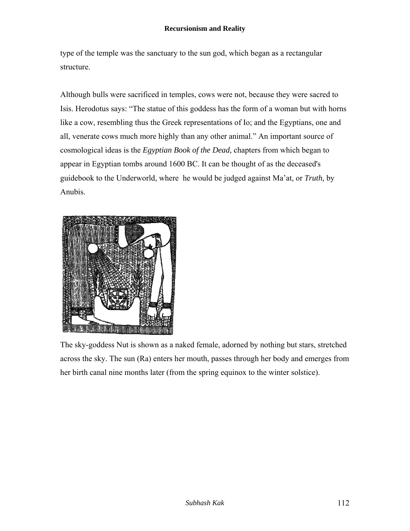type of the temple was the sanctuary to the sun god, which began as a rectangular structure.

Although bulls were sacrificed in temples, cows were not, because they were sacred to Isis. Herodotus says: "The statue of this goddess has the form of a woman but with horns like a cow, resembling thus the Greek representations of Io; and the Egyptians, one and all, venerate cows much more highly than any other animal." An important source of cosmological ideas is the *Egyptian Book of the Dead,* chapters from which began to appear in Egyptian tombs around 1600 BC. It can be thought of as the deceased's guidebook to the Underworld, where he would be judged against Ma'at, or *Truth,* by Anubis.



The sky-goddess Nut is shown as a naked female, adorned by nothing but stars, stretched across the sky. The sun (Ra) enters her mouth, passes through her body and emerges from her birth canal nine months later (from the spring equinox to the winter solstice).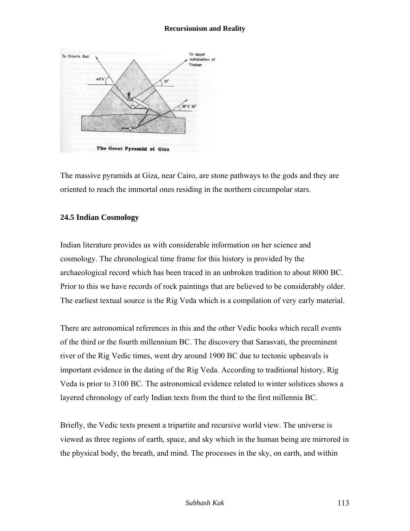

The massive pyramids at Giza, near Cairo, are stone pathways to the gods and they are oriented to reach the immortal ones residing in the northern circumpolar stars.

## **24.5 Indian Cosmology**

Indian literature provides us with considerable information on her science and cosmology. The chronological time frame for this history is provided by the archaeological record which has been traced in an unbroken tradition to about 8000 BC. Prior to this we have records of rock paintings that are believed to be considerably older. The earliest textual source is the Rig Veda which is a compilation of very early material.

There are astronomical references in this and the other Vedic books which recall events of the third or the fourth millennium BC. The discovery that Sarasvati, the preeminent river of the Rig Vedic times, went dry around 1900 BC due to tectonic upheavals is important evidence in the dating of the Rig Veda. According to traditional history, Rig Veda is prior to 3100 BC. The astronomical evidence related to winter solstices shows a layered chronology of early Indian texts from the third to the first millennia BC.

Briefly, the Vedic texts present a tripartite and recursive world view. The universe is viewed as three regions of earth, space, and sky which in the human being are mirrored in the physical body, the breath, and mind. The processes in the sky, on earth, and within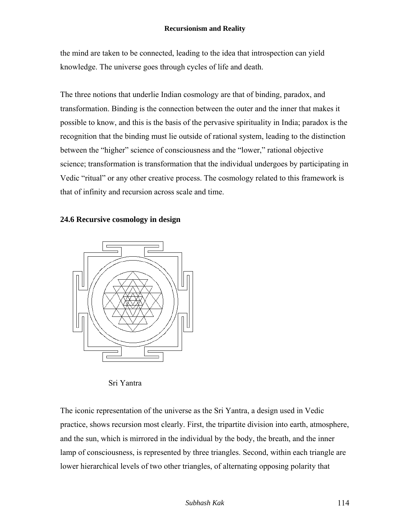the mind are taken to be connected, leading to the idea that introspection can yield knowledge. The universe goes through cycles of life and death.

The three notions that underlie Indian cosmology are that of binding, paradox, and transformation. Binding is the connection between the outer and the inner that makes it possible to know, and this is the basis of the pervasive spirituality in India; paradox is the recognition that the binding must lie outside of rational system, leading to the distinction between the "higher" science of consciousness and the "lower," rational objective science; transformation is transformation that the individual undergoes by participating in Vedic "ritual" or any other creative process. The cosmology related to this framework is that of infinity and recursion across scale and time.

# **24.6 Recursive cosmology in design**



Sri Yantra

The iconic representation of the universe as the Sri Yantra, a design used in Vedic practice, shows recursion most clearly. First, the tripartite division into earth, atmosphere, and the sun, which is mirrored in the individual by the body, the breath, and the inner lamp of consciousness, is represented by three triangles. Second, within each triangle are lower hierarchical levels of two other triangles, of alternating opposing polarity that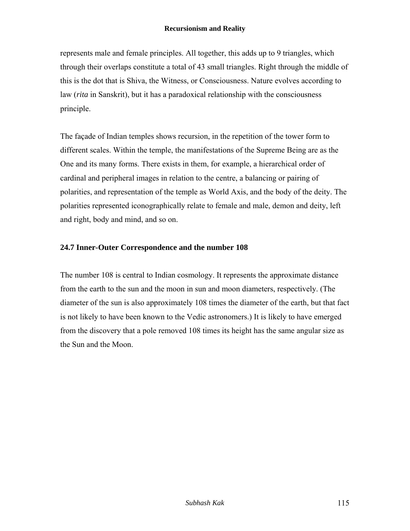represents male and female principles. All together, this adds up to 9 triangles, which through their overlaps constitute a total of 43 small triangles. Right through the middle of this is the dot that is Shiva, the Witness, or Consciousness. Nature evolves according to law (*rita* in Sanskrit), but it has a paradoxical relationship with the consciousness principle.

The façade of Indian temples shows recursion, in the repetition of the tower form to different scales. Within the temple, the manifestations of the Supreme Being are as the One and its many forms. There exists in them, for example, a hierarchical order of cardinal and peripheral images in relation to the centre, a balancing or pairing of polarities, and representation of the temple as World Axis, and the body of the deity. The polarities represented iconographically relate to female and male, demon and deity, left and right, body and mind, and so on.

## **24.7 Inner-Outer Correspondence and the number 108**

The number 108 is central to Indian cosmology. It represents the approximate distance from the earth to the sun and the moon in sun and moon diameters, respectively. (The diameter of the sun is also approximately 108 times the diameter of the earth, but that fact is not likely to have been known to the Vedic astronomers.) It is likely to have emerged from the discovery that a pole removed 108 times its height has the same angular size as the Sun and the Moon.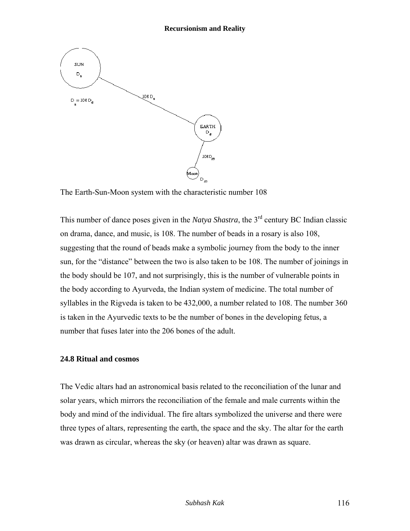

The Earth-Sun-Moon system with the characteristic number 108

This number of dance poses given in the *Natya Shastra*, the 3<sup>rd</sup> century BC Indian classic on drama, dance, and music, is 108. The number of beads in a rosary is also 108, suggesting that the round of beads make a symbolic journey from the body to the inner sun, for the "distance" between the two is also taken to be 108. The number of joinings in the body should be 107, and not surprisingly, this is the number of vulnerable points in the body according to Ayurveda, the Indian system of medicine. The total number of syllables in the Rigveda is taken to be 432,000, a number related to 108. The number 360 is taken in the Ayurvedic texts to be the number of bones in the developing fetus, a number that fuses later into the 206 bones of the adult.

### **24.8 Ritual and cosmos**

The Vedic altars had an astronomical basis related to the reconciliation of the lunar and solar years, which mirrors the reconciliation of the female and male currents within the body and mind of the individual. The fire altars symbolized the universe and there were three types of altars, representing the earth, the space and the sky. The altar for the earth was drawn as circular, whereas the sky (or heaven) altar was drawn as square.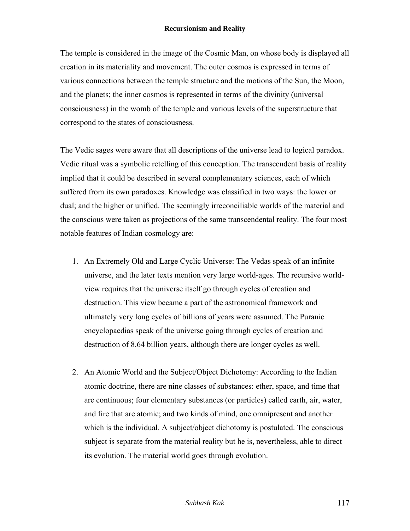The temple is considered in the image of the Cosmic Man, on whose body is displayed all creation in its materiality and movement. The outer cosmos is expressed in terms of various connections between the temple structure and the motions of the Sun, the Moon, and the planets; the inner cosmos is represented in terms of the divinity (universal consciousness) in the womb of the temple and various levels of the superstructure that correspond to the states of consciousness.

The Vedic sages were aware that all descriptions of the universe lead to logical paradox. Vedic ritual was a symbolic retelling of this conception. The transcendent basis of reality implied that it could be described in several complementary sciences, each of which suffered from its own paradoxes. Knowledge was classified in two ways: the lower or dual; and the higher or unified. The seemingly irreconciliable worlds of the material and the conscious were taken as projections of the same transcendental reality. The four most notable features of Indian cosmology are:

- 1. An Extremely Old and Large Cyclic Universe: The Vedas speak of an infinite universe, and the later texts mention very large world-ages. The recursive worldview requires that the universe itself go through cycles of creation and destruction. This view became a part of the astronomical framework and ultimately very long cycles of billions of years were assumed. The Puranic encyclopaedias speak of the universe going through cycles of creation and destruction of 8.64 billion years, although there are longer cycles as well.
- 2. An Atomic World and the Subject/Object Dichotomy: According to the Indian atomic doctrine, there are nine classes of substances: ether, space, and time that are continuous; four elementary substances (or particles) called earth, air, water, and fire that are atomic; and two kinds of mind, one omnipresent and another which is the individual. A subject/object dichotomy is postulated. The conscious subject is separate from the material reality but he is, nevertheless, able to direct its evolution. The material world goes through evolution.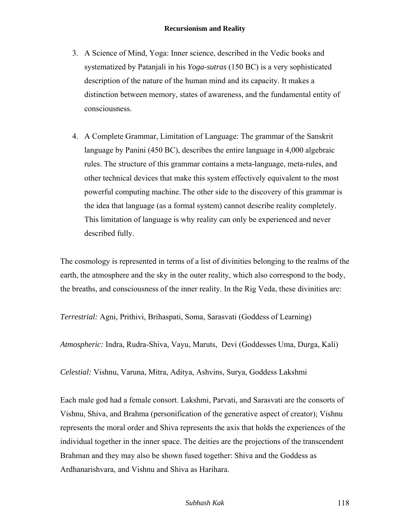- 3. A Science of Mind, Yoga: Inner science, described in the Vedic books and systematized by Patanjali in his *Yoga-sutras* (150 BC) is a very sophisticated description of the nature of the human mind and its capacity. It makes a distinction between memory, states of awareness, and the fundamental entity of consciousness.
- 4. A Complete Grammar, Limitation of Language: The grammar of the Sanskrit language by Panini (450 BC), describes the entire language in 4,000 algebraic rules. The structure of this grammar contains a meta-language, meta-rules, and other technical devices that make this system effectively equivalent to the most powerful computing machine. The other side to the discovery of this grammar is the idea that language (as a formal system) cannot describe reality completely. This limitation of language is why reality can only be experienced and never described fully.

The cosmology is represented in terms of a list of divinities belonging to the realms of the earth, the atmosphere and the sky in the outer reality, which also correspond to the body, the breaths, and consciousness of the inner reality. In the Rig Veda, these divinities are:

*Terrestrial:* Agni, Prithivi, Brihaspati, Soma, Sarasvati (Goddess of Learning)

*Atmospheric:* Indra, Rudra-Shiva, Vayu, Maruts, Devi (Goddesses Uma, Durga, Kali)

*Celestial:* Vishnu, Varuna, Mitra, Aditya, Ashvins, Surya, Goddess Lakshmi

Each male god had a female consort. Lakshmi, Parvati, and Sarasvati are the consorts of Vishnu, Shiva, and Brahma (personification of the generative aspect of creator); Vishnu represents the moral order and Shiva represents the axis that holds the experiences of the individual together in the inner space. The deities are the projections of the transcendent Brahman and they may also be shown fused together: Shiva and the Goddess as Ardhanarishvara, and Vishnu and Shiva as Harihara.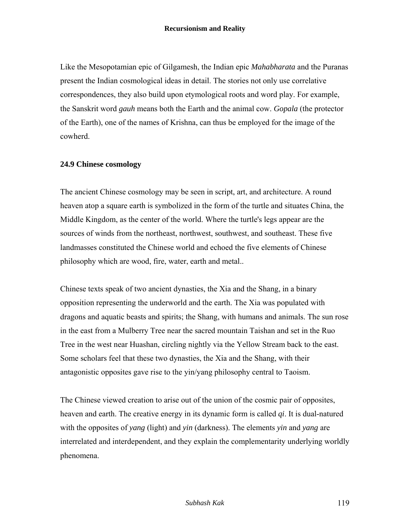Like the Mesopotamian epic of Gilgamesh, the Indian epic *Mahabharata* and the Puranas present the Indian cosmological ideas in detail. The stories not only use correlative correspondences, they also build upon etymological roots and word play. For example, the Sanskrit word *gauh* means both the Earth and the animal cow. *Gopala* (the protector of the Earth), one of the names of Krishna, can thus be employed for the image of the cowherd.

## **24.9 Chinese cosmology**

The ancient Chinese cosmology may be seen in script, art, and architecture. A round heaven atop a square earth is symbolized in the form of the turtle and situates China, the Middle Kingdom, as the center of the world. Where the turtle's legs appear are the sources of winds from the northeast, northwest, southwest, and southeast. These five landmasses constituted the Chinese world and echoed the five elements of Chinese philosophy which are wood, fire, water, earth and metal..

Chinese texts speak of two ancient dynasties, the Xia and the Shang, in a binary opposition representing the underworld and the earth. The Xia was populated with dragons and aquatic beasts and spirits; the Shang, with humans and animals. The sun rose in the east from a Mulberry Tree near the sacred mountain Taishan and set in the Ruo Tree in the west near Huashan, circling nightly via the Yellow Stream back to the east. Some scholars feel that these two dynasties, the Xia and the Shang, with their antagonistic opposites gave rise to the yin/yang philosophy central to Taoism.

The Chinese viewed creation to arise out of the union of the cosmic pair of opposites, heaven and earth. The creative energy in its dynamic form is called *qi*. It is dual-natured with the opposites of *yang* (light) and *yin* (darkness). The elements *yin* and *yang* are interrelated and interdependent, and they explain the complementarity underlying worldly phenomena.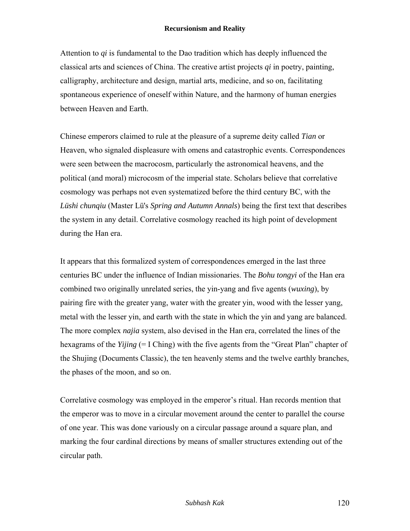Attention to *qi* is fundamental to the Dao tradition which has deeply influenced the classical arts and sciences of China. The creative artist projects *qi* in poetry, painting, calligraphy, architecture and design, martial arts, medicine, and so on, facilitating spontaneous experience of oneself within Nature, and the harmony of human energies between Heaven and Earth.

Chinese emperors claimed to rule at the pleasure of a supreme deity called *Tian* or Heaven, who signaled displeasure with omens and catastrophic events. Correspondences were seen between the macrocosm, particularly the astronomical heavens, and the political (and moral) microcosm of the imperial state. Scholars believe that correlative cosmology was perhaps not even systematized before the third century BC, with the *Lüshi chunqiu* (Master Lü's *Spring and Autumn Annals*) being the first text that describes the system in any detail. Correlative cosmology reached its high point of development during the Han era.

It appears that this formalized system of correspondences emerged in the last three centuries BC under the influence of Indian missionaries. The *Bohu tongyi* of the Han era combined two originally unrelated series, the yin-yang and five agents (*wuxing*), by pairing fire with the greater yang, water with the greater yin, wood with the lesser yang, metal with the lesser yin, and earth with the state in which the yin and yang are balanced. The more complex *najia* system, also devised in the Han era, correlated the lines of the hexagrams of the *Yijing* (= I Ching) with the five agents from the "Great Plan" chapter of the Shujing (Documents Classic), the ten heavenly stems and the twelve earthly branches, the phases of the moon, and so on.

Correlative cosmology was employed in the emperor's ritual. Han records mention that the emperor was to move in a circular movement around the center to parallel the course of one year. This was done variously on a circular passage around a square plan, and marking the four cardinal directions by means of smaller structures extending out of the circular path.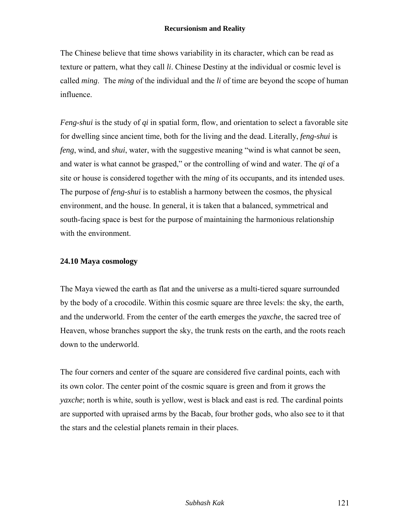The Chinese believe that time shows variability in its character, which can be read as texture or pattern, what they call *li*. Chinese Destiny at the individual or cosmic level is called *ming*. The *ming* of the individual and the *li* of time are beyond the scope of human influence.

*Feng-shui* is the study of *qi* in spatial form, flow, and orientation to select a favorable site for dwelling since ancient time, both for the living and the dead. Literally, *feng-shui* is *feng*, wind, and *shui*, water, with the suggestive meaning "wind is what cannot be seen, and water is what cannot be grasped," or the controlling of wind and water. The *qi* of a site or house is considered together with the *ming* of its occupants, and its intended uses. The purpose of *feng-shui* is to establish a harmony between the cosmos, the physical environment, and the house. In general, it is taken that a balanced, symmetrical and south-facing space is best for the purpose of maintaining the harmonious relationship with the environment.

# **24.10 Maya cosmology**

The Maya viewed the earth as flat and the universe as a multi-tiered square surrounded by the body of a crocodile. Within this cosmic square are three levels: the sky, the earth, and the underworld. From the center of the earth emerges the *yaxche*, the sacred tree of Heaven, whose branches support the sky, the trunk rests on the earth, and the roots reach down to the underworld.

The four corners and center of the square are considered five cardinal points, each with its own color. The center point of the cosmic square is green and from it grows the *yaxche*; north is white, south is yellow, west is black and east is red. The cardinal points are supported with upraised arms by the Bacab, four brother gods, who also see to it that the stars and the celestial planets remain in their places.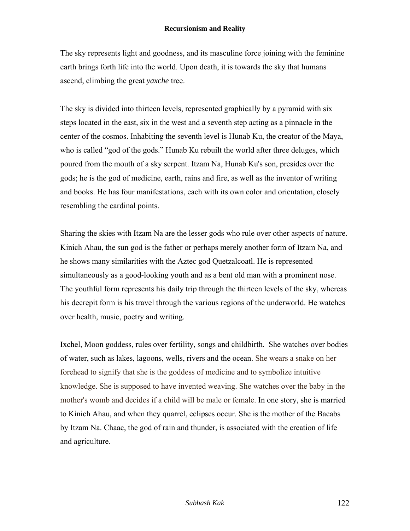The sky represents light and goodness, and its masculine force joining with the feminine earth brings forth life into the world. Upon death, it is towards the sky that humans ascend, climbing the great *yaxche* tree.

The sky is divided into thirteen levels, represented graphically by a pyramid with six steps located in the east, six in the west and a seventh step acting as a pinnacle in the center of the cosmos. Inhabiting the seventh level is Hunab Ku, the creator of the Maya, who is called "god of the gods." Hunab Ku rebuilt the world after three deluges, which poured from the mouth of a sky serpent. Itzam Na, Hunab Ku's son, presides over the gods; he is the god of medicine, earth, rains and fire, as well as the inventor of writing and books. He has four manifestations, each with its own color and orientation, closely resembling the cardinal points.

Sharing the skies with Itzam Na are the lesser gods who rule over other aspects of nature. Kinich Ahau, the sun god is the father or perhaps merely another form of Itzam Na, and he shows many similarities with the Aztec god Quetzalcoatl. He is represented simultaneously as a good-looking youth and as a bent old man with a prominent nose. The youthful form represents his daily trip through the thirteen levels of the sky, whereas his decrepit form is his travel through the various regions of the underworld. He watches over health, music, poetry and writing.

Ixchel, Moon goddess, rules over fertility, songs and childbirth. She watches over bodies of water, such as lakes, lagoons, wells, rivers and the ocean. She wears a snake on her forehead to signify that she is the goddess of medicine and to symbolize intuitive knowledge. She is supposed to have invented weaving. She watches over the baby in the mother's womb and decides if a child will be male or female. In one story, she is married to Kinich Ahau, and when they quarrel, eclipses occur. She is the mother of the Bacabs by Itzam Na. Chaac, the god of rain and thunder, is associated with the creation of life and agriculture.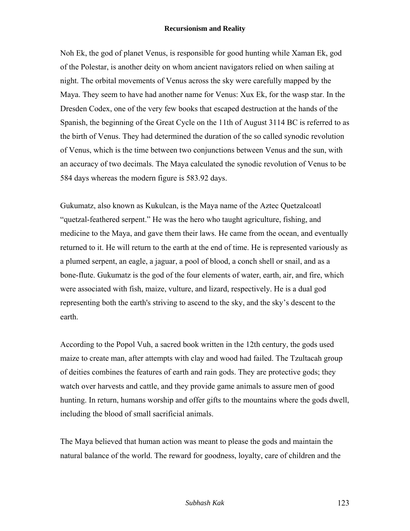Noh Ek, the god of planet Venus, is responsible for good hunting while Xaman Ek, god of the Polestar, is another deity on whom ancient navigators relied on when sailing at night. The orbital movements of Venus across the sky were carefully mapped by the Maya. They seem to have had another name for Venus: Xux Ek, for the wasp star. In the Dresden Codex, one of the very few books that escaped destruction at the hands of the Spanish, the beginning of the Great Cycle on the 11th of August 3114 BC is referred to as the birth of Venus. They had determined the duration of the so called synodic revolution of Venus, which is the time between two conjunctions between Venus and the sun, with an accuracy of two decimals. The Maya calculated the synodic revolution of Venus to be 584 days whereas the modern figure is 583.92 days.

Gukumatz, also known as Kukulcan, is the Maya name of the Aztec Quetzalcoatl "quetzal-feathered serpent." He was the hero who taught agriculture, fishing, and medicine to the Maya, and gave them their laws. He came from the ocean, and eventually returned to it. He will return to the earth at the end of time. He is represented variously as a plumed serpent, an eagle, a jaguar, a pool of blood, a conch shell or snail, and as a bone-flute. Gukumatz is the god of the four elements of water, earth, air, and fire, which were associated with fish, maize, vulture, and lizard, respectively. He is a dual god representing both the earth's striving to ascend to the sky, and the sky's descent to the earth.

According to the Popol Vuh, a sacred book written in the 12th century, the gods used maize to create man, after attempts with clay and wood had failed. The Tzultacah group of deities combines the features of earth and rain gods. They are protective gods; they watch over harvests and cattle, and they provide game animals to assure men of good hunting. In return, humans worship and offer gifts to the mountains where the gods dwell, including the blood of small sacrificial animals.

The Maya believed that human action was meant to please the gods and maintain the natural balance of the world. The reward for goodness, loyalty, care of children and the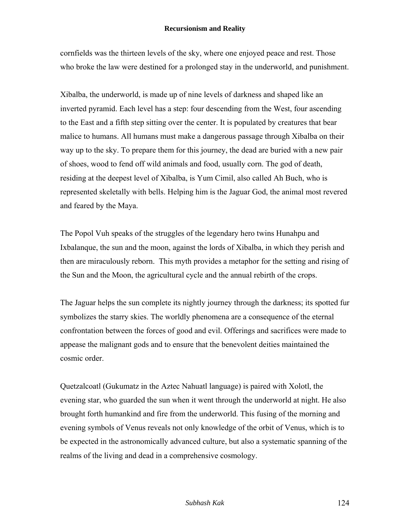cornfields was the thirteen levels of the sky, where one enjoyed peace and rest. Those who broke the law were destined for a prolonged stay in the underworld, and punishment.

Xibalba, the underworld, is made up of nine levels of darkness and shaped like an inverted pyramid. Each level has a step: four descending from the West, four ascending to the East and a fifth step sitting over the center. It is populated by creatures that bear malice to humans. All humans must make a dangerous passage through Xibalba on their way up to the sky. To prepare them for this journey, the dead are buried with a new pair of shoes, wood to fend off wild animals and food, usually corn. The god of death, residing at the deepest level of Xibalba, is Yum Cimil, also called Ah Buch, who is represented skeletally with bells. Helping him is the Jaguar God, the animal most revered and feared by the Maya.

The Popol Vuh speaks of the struggles of the legendary hero twins Hunahpu and Ixbalanque, the sun and the moon, against the lords of Xibalba, in which they perish and then are miraculously reborn. This myth provides a metaphor for the setting and rising of the Sun and the Moon, the agricultural cycle and the annual rebirth of the crops.

The Jaguar helps the sun complete its nightly journey through the darkness; its spotted fur symbolizes the starry skies. The worldly phenomena are a consequence of the eternal confrontation between the forces of good and evil. Offerings and sacrifices were made to appease the malignant gods and to ensure that the benevolent deities maintained the cosmic order.

Quetzalcoatl (Gukumatz in the Aztec Nahuatl language) is paired with Xolotl, the evening star, who guarded the sun when it went through the underworld at night. He also brought forth humankind and fire from the underworld. This fusing of the morning and evening symbols of Venus reveals not only knowledge of the orbit of Venus, which is to be expected in the astronomically advanced culture, but also a systematic spanning of the realms of the living and dead in a comprehensive cosmology.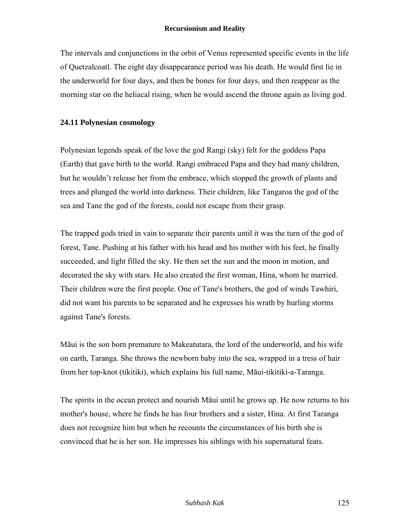The intervals and conjunctions in the orbit of Venus represented specific events in the life of Quetzalcoatl. The eight day disappearance period was his death. He would first lie in the underworld for four days, and then be bones for four days, and then reappear as the morning star on the heliacal rising, when he would ascend the throne again as living god.

# **24.11 Polynesian cosmology**

Polynesian legends speak of the love the god Rangi (sky) felt for the goddess Papa (Earth) that gave birth to the world. Rangi embraced Papa and they had many children, but he wouldn't release her from the embrace, which stopped the growth of plants and trees and plunged the world into darkness. Their children, like Tangaroa the god of the sea and Tane the god of the forests, could not escape from their grasp.

The trapped gods tried in vain to separate their parents until it was the turn of the god of forest, Tane. Pushing at his father with his head and his mother with his feet, he finally succeeded, and light filled the sky. He then set the sun and the moon in motion, and decorated the sky with stars. He also created the first woman, Hina, whom he married. Their children were the first people. One of Tane's brothers, the god of winds Tawhiri, did not want his parents to be separated and he expresses his wrath by hurling storms against Tane's forests.

Māui is the son born premature to Makeatutara, the lord of the underworld, and his wife on earth, Taranga. She throws the newborn baby into the sea, wrapped in a tress of hair from her top-knot (tikitiki), which explains his full name, Māui-tikitiki-a-Taranga.

The spirits in the ocean protect and nourish Māui until he grows up. He now returns to his mother's house, where he finds he has four brothers and a sister, Hina. At first Taranga does not recognize him but when he recounts the circumstances of his birth she is convinced that he is her son. He impresses his siblings with his supernatural feats.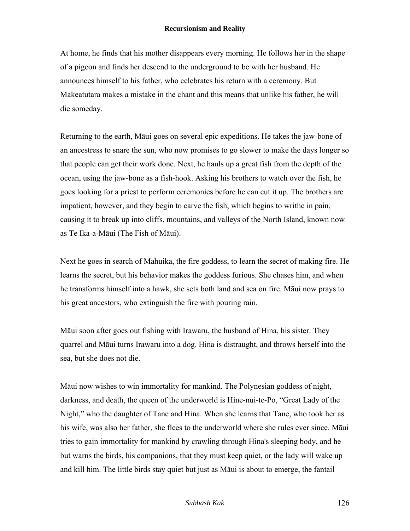At home, he finds that his mother disappears every morning. He follows her in the shape of a pigeon and finds her descend to the underground to be with her husband. He announces himself to his father, who celebrates his return with a ceremony. But Makeatutara makes a mistake in the chant and this means that unlike his father, he will die someday.

Returning to the earth, Māui goes on several epic expeditions. He takes the jaw-bone of an ancestress to snare the sun, who now promises to go slower to make the days longer so that people can get their work done. Next, he hauls up a great fish from the depth of the ocean, using the jaw-bone as a fish-hook. Asking his brothers to watch over the fish, he goes looking for a priest to perform ceremonies before he can cut it up. The brothers are impatient, however, and they begin to carve the fish, which begins to writhe in pain, causing it to break up into cliffs, mountains, and valleys of the North Island, known now as Te Ika-a-Māui (The Fish of Māui).

Next he goes in search of Mahuika, the fire goddess, to learn the secret of making fire. He learns the secret, but his behavior makes the goddess furious. She chases him, and when he transforms himself into a hawk, she sets both land and sea on fire. Māui now prays to his great ancestors, who extinguish the fire with pouring rain.

Māui soon after goes out fishing with Irawaru, the husband of Hina, his sister. They quarrel and Māui turns Irawaru into a dog. Hina is distraught, and throws herself into the sea, but she does not die.

Māui now wishes to win immortality for mankind. The Polynesian goddess of night, darkness, and death, the queen of the underworld is Hine-nui-te-Po, "Great Lady of the Night," who the daughter of Tane and Hina. When she learns that Tane, who took her as his wife, was also her father, she flees to the underworld where she rules ever since. Māui tries to gain immortality for mankind by crawling through Hina's sleeping body, and he but warns the birds, his companions, that they must keep quiet, or the lady will wake up and kill him. The little birds stay quiet but just as Māui is about to emerge, the fantail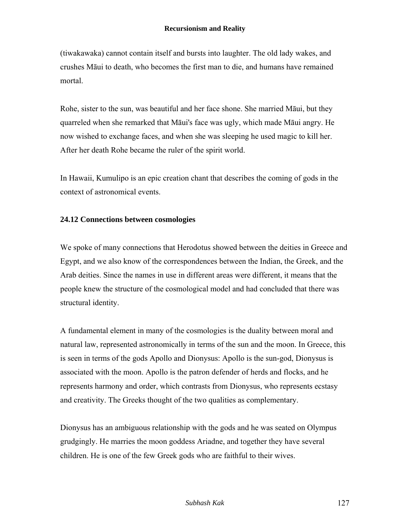(tiwakawaka) cannot contain itself and bursts into laughter. The old lady wakes, and crushes Māui to death, who becomes the first man to die, and humans have remained mortal.

Rohe, sister to the sun, was beautiful and her face shone. She married Māui, but they quarreled when she remarked that Māui's face was ugly, which made Māui angry. He now wished to exchange faces, and when she was sleeping he used magic to kill her. After her death Rohe became the ruler of the spirit world.

In Hawaii, Kumulipo is an epic creation chant that describes the coming of gods in the context of astronomical events.

## **24.12 Connections between cosmologies**

We spoke of many connections that Herodotus showed between the deities in Greece and Egypt, and we also know of the correspondences between the Indian, the Greek, and the Arab deities. Since the names in use in different areas were different, it means that the people knew the structure of the cosmological model and had concluded that there was structural identity.

A fundamental element in many of the cosmologies is the duality between moral and natural law, represented astronomically in terms of the sun and the moon. In Greece, this is seen in terms of the gods Apollo and Dionysus: Apollo is the sun-god, Dionysus is associated with the moon. Apollo is the patron defender of herds and flocks, and he represents harmony and order, which contrasts from Dionysus, who represents ecstasy and creativity. The Greeks thought of the two qualities as complementary.

Dionysus has an ambiguous relationship with the gods and he was seated on Olympus grudgingly. He marries the moon goddess Ariadne, and together they have several children. He is one of the few Greek gods who are faithful to their wives.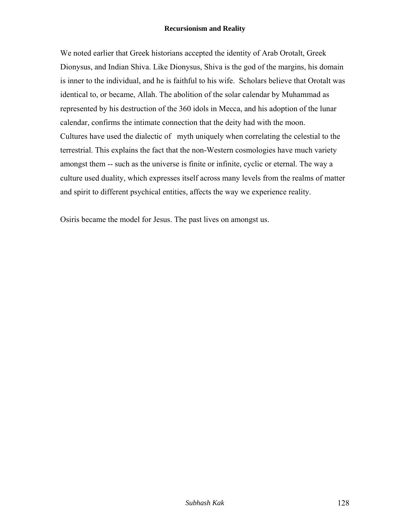We noted earlier that Greek historians accepted the identity of Arab Orotalt, Greek Dionysus, and Indian Shiva. Like Dionysus, Shiva is the god of the margins, his domain is inner to the individual, and he is faithful to his wife. Scholars believe that Orotalt was identical to, or became, Allah. The abolition of the solar calendar by Muhammad as represented by his destruction of the 360 idols in Mecca, and his adoption of the lunar calendar, confirms the intimate connection that the deity had with the moon. Cultures have used the dialectic of myth uniquely when correlating the celestial to the terrestrial. This explains the fact that the non-Western cosmologies have much variety amongst them -- such as the universe is finite or infinite, cyclic or eternal. The way a culture used duality, which expresses itself across many levels from the realms of matter and spirit to different psychical entities, affects the way we experience reality.

Osiris became the model for Jesus. The past lives on amongst us.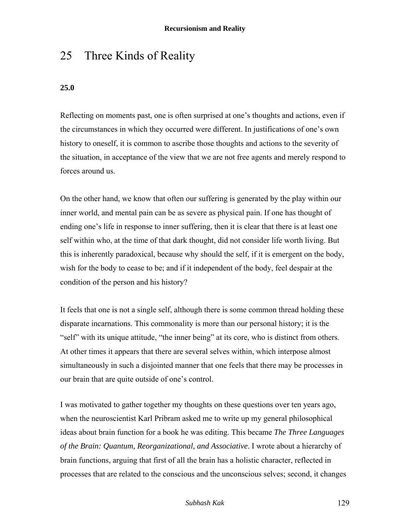# 25 Three Kinds of Reality

# **25.0**

Reflecting on moments past, one is often surprised at one's thoughts and actions, even if the circumstances in which they occurred were different. In justifications of one's own history to oneself, it is common to ascribe those thoughts and actions to the severity of the situation, in acceptance of the view that we are not free agents and merely respond to forces around us.

On the other hand, we know that often our suffering is generated by the play within our inner world, and mental pain can be as severe as physical pain. If one has thought of ending one's life in response to inner suffering, then it is clear that there is at least one self within who, at the time of that dark thought, did not consider life worth living. But this is inherently paradoxical, because why should the self, if it is emergent on the body, wish for the body to cease to be; and if it independent of the body, feel despair at the condition of the person and his history?

It feels that one is not a single self, although there is some common thread holding these disparate incarnations. This commonality is more than our personal history; it is the "self" with its unique attitude, "the inner being" at its core, who is distinct from others. At other times it appears that there are several selves within, which interpose almost simultaneously in such a disjointed manner that one feels that there may be processes in our brain that are quite outside of one's control.

I was motivated to gather together my thoughts on these questions over ten years ago, when the neuroscientist Karl Pribram asked me to write up my general philosophical ideas about brain function for a book he was editing. This became *The Three Languages of the Brain: Quantum, Reorganizational, and Associative*. I wrote about a hierarchy of brain functions, arguing that first of all the brain has a holistic character, reflected in processes that are related to the conscious and the unconscious selves; second, it changes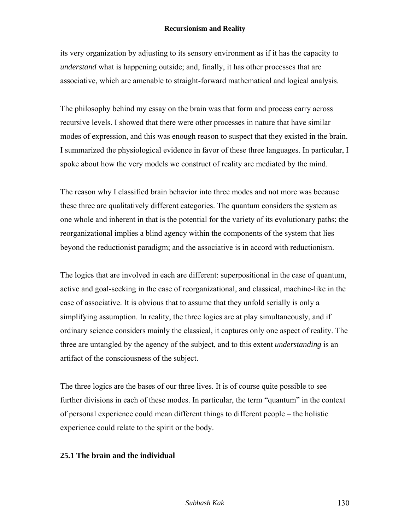its very organization by adjusting to its sensory environment as if it has the capacity to *understand* what is happening outside; and, finally, it has other processes that are associative, which are amenable to straight-forward mathematical and logical analysis.

The philosophy behind my essay on the brain was that form and process carry across recursive levels. I showed that there were other processes in nature that have similar modes of expression, and this was enough reason to suspect that they existed in the brain. I summarized the physiological evidence in favor of these three languages. In particular, I spoke about how the very models we construct of reality are mediated by the mind.

The reason why I classified brain behavior into three modes and not more was because these three are qualitatively different categories. The quantum considers the system as one whole and inherent in that is the potential for the variety of its evolutionary paths; the reorganizational implies a blind agency within the components of the system that lies beyond the reductionist paradigm; and the associative is in accord with reductionism.

The logics that are involved in each are different: superpositional in the case of quantum, active and goal-seeking in the case of reorganizational, and classical, machine-like in the case of associative. It is obvious that to assume that they unfold serially is only a simplifying assumption. In reality, the three logics are at play simultaneously, and if ordinary science considers mainly the classical, it captures only one aspect of reality. The three are untangled by the agency of the subject, and to this extent *understanding* is an artifact of the consciousness of the subject.

The three logics are the bases of our three lives. It is of course quite possible to see further divisions in each of these modes. In particular, the term "quantum" in the context of personal experience could mean different things to different people – the holistic experience could relate to the spirit or the body.

### **25.1 The brain and the individual**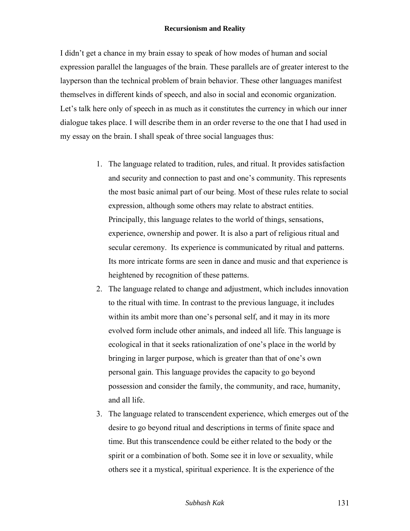I didn't get a chance in my brain essay to speak of how modes of human and social expression parallel the languages of the brain. These parallels are of greater interest to the layperson than the technical problem of brain behavior. These other languages manifest themselves in different kinds of speech, and also in social and economic organization. Let's talk here only of speech in as much as it constitutes the currency in which our inner dialogue takes place. I will describe them in an order reverse to the one that I had used in my essay on the brain. I shall speak of three social languages thus:

- 1. The language related to tradition, rules, and ritual. It provides satisfaction and security and connection to past and one's community. This represents the most basic animal part of our being. Most of these rules relate to social expression, although some others may relate to abstract entities. Principally, this language relates to the world of things, sensations, experience, ownership and power. It is also a part of religious ritual and secular ceremony. Its experience is communicated by ritual and patterns. Its more intricate forms are seen in dance and music and that experience is heightened by recognition of these patterns.
- 2. The language related to change and adjustment, which includes innovation to the ritual with time. In contrast to the previous language, it includes within its ambit more than one's personal self, and it may in its more evolved form include other animals, and indeed all life. This language is ecological in that it seeks rationalization of one's place in the world by bringing in larger purpose, which is greater than that of one's own personal gain. This language provides the capacity to go beyond possession and consider the family, the community, and race, humanity, and all life.
- 3. The language related to transcendent experience, which emerges out of the desire to go beyond ritual and descriptions in terms of finite space and time. But this transcendence could be either related to the body or the spirit or a combination of both. Some see it in love or sexuality, while others see it a mystical, spiritual experience. It is the experience of the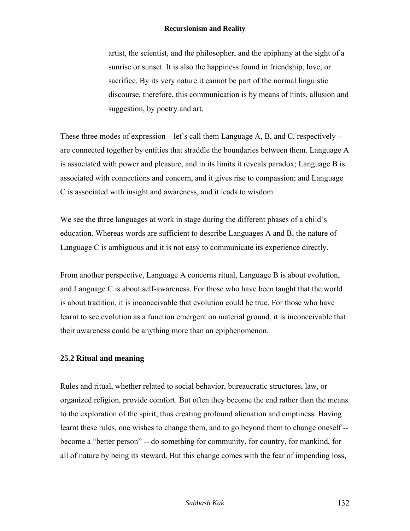artist, the scientist, and the philosopher, and the epiphany at the sight of a sunrise or sunset. It is also the happiness found in friendship, love, or sacrifice. By its very nature it cannot be part of the normal linguistic discourse, therefore, this communication is by means of hints, allusion and suggestion, by poetry and art.

These three modes of expression – let's call them Language A, B, and C, respectively - are connected together by entities that straddle the boundaries between them. Language A is associated with power and pleasure, and in its limits it reveals paradox; Language B is associated with connections and concern, and it gives rise to compassion; and Language C is associated with insight and awareness, and it leads to wisdom.

We see the three languages at work in stage during the different phases of a child's education. Whereas words are sufficient to describe Languages A and B, the nature of Language C is ambiguous and it is not easy to communicate its experience directly.

From another perspective, Language A concerns ritual, Language B is about evolution, and Language C is about self-awareness. For those who have been taught that the world is about tradition, it is inconceivable that evolution could be true. For those who have learnt to see evolution as a function emergent on material ground, it is inconceivable that their awareness could be anything more than an epiphenomenon.

# **25.2 Ritual and meaning**

Rules and ritual, whether related to social behavior, bureaucratic structures, law, or organized religion, provide comfort. But often they become the end rather than the means to the exploration of the spirit, thus creating profound alienation and emptiness. Having learnt these rules, one wishes to change them, and to go beyond them to change oneself - become a "better person" -- do something for community, for country, for mankind, for all of nature by being its steward. But this change comes with the fear of impending loss,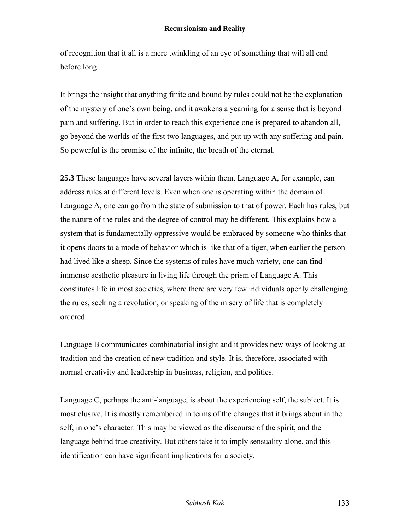of recognition that it all is a mere twinkling of an eye of something that will all end before long.

It brings the insight that anything finite and bound by rules could not be the explanation of the mystery of one's own being, and it awakens a yearning for a sense that is beyond pain and suffering. But in order to reach this experience one is prepared to abandon all, go beyond the worlds of the first two languages, and put up with any suffering and pain. So powerful is the promise of the infinite, the breath of the eternal.

**25.3** These languages have several layers within them. Language A, for example, can address rules at different levels. Even when one is operating within the domain of Language A, one can go from the state of submission to that of power. Each has rules, but the nature of the rules and the degree of control may be different. This explains how a system that is fundamentally oppressive would be embraced by someone who thinks that it opens doors to a mode of behavior which is like that of a tiger, when earlier the person had lived like a sheep. Since the systems of rules have much variety, one can find immense aesthetic pleasure in living life through the prism of Language A. This constitutes life in most societies, where there are very few individuals openly challenging the rules, seeking a revolution, or speaking of the misery of life that is completely ordered.

Language B communicates combinatorial insight and it provides new ways of looking at tradition and the creation of new tradition and style. It is, therefore, associated with normal creativity and leadership in business, religion, and politics.

Language C, perhaps the anti-language, is about the experiencing self, the subject. It is most elusive. It is mostly remembered in terms of the changes that it brings about in the self, in one's character. This may be viewed as the discourse of the spirit, and the language behind true creativity. But others take it to imply sensuality alone, and this identification can have significant implications for a society.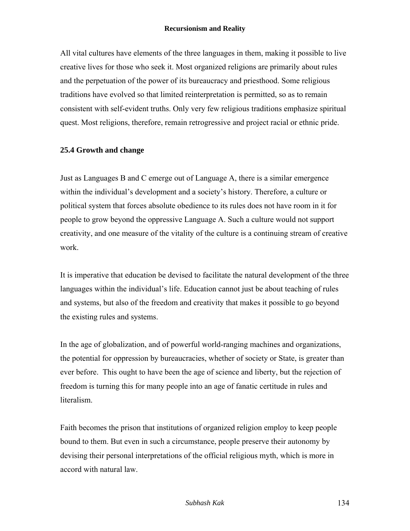All vital cultures have elements of the three languages in them, making it possible to live creative lives for those who seek it. Most organized religions are primarily about rules and the perpetuation of the power of its bureaucracy and priesthood. Some religious traditions have evolved so that limited reinterpretation is permitted, so as to remain consistent with self-evident truths. Only very few religious traditions emphasize spiritual quest. Most religions, therefore, remain retrogressive and project racial or ethnic pride.

## **25.4 Growth and change**

Just as Languages B and C emerge out of Language A, there is a similar emergence within the individual's development and a society's history. Therefore, a culture or political system that forces absolute obedience to its rules does not have room in it for people to grow beyond the oppressive Language A. Such a culture would not support creativity, and one measure of the vitality of the culture is a continuing stream of creative work.

It is imperative that education be devised to facilitate the natural development of the three languages within the individual's life. Education cannot just be about teaching of rules and systems, but also of the freedom and creativity that makes it possible to go beyond the existing rules and systems.

In the age of globalization, and of powerful world-ranging machines and organizations, the potential for oppression by bureaucracies, whether of society or State, is greater than ever before. This ought to have been the age of science and liberty, but the rejection of freedom is turning this for many people into an age of fanatic certitude in rules and literalism.

Faith becomes the prison that institutions of organized religion employ to keep people bound to them. But even in such a circumstance, people preserve their autonomy by devising their personal interpretations of the official religious myth, which is more in accord with natural law.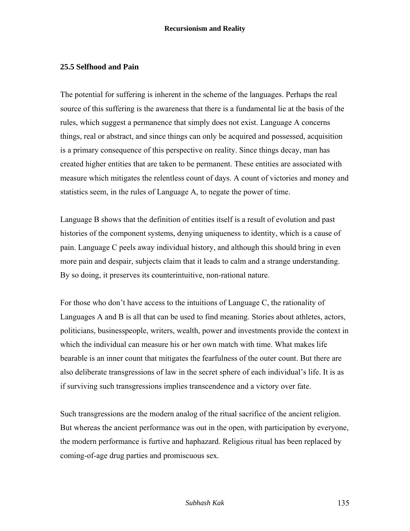## **25.5 Selfhood and Pain**

The potential for suffering is inherent in the scheme of the languages. Perhaps the real source of this suffering is the awareness that there is a fundamental lie at the basis of the rules, which suggest a permanence that simply does not exist. Language A concerns things, real or abstract, and since things can only be acquired and possessed, acquisition is a primary consequence of this perspective on reality. Since things decay, man has created higher entities that are taken to be permanent. These entities are associated with measure which mitigates the relentless count of days. A count of victories and money and statistics seem, in the rules of Language A, to negate the power of time.

Language B shows that the definition of entities itself is a result of evolution and past histories of the component systems, denying uniqueness to identity, which is a cause of pain. Language C peels away individual history, and although this should bring in even more pain and despair, subjects claim that it leads to calm and a strange understanding. By so doing, it preserves its counterintuitive, non-rational nature.

For those who don't have access to the intuitions of Language C, the rationality of Languages A and B is all that can be used to find meaning. Stories about athletes, actors, politicians, businesspeople, writers, wealth, power and investments provide the context in which the individual can measure his or her own match with time. What makes life bearable is an inner count that mitigates the fearfulness of the outer count. But there are also deliberate transgressions of law in the secret sphere of each individual's life. It is as if surviving such transgressions implies transcendence and a victory over fate.

Such transgressions are the modern analog of the ritual sacrifice of the ancient religion. But whereas the ancient performance was out in the open, with participation by everyone, the modern performance is furtive and haphazard. Religious ritual has been replaced by coming-of-age drug parties and promiscuous sex.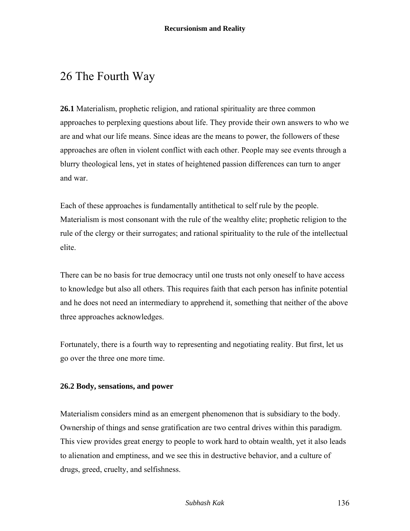# 26 The Fourth Way

**26.1** Materialism, prophetic religion, and rational spirituality are three common approaches to perplexing questions about life. They provide their own answers to who we are and what our life means. Since ideas are the means to power, the followers of these approaches are often in violent conflict with each other. People may see events through a blurry theological lens, yet in states of heightened passion differences can turn to anger and war.

Each of these approaches is fundamentally antithetical to self rule by the people. Materialism is most consonant with the rule of the wealthy elite; prophetic religion to the rule of the clergy or their surrogates; and rational spirituality to the rule of the intellectual elite.

There can be no basis for true democracy until one trusts not only oneself to have access to knowledge but also all others. This requires faith that each person has infinite potential and he does not need an intermediary to apprehend it, something that neither of the above three approaches acknowledges.

Fortunately, there is a fourth way to representing and negotiating reality. But first, let us go over the three one more time.

## **26.2 Body, sensations, and power**

Materialism considers mind as an emergent phenomenon that is subsidiary to the body. Ownership of things and sense gratification are two central drives within this paradigm. This view provides great energy to people to work hard to obtain wealth, yet it also leads to alienation and emptiness, and we see this in destructive behavior, and a culture of drugs, greed, cruelty, and selfishness.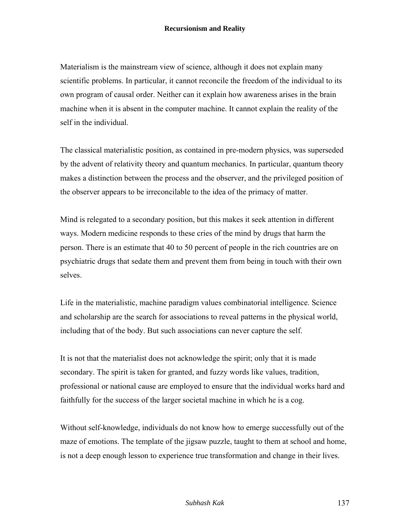Materialism is the mainstream view of science, although it does not explain many scientific problems. In particular, it cannot reconcile the freedom of the individual to its own program of causal order. Neither can it explain how awareness arises in the brain machine when it is absent in the computer machine. It cannot explain the reality of the self in the individual.

The classical materialistic position, as contained in pre-modern physics, was superseded by the advent of relativity theory and quantum mechanics. In particular, quantum theory makes a distinction between the process and the observer, and the privileged position of the observer appears to be irreconcilable to the idea of the primacy of matter.

Mind is relegated to a secondary position, but this makes it seek attention in different ways. Modern medicine responds to these cries of the mind by drugs that harm the person. There is an estimate that 40 to 50 percent of people in the rich countries are on psychiatric drugs that sedate them and prevent them from being in touch with their own selves.

Life in the materialistic, machine paradigm values combinatorial intelligence. Science and scholarship are the search for associations to reveal patterns in the physical world, including that of the body. But such associations can never capture the self.

It is not that the materialist does not acknowledge the spirit; only that it is made secondary. The spirit is taken for granted, and fuzzy words like values, tradition, professional or national cause are employed to ensure that the individual works hard and faithfully for the success of the larger societal machine in which he is a cog.

Without self-knowledge, individuals do not know how to emerge successfully out of the maze of emotions. The template of the jigsaw puzzle, taught to them at school and home, is not a deep enough lesson to experience true transformation and change in their lives.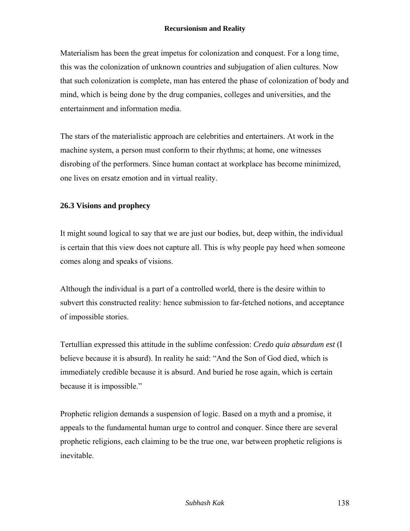Materialism has been the great impetus for colonization and conquest. For a long time, this was the colonization of unknown countries and subjugation of alien cultures. Now that such colonization is complete, man has entered the phase of colonization of body and mind, which is being done by the drug companies, colleges and universities, and the entertainment and information media.

The stars of the materialistic approach are celebrities and entertainers. At work in the machine system, a person must conform to their rhythms; at home, one witnesses disrobing of the performers. Since human contact at workplace has become minimized, one lives on ersatz emotion and in virtual reality.

## **26.3 Visions and prophecy**

It might sound logical to say that we are just our bodies, but, deep within, the individual is certain that this view does not capture all. This is why people pay heed when someone comes along and speaks of visions.

Although the individual is a part of a controlled world, there is the desire within to subvert this constructed reality: hence submission to far-fetched notions, and acceptance of impossible stories.

Tertullian expressed this attitude in the sublime confession: *Credo quia absurdum est* (I believe because it is absurd). In reality he said: "And the Son of God died, which is immediately credible because it is absurd. And buried he rose again, which is certain because it is impossible."

Prophetic religion demands a suspension of logic. Based on a myth and a promise, it appeals to the fundamental human urge to control and conquer. Since there are several prophetic religions, each claiming to be the true one, war between prophetic religions is inevitable.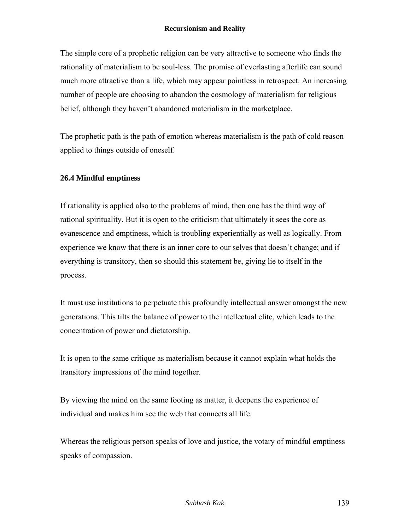The simple core of a prophetic religion can be very attractive to someone who finds the rationality of materialism to be soul-less. The promise of everlasting afterlife can sound much more attractive than a life, which may appear pointless in retrospect. An increasing number of people are choosing to abandon the cosmology of materialism for religious belief, although they haven't abandoned materialism in the marketplace.

The prophetic path is the path of emotion whereas materialism is the path of cold reason applied to things outside of oneself.

## **26.4 Mindful emptiness**

If rationality is applied also to the problems of mind, then one has the third way of rational spirituality. But it is open to the criticism that ultimately it sees the core as evanescence and emptiness, which is troubling experientially as well as logically. From experience we know that there is an inner core to our selves that doesn't change; and if everything is transitory, then so should this statement be, giving lie to itself in the process.

It must use institutions to perpetuate this profoundly intellectual answer amongst the new generations. This tilts the balance of power to the intellectual elite, which leads to the concentration of power and dictatorship.

It is open to the same critique as materialism because it cannot explain what holds the transitory impressions of the mind together.

By viewing the mind on the same footing as matter, it deepens the experience of individual and makes him see the web that connects all life.

Whereas the religious person speaks of love and justice, the votary of mindful emptiness speaks of compassion.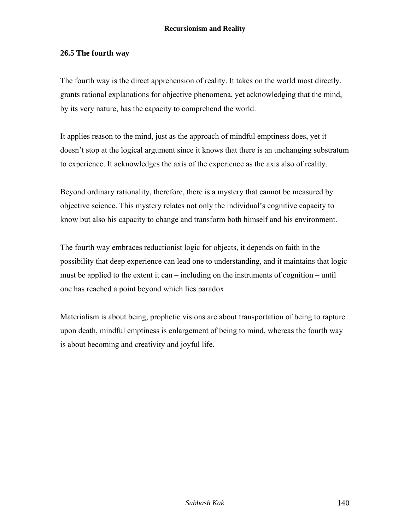## **26.5 The fourth way**

The fourth way is the direct apprehension of reality. It takes on the world most directly, grants rational explanations for objective phenomena, yet acknowledging that the mind, by its very nature, has the capacity to comprehend the world.

It applies reason to the mind, just as the approach of mindful emptiness does, yet it doesn't stop at the logical argument since it knows that there is an unchanging substratum to experience. It acknowledges the axis of the experience as the axis also of reality.

Beyond ordinary rationality, therefore, there is a mystery that cannot be measured by objective science. This mystery relates not only the individual's cognitive capacity to know but also his capacity to change and transform both himself and his environment.

The fourth way embraces reductionist logic for objects, it depends on faith in the possibility that deep experience can lead one to understanding, and it maintains that logic must be applied to the extent it can – including on the instruments of cognition – until one has reached a point beyond which lies paradox.

Materialism is about being, prophetic visions are about transportation of being to rapture upon death, mindful emptiness is enlargement of being to mind, whereas the fourth way is about becoming and creativity and joyful life.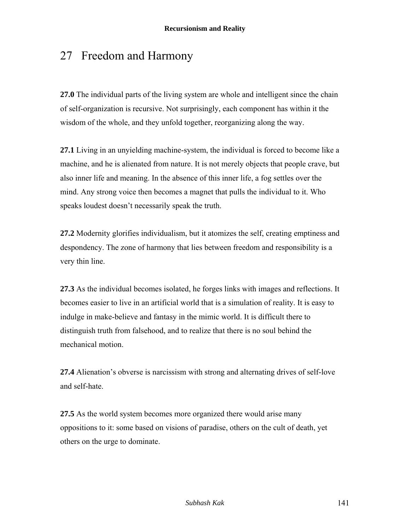# 27 Freedom and Harmony

**27.0** The individual parts of the living system are whole and intelligent since the chain of self-organization is recursive. Not surprisingly, each component has within it the wisdom of the whole, and they unfold together, reorganizing along the way.

**27.1** Living in an unyielding machine-system, the individual is forced to become like a machine, and he is alienated from nature. It is not merely objects that people crave, but also inner life and meaning. In the absence of this inner life, a fog settles over the mind. Any strong voice then becomes a magnet that pulls the individual to it. Who speaks loudest doesn't necessarily speak the truth.

**27.2** Modernity glorifies individualism, but it atomizes the self, creating emptiness and despondency. The zone of harmony that lies between freedom and responsibility is a very thin line.

**27.3** As the individual becomes isolated, he forges links with images and reflections. It becomes easier to live in an artificial world that is a simulation of reality. It is easy to indulge in make-believe and fantasy in the mimic world. It is difficult there to distinguish truth from falsehood, and to realize that there is no soul behind the mechanical motion.

**27.4** Alienation's obverse is narcissism with strong and alternating drives of self-love and self-hate.

**27.5** As the world system becomes more organized there would arise many oppositions to it: some based on visions of paradise, others on the cult of death, yet others on the urge to dominate.